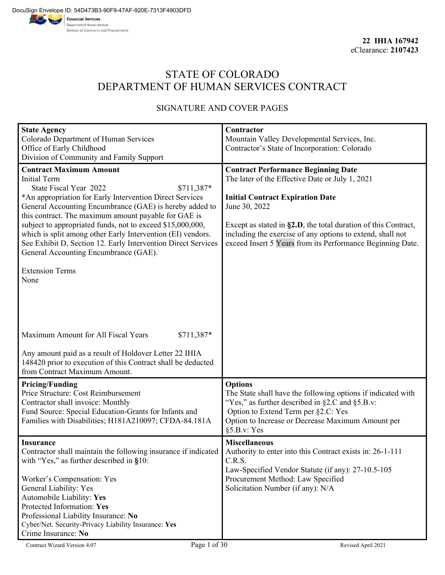# STATE OF COLORADO DEPARTMENT OF HUMAN SERVICES CONTRACT

## SIGNATURE AND COVER PAGES

| <b>State Agency</b>                                                                                                       | Contractor                                                                                                                       |  |  |  |
|---------------------------------------------------------------------------------------------------------------------------|----------------------------------------------------------------------------------------------------------------------------------|--|--|--|
| Colorado Department of Human Services                                                                                     | Mountain Valley Developmental Services, Inc.                                                                                     |  |  |  |
| Office of Early Childhood                                                                                                 | Contractor's State of Incorporation: Colorado                                                                                    |  |  |  |
| Division of Community and Family Support                                                                                  |                                                                                                                                  |  |  |  |
| <b>Contract Maximum Amount</b>                                                                                            | <b>Contract Performance Beginning Date</b>                                                                                       |  |  |  |
| <b>Initial Term</b>                                                                                                       | The later of the Effective Date or July 1, 2021                                                                                  |  |  |  |
| State Fiscal Year 2022<br>\$711,387*                                                                                      |                                                                                                                                  |  |  |  |
| *An appropriation for Early Intervention Direct Services                                                                  | <b>Initial Contract Expiration Date</b>                                                                                          |  |  |  |
| General Accounting Encumbrance (GAE) is hereby added to                                                                   | June 30, 2022                                                                                                                    |  |  |  |
| this contract. The maximum amount payable for GAE is                                                                      |                                                                                                                                  |  |  |  |
| subject to appropriated funds, not to exceed \$15,000,000,<br>which is split among other Early Intervention (EI) vendors. | Except as stated in $\S2.D$ , the total duration of this Contract,<br>including the exercise of any options to extend, shall not |  |  |  |
| See Exhibit D, Section 12. Early Intervention Direct Services                                                             | exceed Insert 5 Years from its Performance Beginning Date.                                                                       |  |  |  |
| General Accounting Encumbrance (GAE).                                                                                     |                                                                                                                                  |  |  |  |
|                                                                                                                           |                                                                                                                                  |  |  |  |
| <b>Extension Terms</b>                                                                                                    |                                                                                                                                  |  |  |  |
| None                                                                                                                      |                                                                                                                                  |  |  |  |
|                                                                                                                           |                                                                                                                                  |  |  |  |
|                                                                                                                           |                                                                                                                                  |  |  |  |
|                                                                                                                           |                                                                                                                                  |  |  |  |
|                                                                                                                           |                                                                                                                                  |  |  |  |
|                                                                                                                           |                                                                                                                                  |  |  |  |
| Maximum Amount for All Fiscal Years<br>\$711,387*                                                                         |                                                                                                                                  |  |  |  |
| Any amount paid as a result of Holdover Letter 22 IHIA                                                                    |                                                                                                                                  |  |  |  |
| 148420 prior to execution of this Contract shall be deducted                                                              |                                                                                                                                  |  |  |  |
| from Contract Maximum Amount.                                                                                             |                                                                                                                                  |  |  |  |
| <b>Pricing/Funding</b>                                                                                                    | <b>Options</b>                                                                                                                   |  |  |  |
| Price Structure: Cost Reimbursement                                                                                       | The State shall have the following options if indicated with                                                                     |  |  |  |
| Contractor shall invoice: Monthly                                                                                         | "Yes," as further described in $\S 2.C$ and $\S 5.B.v$ :                                                                         |  |  |  |
| Fund Source: Special Education-Grants for Infants and                                                                     | Option to Extend Term per §2.C: Yes                                                                                              |  |  |  |
| Families with Disabilities; H181A210097; CFDA-84.181A                                                                     | Option to Increase or Decrease Maximum Amount per                                                                                |  |  |  |
|                                                                                                                           | §5.B.v: Yes                                                                                                                      |  |  |  |
| <b>Insurance</b>                                                                                                          | <b>Miscellaneous</b>                                                                                                             |  |  |  |
| Contractor shall maintain the following insurance if indicated                                                            | Authority to enter into this Contract exists in: 26-1-111                                                                        |  |  |  |
| with "Yes," as further described in §10:                                                                                  | C.R.S.                                                                                                                           |  |  |  |
|                                                                                                                           | Law-Specified Vendor Statute (if any): 27-10.5-105                                                                               |  |  |  |
| Worker's Compensation: Yes                                                                                                | Procurement Method: Law Specified                                                                                                |  |  |  |
| General Liability: Yes                                                                                                    | Solicitation Number (if any): N/A                                                                                                |  |  |  |
| Automobile Liability: Yes                                                                                                 |                                                                                                                                  |  |  |  |
| Protected Information: Yes                                                                                                |                                                                                                                                  |  |  |  |
| Professional Liability Insurance: No                                                                                      |                                                                                                                                  |  |  |  |
| Cyber/Net. Security-Privacy Liability Insurance: Yes                                                                      |                                                                                                                                  |  |  |  |
| Crime Insurance: No                                                                                                       |                                                                                                                                  |  |  |  |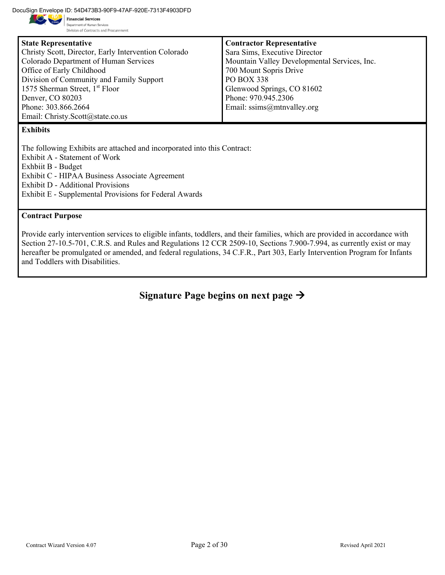DocuSign Envelope ID: 54D473B3-90F9-47AF-920E-7313F4903DFD

Department of Human Services Division of Contracts and Procurement

| <b>State Representative</b>                          | <b>Contractor Representative</b>             |
|------------------------------------------------------|----------------------------------------------|
| Christy Scott, Director, Early Intervention Colorado | Sara Sims, Executive Director                |
| Colorado Department of Human Services                | Mountain Valley Developmental Services, Inc. |
| Office of Early Childhood                            | 700 Mount Sopris Drive                       |
| Division of Community and Family Support             | <b>PO BOX 338</b>                            |
| 1575 Sherman Street, 1 <sup>st</sup> Floor           | Glenwood Springs, CO 81602                   |
| Denver, CO 80203                                     | Phone: 970.945.2306                          |
| Phone: 303.866.2664                                  | Email: $ssims@mtrvalley.org$                 |
| Email: Christy.Scott@state.co.us                     |                                              |
|                                                      |                                              |

## **Exhibits**

The following Exhibits are attached and incorporated into this Contract: Exhibit A - Statement of Work Exhbiit B - Budget Exhibit C - HIPAA Business Associate Agreement

Exhibit D - Additional Provisions

Exhibit E - Supplemental Provisions for Federal Awards

#### **Contract Purpose**

Provide early intervention services to eligible infants, toddlers, and their families, which are provided in accordance with Section 27-10.5-701, C.R.S. and Rules and Regulations 12 CCR 2509-10, Sections 7.900-7.994, as currently exist or may hereafter be promulgated or amended, and federal regulations, 34 C.F.R., Part 303, Early Intervention Program for Infants and Toddlers with Disabilities.

**Signature Page begins on next page**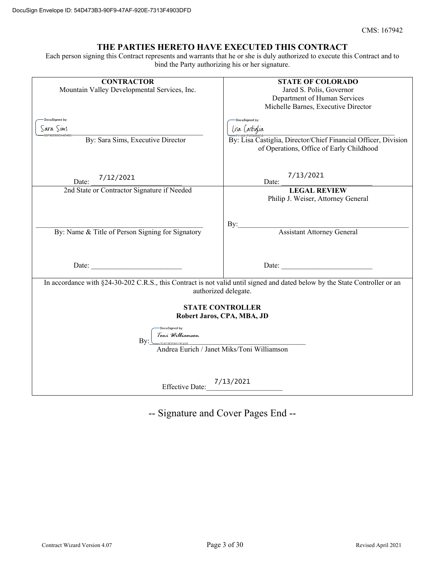#### **THE PARTIES HERETO HAVE EXECUTED THIS CONTRACT**

Each person signing this Contract represents and warrants that he or she is duly authorized to execute this Contract and to bind the Party authorizing his or her signature.

| <b>CONTRACTOR</b>                                                                                                                                   | <b>STATE OF COLORADO</b>                                                                                   |  |  |  |  |
|-----------------------------------------------------------------------------------------------------------------------------------------------------|------------------------------------------------------------------------------------------------------------|--|--|--|--|
| Mountain Valley Developmental Services, Inc.                                                                                                        | Jared S. Polis, Governor                                                                                   |  |  |  |  |
|                                                                                                                                                     | Department of Human Services                                                                               |  |  |  |  |
|                                                                                                                                                     | Michelle Barnes, Executive Director                                                                        |  |  |  |  |
| DocuSigned by:                                                                                                                                      | DocuSianed by:                                                                                             |  |  |  |  |
|                                                                                                                                                     |                                                                                                            |  |  |  |  |
| Sara Sims                                                                                                                                           | lisa lastiglia                                                                                             |  |  |  |  |
| By: Sara Sims, Executive Director                                                                                                                   | By: Lisa Castiglia, Director/Chief Financial Officer, Division<br>of Operations, Office of Early Childhood |  |  |  |  |
| 7/12/2021<br>Date:                                                                                                                                  | 7/13/2021<br>Date:                                                                                         |  |  |  |  |
| 2nd State or Contractor Signature if Needed                                                                                                         | <b>LEGAL REVIEW</b>                                                                                        |  |  |  |  |
|                                                                                                                                                     | Philip J. Weiser, Attorney General                                                                         |  |  |  |  |
| By: Name & Title of Person Signing for Signatory                                                                                                    | By:<br>Assistant Attorney General                                                                          |  |  |  |  |
| <u> 1990 - Johann Barbara, martxa a</u><br>Date:                                                                                                    | Date:                                                                                                      |  |  |  |  |
| In accordance with §24-30-202 C.R.S., this Contract is not valid until signed and dated below by the State Controller or an<br>authorized delegate. |                                                                                                            |  |  |  |  |
| <b>STATE CONTROLLER</b>                                                                                                                             |                                                                                                            |  |  |  |  |
| Robert Jaros, CPA, MBA, JD                                                                                                                          |                                                                                                            |  |  |  |  |
| DocuSigned by:                                                                                                                                      |                                                                                                            |  |  |  |  |
| Toni Williamson<br>By:<br>12A31DEB619C416                                                                                                           |                                                                                                            |  |  |  |  |
|                                                                                                                                                     | Andrea Eurich / Janet Miks/Toni Williamson                                                                 |  |  |  |  |
|                                                                                                                                                     |                                                                                                            |  |  |  |  |
|                                                                                                                                                     |                                                                                                            |  |  |  |  |
| <b>Effective Date:</b>                                                                                                                              | 7/13/2021                                                                                                  |  |  |  |  |
|                                                                                                                                                     |                                                                                                            |  |  |  |  |

-- Signature and Cover Pages End --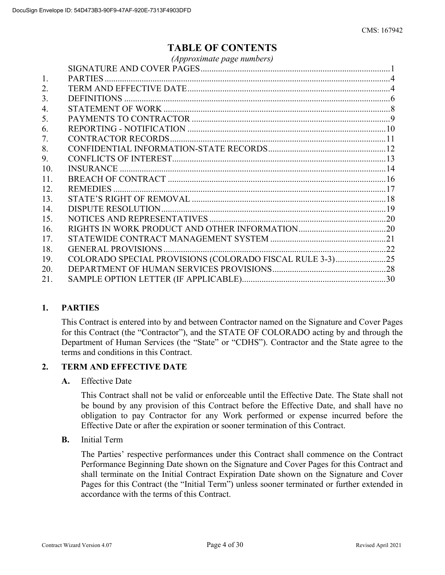## **TABLE OF CONTENTS**

|     | (Approximate page numbers)                               |  |
|-----|----------------------------------------------------------|--|
|     |                                                          |  |
| 1.  |                                                          |  |
| 2.  |                                                          |  |
| 3.  |                                                          |  |
| 4.  |                                                          |  |
| 5.  |                                                          |  |
| 6.  |                                                          |  |
| 7.  |                                                          |  |
| 8.  |                                                          |  |
| 9.  |                                                          |  |
| 10. |                                                          |  |
| 11. |                                                          |  |
| 12. |                                                          |  |
| 13. |                                                          |  |
| 14. |                                                          |  |
| 15. |                                                          |  |
| 16. |                                                          |  |
| 17. |                                                          |  |
| 18. |                                                          |  |
| 19. | COLORADO SPECIAL PROVISIONS (COLORADO FISCAL RULE 3-3)25 |  |
| 20. |                                                          |  |
| 21. |                                                          |  |
|     |                                                          |  |

## **1. PARTIES**

This Contract is entered into by and between Contractor named on the Signature and Cover Pages for this Contract (the "Contractor"), and the STATE OF COLORADO acting by and through the Department of Human Services (the "State" or "CDHS"). Contractor and the State agree to the terms and conditions in this Contract.

#### **2. TERM AND EFFECTIVE DATE**

#### **A.** Effective Date

This Contract shall not be valid or enforceable until the Effective Date. The State shall not be bound by any provision of this Contract before the Effective Date, and shall have no obligation to pay Contractor for any Work performed or expense incurred before the Effective Date or after the expiration or sooner termination of this Contract.

**B.** Initial Term

The Parties' respective performances under this Contract shall commence on the Contract Performance Beginning Date shown on the Signature and Cover Pages for this Contract and shall terminate on the Initial Contract Expiration Date shown on the Signature and Cover Pages for this Contract (the "Initial Term") unless sooner terminated or further extended in accordance with the terms of this Contract.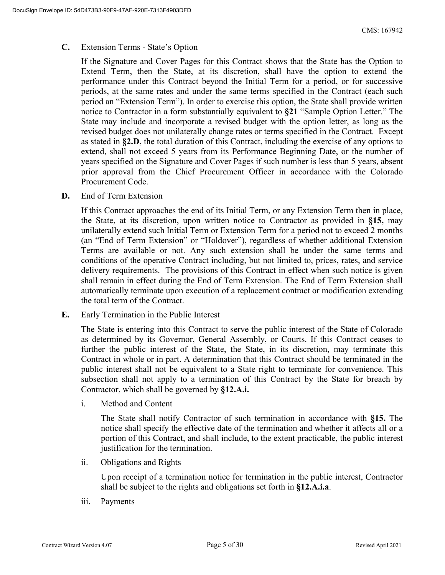#### **C.** Extension Terms - State's Option

If the Signature and Cover Pages for this Contract shows that the State has the Option to Extend Term, then the State, at its discretion, shall have the option to extend the performance under this Contract beyond the Initial Term for a period, or for successive periods, at the same rates and under the same terms specified in the Contract (each such period an "Extension Term"). In order to exercise this option, the State shall provide written notice to Contractor in a form substantially equivalent to **§21** "Sample Option Letter." The State may include and incorporate a revised budget with the option letter, as long as the revised budget does not unilaterally change rates or terms specified in the Contract. Except as stated in **§2.D**, the total duration of this Contract, including the exercise of any options to extend, shall not exceed 5 years from its Performance Beginning Date, or the number of years specified on the Signature and Cover Pages if such number is less than 5 years, absent prior approval from the Chief Procurement Officer in accordance with the Colorado Procurement Code.

**D.** End of Term Extension

If this Contract approaches the end of its Initial Term, or any Extension Term then in place, the State, at its discretion, upon written notice to Contractor as provided in **§15,** may unilaterally extend such Initial Term or Extension Term for a period not to exceed 2 months (an "End of Term Extension" or "Holdover"), regardless of whether additional Extension Terms are available or not. Any such extension shall be under the same terms and conditions of the operative Contract including, but not limited to, prices, rates, and service delivery requirements. The provisions of this Contract in effect when such notice is given shall remain in effect during the End of Term Extension. The End of Term Extension shall automatically terminate upon execution of a replacement contract or modification extending the total term of the Contract.

**E.** Early Termination in the Public Interest

The State is entering into this Contract to serve the public interest of the State of Colorado as determined by its Governor, General Assembly, or Courts. If this Contract ceases to further the public interest of the State, the State, in its discretion, may terminate this Contract in whole or in part. A determination that this Contract should be terminated in the public interest shall not be equivalent to a State right to terminate for convenience. This subsection shall not apply to a termination of this Contract by the State for breach by Contractor, which shall be governed by **§12.A.i.**

i. Method and Content

The State shall notify Contractor of such termination in accordance with **§15.** The notice shall specify the effective date of the termination and whether it affects all or a portion of this Contract, and shall include, to the extent practicable, the public interest justification for the termination.

ii. Obligations and Rights

Upon receipt of a termination notice for termination in the public interest, Contractor shall be subject to the rights and obligations set forth in **§12.A.i.a**.

iii. Payments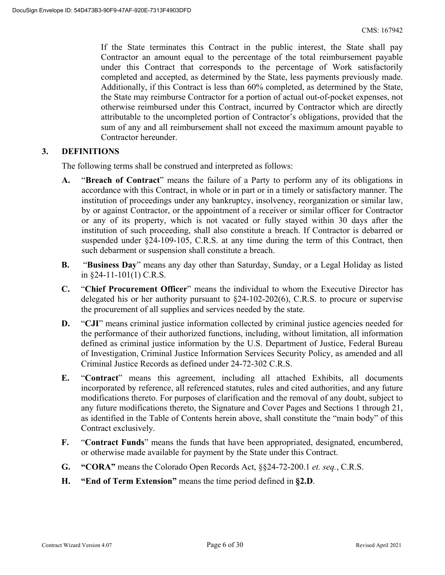If the State terminates this Contract in the public interest, the State shall pay Contractor an amount equal to the percentage of the total reimbursement payable under this Contract that corresponds to the percentage of Work satisfactorily completed and accepted, as determined by the State, less payments previously made. Additionally, if this Contract is less than 60% completed, as determined by the State, the State may reimburse Contractor for a portion of actual out-of-pocket expenses, not otherwise reimbursed under this Contract, incurred by Contractor which are directly attributable to the uncompleted portion of Contractor's obligations, provided that the sum of any and all reimbursement shall not exceed the maximum amount payable to Contractor hereunder.

### **3. DEFINITIONS**

The following terms shall be construed and interpreted as follows:

- **A.** "**Breach of Contract**" means the failure of a Party to perform any of its obligations in accordance with this Contract, in whole or in part or in a timely or satisfactory manner. The institution of proceedings under any bankruptcy, insolvency, reorganization or similar law, by or against Contractor, or the appointment of a receiver or similar officer for Contractor or any of its property, which is not vacated or fully stayed within 30 days after the institution of such proceeding, shall also constitute a breach. If Contractor is debarred or suspended under §24-109-105, C.R.S. at any time during the term of this Contract, then such debarment or suspension shall constitute a breach.
- **B.** "**Business Day**" means any day other than Saturday, Sunday, or a Legal Holiday as listed in §24-11-101(1) C.R.S.
- **C.** "**Chief Procurement Officer**" means the individual to whom the Executive Director has delegated his or her authority pursuant to §24-102-202(6), C.R.S. to procure or supervise the procurement of all supplies and services needed by the state.
- **D.** "CJI" means criminal justice information collected by criminal justice agencies needed for the performance of their authorized functions, including, without limitation, all information defined as criminal justice information by the U.S. Department of Justice, Federal Bureau of Investigation, Criminal Justice Information Services Security Policy, as amended and all Criminal Justice Records as defined under 24-72-302 C.R.S.
- **E.** "**Contract**" means this agreement, including all attached Exhibits, all documents incorporated by reference, all referenced statutes, rules and cited authorities, and any future modifications thereto. For purposes of clarification and the removal of any doubt, subject to any future modifications thereto, the Signature and Cover Pages and Sections 1 through 21, as identified in the Table of Contents herein above, shall constitute the "main body" of this Contract exclusively.
- **F.** "**Contract Funds**" means the funds that have been appropriated, designated, encumbered, or otherwise made available for payment by the State under this Contract.
- **G. "CORA"** means the Colorado Open Records Act, §§24-72-200.1 *et. seq.*, C.R.S.
- **H. "End of Term Extension"** means the time period defined in **§2.D**.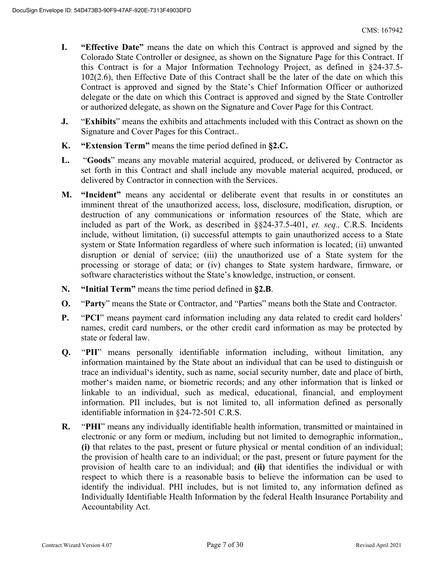- **I. "Effective Date"** means the date on which this Contract is approved and signed by the Colorado State Controller or designee, as shown on the Signature Page for this Contract. If this Contract is for a Major Information Technology Project, as defined in §24-37.5- 102(2.6), then Effective Date of this Contract shall be the later of the date on which this Contract is approved and signed by the State's Chief Information Officer or authorized delegate or the date on which this Contract is approved and signed by the State Controller or authorized delegate, as shown on the Signature and Cover Page for this Contract.
- **J.** "**Exhibits**" means the exhibits and attachments included with this Contract as shown on the Signature and Cover Pages for this Contract..
- **K. "Extension Term"** means the time period defined in **§2.C.**
- **L.** "**Goods**" means any movable material acquired, produced, or delivered by Contractor as set forth in this Contract and shall include any movable material acquired, produced, or delivered by Contractor in connection with the Services.
- **M. "Incident"** means any accidental or deliberate event that results in or constitutes an imminent threat of the unauthorized access, loss, disclosure, modification, disruption, or destruction of any communications or information resources of the State, which are included as part of the Work, as described in §§24-37.5-401, *et. seq.,* C.R.S. Incidents include, without limitation, (i) successful attempts to gain unauthorized access to a State system or State Information regardless of where such information is located; (ii) unwanted disruption or denial of service; (iii) the unauthorized use of a State system for the processing or storage of data; or (iv) changes to State system hardware, firmware, or software characteristics without the State's knowledge, instruction, or consent.
- **N. "Initial Term"** means the time period defined in **§2.B**.
- **O.** "**Party**" means the State or Contractor, and "Parties" means both the State and Contractor.
- **P.** "**PCI**" means payment card information including any data related to credit card holders' names, credit card numbers, or the other credit card information as may be protected by state or federal law.
- **Q.** "**PII**" means personally identifiable information including, without limitation, any information maintained by the State about an individual that can be used to distinguish or trace an individual's identity, such as name, social security number, date and place of birth, mother's maiden name, or biometric records; and any other information that is linked or linkable to an individual, such as medical, educational, financial, and employment information. PII includes, but is not limited to, all information defined as personally identifiable information in §24-72-501 C.R.S.
- **R.** "**PHI**" means any individually identifiable health information, transmitted or maintained in electronic or any form or medium, including but not limited to demographic information,, **(i)** that relates to the past, present or future physical or mental condition of an individual; the provision of health care to an individual; or the past, present or future payment for the provision of health care to an individual; and **(ii)** that identifies the individual or with respect to which there is a reasonable basis to believe the information can be used to identify the individual. PHI includes, but is not limited to, any information defined as Individually Identifiable Health Information by the federal Health Insurance Portability and Accountability Act.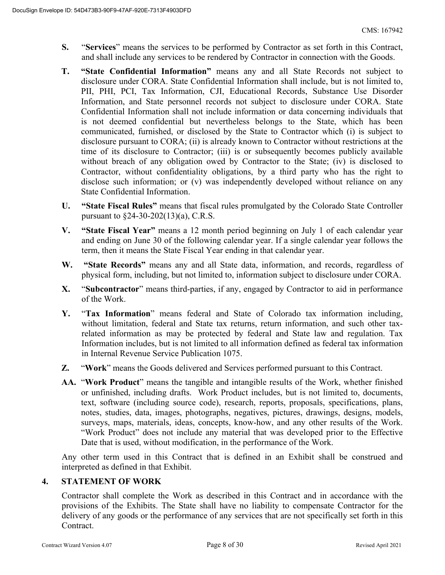- **S.** "**Services**" means the services to be performed by Contractor as set forth in this Contract, and shall include any services to be rendered by Contractor in connection with the Goods.
- **T. "State Confidential Information"** means any and all State Records not subject to disclosure under CORA. State Confidential Information shall include, but is not limited to, PII, PHI, PCI, Tax Information, CJI, Educational Records, Substance Use Disorder Information, and State personnel records not subject to disclosure under CORA. State Confidential Information shall not include information or data concerning individuals that is not deemed confidential but nevertheless belongs to the State, which has been communicated, furnished, or disclosed by the State to Contractor which (i) is subject to disclosure pursuant to CORA; (ii) is already known to Contractor without restrictions at the time of its disclosure to Contractor; (iii) is or subsequently becomes publicly available without breach of any obligation owed by Contractor to the State; (iv) is disclosed to Contractor, without confidentiality obligations, by a third party who has the right to disclose such information; or (v) was independently developed without reliance on any State Confidential Information.
- **U. "State Fiscal Rules"** means that fiscal rules promulgated by the Colorado State Controller pursuant to §24-30-202(13)(a), C.R.S.
- **V. "State Fiscal Year"** means a 12 month period beginning on July 1 of each calendar year and ending on June 30 of the following calendar year. If a single calendar year follows the term, then it means the State Fiscal Year ending in that calendar year.
- **W. "State Records"** means any and all State data, information, and records, regardless of physical form, including, but not limited to, information subject to disclosure under CORA.
- **X.** "**Subcontractor**" means third-parties, if any, engaged by Contractor to aid in performance of the Work.
- **Y.** "**Tax Information**" means federal and State of Colorado tax information including, without limitation, federal and State tax returns, return information, and such other taxrelated information as may be protected by federal and State law and regulation. Tax Information includes, but is not limited to all information defined as federal tax information in Internal Revenue Service Publication 1075.
- **Z.** "**Work**" means the Goods delivered and Services performed pursuant to this Contract.
- **AA.** "**Work Product**" means the tangible and intangible results of the Work, whether finished or unfinished, including drafts. Work Product includes, but is not limited to, documents, text, software (including source code), research, reports, proposals, specifications, plans, notes, studies, data, images, photographs, negatives, pictures, drawings, designs, models, surveys, maps, materials, ideas, concepts, know-how, and any other results of the Work. "Work Product" does not include any material that was developed prior to the Effective Date that is used, without modification, in the performance of the Work.

Any other term used in this Contract that is defined in an Exhibit shall be construed and interpreted as defined in that Exhibit.

## **4. STATEMENT OF WORK**

Contractor shall complete the Work as described in this Contract and in accordance with the provisions of the Exhibits. The State shall have no liability to compensate Contractor for the delivery of any goods or the performance of any services that are not specifically set forth in this Contract.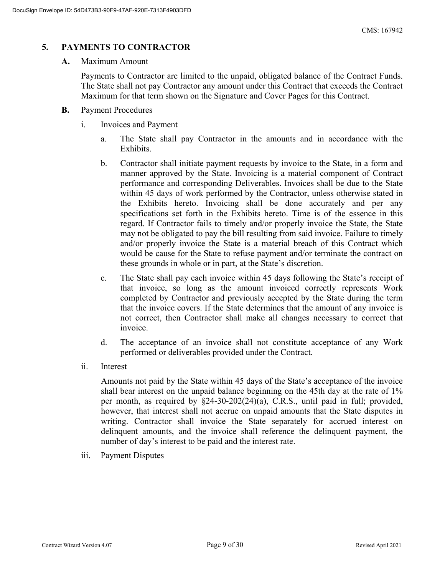## **5. PAYMENTS TO CONTRACTOR**

#### **A.** Maximum Amount

Payments to Contractor are limited to the unpaid, obligated balance of the Contract Funds. The State shall not pay Contractor any amount under this Contract that exceeds the Contract Maximum for that term shown on the Signature and Cover Pages for this Contract.

- **B.** Payment Procedures
	- i. Invoices and Payment
		- a. The State shall pay Contractor in the amounts and in accordance with the Exhibits.
		- b. Contractor shall initiate payment requests by invoice to the State, in a form and manner approved by the State. Invoicing is a material component of Contract performance and corresponding Deliverables. Invoices shall be due to the State within 45 days of work performed by the Contractor, unless otherwise stated in the Exhibits hereto. Invoicing shall be done accurately and per any specifications set forth in the Exhibits hereto. Time is of the essence in this regard. If Contractor fails to timely and/or properly invoice the State, the State may not be obligated to pay the bill resulting from said invoice. Failure to timely and/or properly invoice the State is a material breach of this Contract which would be cause for the State to refuse payment and/or terminate the contract on these grounds in whole or in part, at the State's discretion.
		- c. The State shall pay each invoice within 45 days following the State's receipt of that invoice, so long as the amount invoiced correctly represents Work completed by Contractor and previously accepted by the State during the term that the invoice covers. If the State determines that the amount of any invoice is not correct, then Contractor shall make all changes necessary to correct that invoice.
		- d. The acceptance of an invoice shall not constitute acceptance of any Work performed or deliverables provided under the Contract.
	- ii. Interest

Amounts not paid by the State within 45 days of the State's acceptance of the invoice shall bear interest on the unpaid balance beginning on the 45th day at the rate of 1% per month, as required by §24-30-202(24)(a), C.R.S., until paid in full; provided, however, that interest shall not accrue on unpaid amounts that the State disputes in writing. Contractor shall invoice the State separately for accrued interest on delinquent amounts, and the invoice shall reference the delinquent payment, the number of day's interest to be paid and the interest rate.

iii. Payment Disputes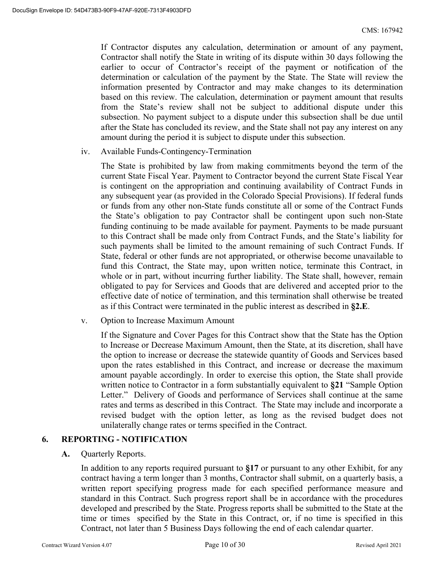If Contractor disputes any calculation, determination or amount of any payment, Contractor shall notify the State in writing of its dispute within 30 days following the earlier to occur of Contractor's receipt of the payment or notification of the determination or calculation of the payment by the State. The State will review the information presented by Contractor and may make changes to its determination based on this review. The calculation, determination or payment amount that results from the State's review shall not be subject to additional dispute under this subsection. No payment subject to a dispute under this subsection shall be due until after the State has concluded its review, and the State shall not pay any interest on any amount during the period it is subject to dispute under this subsection.

iv. Available Funds-Contingency-Termination

The State is prohibited by law from making commitments beyond the term of the current State Fiscal Year. Payment to Contractor beyond the current State Fiscal Year is contingent on the appropriation and continuing availability of Contract Funds in any subsequent year (as provided in the Colorado Special Provisions). If federal funds or funds from any other non-State funds constitute all or some of the Contract Funds the State's obligation to pay Contractor shall be contingent upon such non-State funding continuing to be made available for payment. Payments to be made pursuant to this Contract shall be made only from Contract Funds, and the State's liability for such payments shall be limited to the amount remaining of such Contract Funds. If State, federal or other funds are not appropriated, or otherwise become unavailable to fund this Contract, the State may, upon written notice, terminate this Contract, in whole or in part, without incurring further liability. The State shall, however, remain obligated to pay for Services and Goods that are delivered and accepted prior to the effective date of notice of termination, and this termination shall otherwise be treated as if this Contract were terminated in the public interest as described in **§2.E**.

v. Option to Increase Maximum Amount

If the Signature and Cover Pages for this Contract show that the State has the Option to Increase or Decrease Maximum Amount, then the State, at its discretion, shall have the option to increase or decrease the statewide quantity of Goods and Services based upon the rates established in this Contract, and increase or decrease the maximum amount payable accordingly. In order to exercise this option, the State shall provide written notice to Contractor in a form substantially equivalent to **§21** "Sample Option Letter." Delivery of Goods and performance of Services shall continue at the same rates and terms as described in this Contract. The State may include and incorporate a revised budget with the option letter, as long as the revised budget does not unilaterally change rates or terms specified in the Contract.

#### **6. REPORTING - NOTIFICATION**

**A.** Quarterly Reports.

In addition to any reports required pursuant to **§17** or pursuant to any other Exhibit, for any contract having a term longer than 3 months, Contractor shall submit, on a quarterly basis, a written report specifying progress made for each specified performance measure and standard in this Contract. Such progress report shall be in accordance with the procedures developed and prescribed by the State. Progress reports shall be submitted to the State at the time or times specified by the State in this Contract, or, if no time is specified in this Contract, not later than 5 Business Days following the end of each calendar quarter.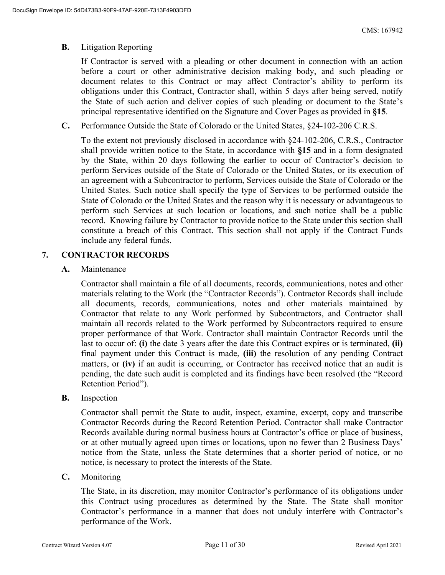#### **B.** Litigation Reporting

If Contractor is served with a pleading or other document in connection with an action before a court or other administrative decision making body, and such pleading or document relates to this Contract or may affect Contractor's ability to perform its obligations under this Contract, Contractor shall, within 5 days after being served, notify the State of such action and deliver copies of such pleading or document to the State's principal representative identified on the Signature and Cover Pages as provided in **§15**.

**C.** Performance Outside the State of Colorado or the United States, §24-102-206 C.R.S.

To the extent not previously disclosed in accordance with §24-102-206, C.R.S., Contractor shall provide written notice to the State, in accordance with **§15** and in a form designated by the State, within 20 days following the earlier to occur of Contractor's decision to perform Services outside of the State of Colorado or the United States, or its execution of an agreement with a Subcontractor to perform, Services outside the State of Colorado or the United States. Such notice shall specify the type of Services to be performed outside the State of Colorado or the United States and the reason why it is necessary or advantageous to perform such Services at such location or locations, and such notice shall be a public record. Knowing failure by Contractor to provide notice to the State under this section shall constitute a breach of this Contract. This section shall not apply if the Contract Funds include any federal funds.

#### **7. CONTRACTOR RECORDS**

**A.** Maintenance

Contractor shall maintain a file of all documents, records, communications, notes and other materials relating to the Work (the "Contractor Records"). Contractor Records shall include all documents, records, communications, notes and other materials maintained by Contractor that relate to any Work performed by Subcontractors, and Contractor shall maintain all records related to the Work performed by Subcontractors required to ensure proper performance of that Work. Contractor shall maintain Contractor Records until the last to occur of: **(i)** the date 3 years after the date this Contract expires or is terminated, **(ii)** final payment under this Contract is made, **(iii)** the resolution of any pending Contract matters, or **(iv)** if an audit is occurring, or Contractor has received notice that an audit is pending, the date such audit is completed and its findings have been resolved (the "Record Retention Period").

**B.** Inspection

Contractor shall permit the State to audit, inspect, examine, excerpt, copy and transcribe Contractor Records during the Record Retention Period. Contractor shall make Contractor Records available during normal business hours at Contractor's office or place of business, or at other mutually agreed upon times or locations, upon no fewer than 2 Business Days' notice from the State, unless the State determines that a shorter period of notice, or no notice, is necessary to protect the interests of the State.

**C.** Monitoring

The State, in its discretion, may monitor Contractor's performance of its obligations under this Contract using procedures as determined by the State. The State shall monitor Contractor's performance in a manner that does not unduly interfere with Contractor's performance of the Work.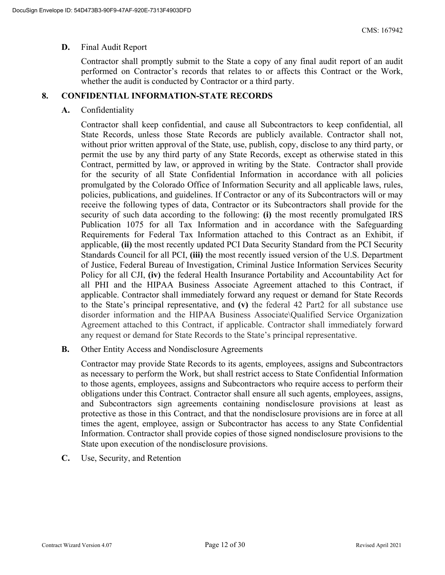#### **D.** Final Audit Report

Contractor shall promptly submit to the State a copy of any final audit report of an audit performed on Contractor's records that relates to or affects this Contract or the Work, whether the audit is conducted by Contractor or a third party.

### **8. CONFIDENTIAL INFORMATION-STATE RECORDS**

#### **A.** Confidentiality

Contractor shall keep confidential, and cause all Subcontractors to keep confidential, all State Records, unless those State Records are publicly available. Contractor shall not, without prior written approval of the State, use, publish, copy, disclose to any third party, or permit the use by any third party of any State Records, except as otherwise stated in this Contract, permitted by law, or approved in writing by the State. Contractor shall provide for the security of all State Confidential Information in accordance with all policies promulgated by the Colorado Office of Information Security and all applicable laws, rules, policies, publications, and guidelines. If Contractor or any of its Subcontractors will or may receive the following types of data, Contractor or its Subcontractors shall provide for the security of such data according to the following: **(i)** the most recently promulgated IRS Publication 1075 for all Tax Information and in accordance with the Safeguarding Requirements for Federal Tax Information attached to this Contract as an Exhibit, if applicable, **(ii)** the most recently updated PCI Data Security Standard from the PCI Security Standards Council for all PCI, **(iii)** the most recently issued version of the U.S. Department of Justice, Federal Bureau of Investigation, Criminal Justice Information Services Security Policy for all CJI, **(iv)** the federal Health Insurance Portability and Accountability Act for all PHI and the HIPAA Business Associate Agreement attached to this Contract, if applicable. Contractor shall immediately forward any request or demand for State Records to the State's principal representative, and **(v)** the federal 42 Part2 for all substance use disorder information and the HIPAA Business Associate\Qualified Service Organization Agreement attached to this Contract, if applicable. Contractor shall immediately forward any request or demand for State Records to the State's principal representative.

**B.** Other Entity Access and Nondisclosure Agreements

Contractor may provide State Records to its agents, employees, assigns and Subcontractors as necessary to perform the Work, but shall restrict access to State Confidential Information to those agents, employees, assigns and Subcontractors who require access to perform their obligations under this Contract. Contractor shall ensure all such agents, employees, assigns, and Subcontractors sign agreements containing nondisclosure provisions at least as protective as those in this Contract, and that the nondisclosure provisions are in force at all times the agent, employee, assign or Subcontractor has access to any State Confidential Information. Contractor shall provide copies of those signed nondisclosure provisions to the State upon execution of the nondisclosure provisions.

**C.** Use, Security, and Retention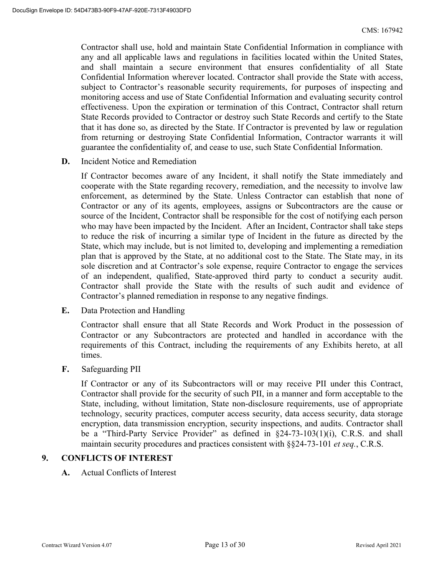Contractor shall use, hold and maintain State Confidential Information in compliance with any and all applicable laws and regulations in facilities located within the United States, and shall maintain a secure environment that ensures confidentiality of all State Confidential Information wherever located. Contractor shall provide the State with access, subject to Contractor's reasonable security requirements, for purposes of inspecting and monitoring access and use of State Confidential Information and evaluating security control effectiveness. Upon the expiration or termination of this Contract, Contractor shall return State Records provided to Contractor or destroy such State Records and certify to the State that it has done so, as directed by the State. If Contractor is prevented by law or regulation from returning or destroying State Confidential Information, Contractor warrants it will guarantee the confidentiality of, and cease to use, such State Confidential Information.

**D.** Incident Notice and Remediation

If Contractor becomes aware of any Incident, it shall notify the State immediately and cooperate with the State regarding recovery, remediation, and the necessity to involve law enforcement, as determined by the State. Unless Contractor can establish that none of Contractor or any of its agents, employees, assigns or Subcontractors are the cause or source of the Incident, Contractor shall be responsible for the cost of notifying each person who may have been impacted by the Incident. After an Incident, Contractor shall take steps to reduce the risk of incurring a similar type of Incident in the future as directed by the State, which may include, but is not limited to, developing and implementing a remediation plan that is approved by the State, at no additional cost to the State. The State may, in its sole discretion and at Contractor's sole expense, require Contractor to engage the services of an independent, qualified, State-approved third party to conduct a security audit. Contractor shall provide the State with the results of such audit and evidence of Contractor's planned remediation in response to any negative findings.

**E.** Data Protection and Handling

Contractor shall ensure that all State Records and Work Product in the possession of Contractor or any Subcontractors are protected and handled in accordance with the requirements of this Contract, including the requirements of any Exhibits hereto, at all times.

**F.** Safeguarding PII

If Contractor or any of its Subcontractors will or may receive PII under this Contract, Contractor shall provide for the security of such PII, in a manner and form acceptable to the State, including, without limitation, State non-disclosure requirements, use of appropriate technology, security practices, computer access security, data access security, data storage encryption, data transmission encryption, security inspections, and audits. Contractor shall be a "Third-Party Service Provider" as defined in §24-73-103(1)(i), C.R.S. and shall maintain security procedures and practices consistent with §§24-73-101 *et seq.*, C.R.S.

#### **9. CONFLICTS OF INTEREST**

**A.** Actual Conflicts of Interest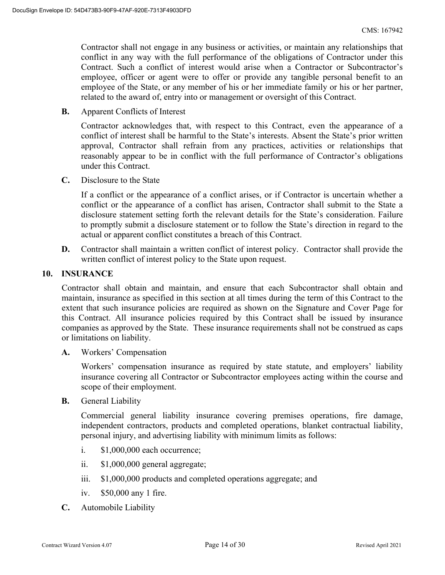Contractor shall not engage in any business or activities, or maintain any relationships that conflict in any way with the full performance of the obligations of Contractor under this Contract. Such a conflict of interest would arise when a Contractor or Subcontractor's employee, officer or agent were to offer or provide any tangible personal benefit to an employee of the State, or any member of his or her immediate family or his or her partner, related to the award of, entry into or management or oversight of this Contract.

**B.** Apparent Conflicts of Interest

Contractor acknowledges that, with respect to this Contract, even the appearance of a conflict of interest shall be harmful to the State's interests. Absent the State's prior written approval, Contractor shall refrain from any practices, activities or relationships that reasonably appear to be in conflict with the full performance of Contractor's obligations under this Contract.

**C.** Disclosure to the State

If a conflict or the appearance of a conflict arises, or if Contractor is uncertain whether a conflict or the appearance of a conflict has arisen, Contractor shall submit to the State a disclosure statement setting forth the relevant details for the State's consideration. Failure to promptly submit a disclosure statement or to follow the State's direction in regard to the actual or apparent conflict constitutes a breach of this Contract.

**D.** Contractor shall maintain a written conflict of interest policy. Contractor shall provide the written conflict of interest policy to the State upon request.

#### **10. INSURANCE**

Contractor shall obtain and maintain, and ensure that each Subcontractor shall obtain and maintain, insurance as specified in this section at all times during the term of this Contract to the extent that such insurance policies are required as shown on the Signature and Cover Page for this Contract. All insurance policies required by this Contract shall be issued by insurance companies as approved by the State. These insurance requirements shall not be construed as caps or limitations on liability.

**A.** Workers' Compensation

 Workers' compensation insurance as required by state statute, and employers' liability insurance covering all Contractor or Subcontractor employees acting within the course and scope of their employment.

**B.** General Liability

Commercial general liability insurance covering premises operations, fire damage, independent contractors, products and completed operations, blanket contractual liability, personal injury, and advertising liability with minimum limits as follows:

- i. \$1,000,000 each occurrence;
- ii. \$1,000,000 general aggregate;
- iii. \$1,000,000 products and completed operations aggregate; and
- iv. \$50,000 any 1 fire.
- **C.** Automobile Liability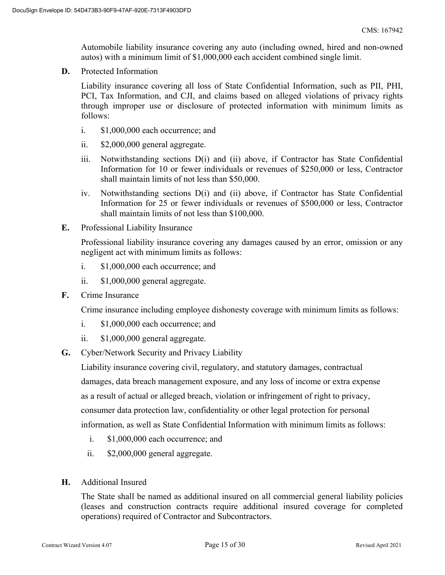Automobile liability insurance covering any auto (including owned, hired and non-owned autos) with a minimum limit of \$1,000,000 each accident combined single limit.

**D.** Protected Information

Liability insurance covering all loss of State Confidential Information, such as PII, PHI, PCI, Tax Information, and CJI, and claims based on alleged violations of privacy rights through improper use or disclosure of protected information with minimum limits as follows:

- i. \$1,000,000 each occurrence; and
- ii. \$2,000,000 general aggregate.
- iii. Notwithstanding sections D(i) and (ii) above, if Contractor has State Confidential Information for 10 or fewer individuals or revenues of \$250,000 or less, Contractor shall maintain limits of not less than \$50,000.
- iv. Notwithstanding sections D(i) and (ii) above, if Contractor has State Confidential Information for 25 or fewer individuals or revenues of \$500,000 or less, Contractor shall maintain limits of not less than \$100,000.
- **E.** Professional Liability Insurance

Professional liability insurance covering any damages caused by an error, omission or any negligent act with minimum limits as follows:

- i. \$1,000,000 each occurrence; and
- ii. \$1,000,000 general aggregate.
- **F.** Crime Insurance

Crime insurance including employee dishonesty coverage with minimum limits as follows:

- i. \$1,000,000 each occurrence; and
- ii. \$1,000,000 general aggregate.
- **G.** Cyber/Network Security and Privacy Liability

Liability insurance covering civil, regulatory, and statutory damages, contractual damages, data breach management exposure, and any loss of income or extra expense as a result of actual or alleged breach, violation or infringement of right to privacy, consumer data protection law, confidentiality or other legal protection for personal information, as well as State Confidential Information with minimum limits as follows:

- i. \$1,000,000 each occurrence; and
- ii. \$2,000,000 general aggregate.
- **H.** Additional Insured

The State shall be named as additional insured on all commercial general liability policies (leases and construction contracts require additional insured coverage for completed operations) required of Contractor and Subcontractors.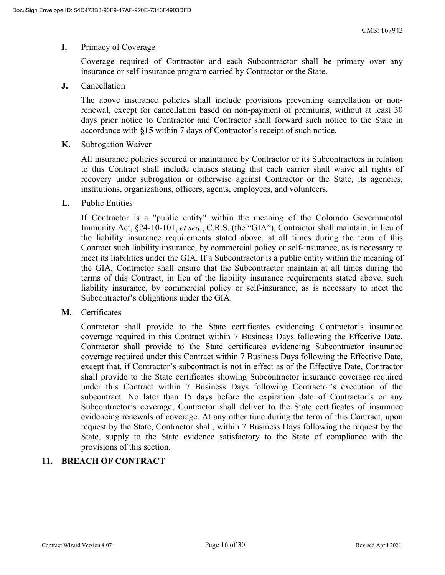#### **I.** Primacy of Coverage

Coverage required of Contractor and each Subcontractor shall be primary over any insurance or self-insurance program carried by Contractor or the State.

**J.** Cancellation

The above insurance policies shall include provisions preventing cancellation or nonrenewal, except for cancellation based on non-payment of premiums, without at least 30 days prior notice to Contractor and Contractor shall forward such notice to the State in accordance with **§15** within 7 days of Contractor's receipt of such notice.

**K.** Subrogation Waiver

All insurance policies secured or maintained by Contractor or its Subcontractors in relation to this Contract shall include clauses stating that each carrier shall waive all rights of recovery under subrogation or otherwise against Contractor or the State, its agencies, institutions, organizations, officers, agents, employees, and volunteers.

**L.** Public Entities

If Contractor is a "public entity" within the meaning of the Colorado Governmental Immunity Act, §24-10-101, *et seq.*, C.R.S. (the "GIA"), Contractor shall maintain, in lieu of the liability insurance requirements stated above, at all times during the term of this Contract such liability insurance, by commercial policy or self-insurance, as is necessary to meet its liabilities under the GIA. If a Subcontractor is a public entity within the meaning of the GIA, Contractor shall ensure that the Subcontractor maintain at all times during the terms of this Contract, in lieu of the liability insurance requirements stated above, such liability insurance, by commercial policy or self-insurance, as is necessary to meet the Subcontractor's obligations under the GIA.

**M.** Certificates

Contractor shall provide to the State certificates evidencing Contractor's insurance coverage required in this Contract within 7 Business Days following the Effective Date. Contractor shall provide to the State certificates evidencing Subcontractor insurance coverage required under this Contract within 7 Business Days following the Effective Date, except that, if Contractor's subcontract is not in effect as of the Effective Date, Contractor shall provide to the State certificates showing Subcontractor insurance coverage required under this Contract within 7 Business Days following Contractor's execution of the subcontract. No later than 15 days before the expiration date of Contractor's or any Subcontractor's coverage, Contractor shall deliver to the State certificates of insurance evidencing renewals of coverage. At any other time during the term of this Contract, upon request by the State, Contractor shall, within 7 Business Days following the request by the State, supply to the State evidence satisfactory to the State of compliance with the provisions of this section.

## **11. BREACH OF CONTRACT**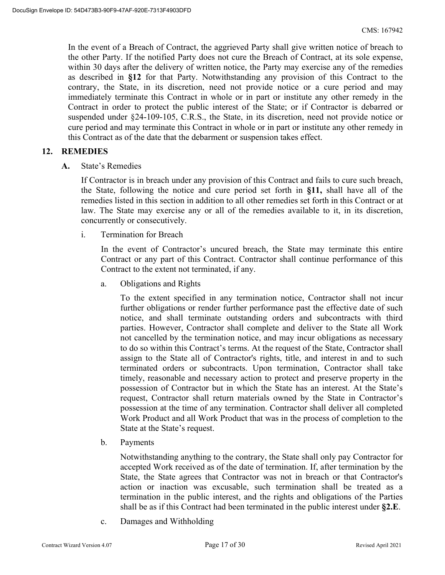In the event of a Breach of Contract, the aggrieved Party shall give written notice of breach to the other Party. If the notified Party does not cure the Breach of Contract, at its sole expense, within 30 days after the delivery of written notice, the Party may exercise any of the remedies as described in **§12** for that Party. Notwithstanding any provision of this Contract to the contrary, the State, in its discretion, need not provide notice or a cure period and may immediately terminate this Contract in whole or in part or institute any other remedy in the Contract in order to protect the public interest of the State; or if Contractor is debarred or suspended under §24-109-105, C.R.S., the State, in its discretion, need not provide notice or cure period and may terminate this Contract in whole or in part or institute any other remedy in this Contract as of the date that the debarment or suspension takes effect.

### **12. REMEDIES**

**A.** State's Remedies

If Contractor is in breach under any provision of this Contract and fails to cure such breach, the State, following the notice and cure period set forth in **§11,** shall have all of the remedies listed in this section in addition to all other remedies set forth in this Contract or at law. The State may exercise any or all of the remedies available to it, in its discretion, concurrently or consecutively.

i. Termination for Breach

In the event of Contractor's uncured breach, the State may terminate this entire Contract or any part of this Contract. Contractor shall continue performance of this Contract to the extent not terminated, if any.

a. Obligations and Rights

To the extent specified in any termination notice, Contractor shall not incur further obligations or render further performance past the effective date of such notice, and shall terminate outstanding orders and subcontracts with third parties. However, Contractor shall complete and deliver to the State all Work not cancelled by the termination notice, and may incur obligations as necessary to do so within this Contract's terms. At the request of the State, Contractor shall assign to the State all of Contractor's rights, title, and interest in and to such terminated orders or subcontracts. Upon termination, Contractor shall take timely, reasonable and necessary action to protect and preserve property in the possession of Contractor but in which the State has an interest. At the State's request, Contractor shall return materials owned by the State in Contractor's possession at the time of any termination. Contractor shall deliver all completed Work Product and all Work Product that was in the process of completion to the State at the State's request.

b. Payments

Notwithstanding anything to the contrary, the State shall only pay Contractor for accepted Work received as of the date of termination. If, after termination by the State, the State agrees that Contractor was not in breach or that Contractor's action or inaction was excusable, such termination shall be treated as a termination in the public interest, and the rights and obligations of the Parties shall be as if this Contract had been terminated in the public interest under **§2.E**.

c. Damages and Withholding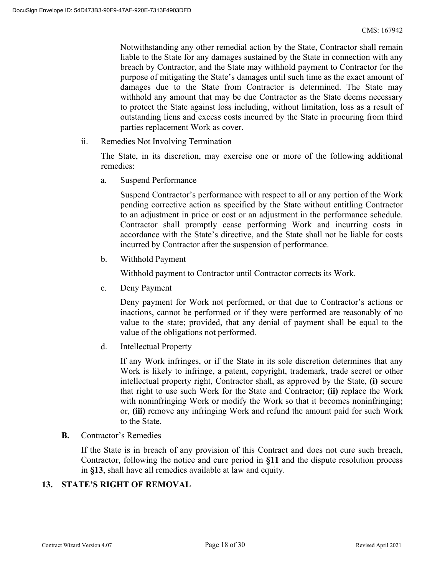Notwithstanding any other remedial action by the State, Contractor shall remain liable to the State for any damages sustained by the State in connection with any breach by Contractor, and the State may withhold payment to Contractor for the purpose of mitigating the State's damages until such time as the exact amount of damages due to the State from Contractor is determined. The State may withhold any amount that may be due Contractor as the State deems necessary to protect the State against loss including, without limitation, loss as a result of outstanding liens and excess costs incurred by the State in procuring from third parties replacement Work as cover.

ii. Remedies Not Involving Termination

The State, in its discretion, may exercise one or more of the following additional remedies:

a. Suspend Performance

Suspend Contractor's performance with respect to all or any portion of the Work pending corrective action as specified by the State without entitling Contractor to an adjustment in price or cost or an adjustment in the performance schedule. Contractor shall promptly cease performing Work and incurring costs in accordance with the State's directive, and the State shall not be liable for costs incurred by Contractor after the suspension of performance.

b. Withhold Payment

Withhold payment to Contractor until Contractor corrects its Work.

c. Deny Payment

Deny payment for Work not performed, or that due to Contractor's actions or inactions, cannot be performed or if they were performed are reasonably of no value to the state; provided, that any denial of payment shall be equal to the value of the obligations not performed.

d. Intellectual Property

If any Work infringes, or if the State in its sole discretion determines that any Work is likely to infringe, a patent, copyright, trademark, trade secret or other intellectual property right, Contractor shall, as approved by the State, **(i)** secure that right to use such Work for the State and Contractor; **(ii)** replace the Work with noninfringing Work or modify the Work so that it becomes noninfringing; or, **(iii)** remove any infringing Work and refund the amount paid for such Work to the State.

**B.** Contractor's Remedies

If the State is in breach of any provision of this Contract and does not cure such breach, Contractor, following the notice and cure period in **§11** and the dispute resolution process in **§13**, shall have all remedies available at law and equity.

## **13. STATE'S RIGHT OF REMOVAL**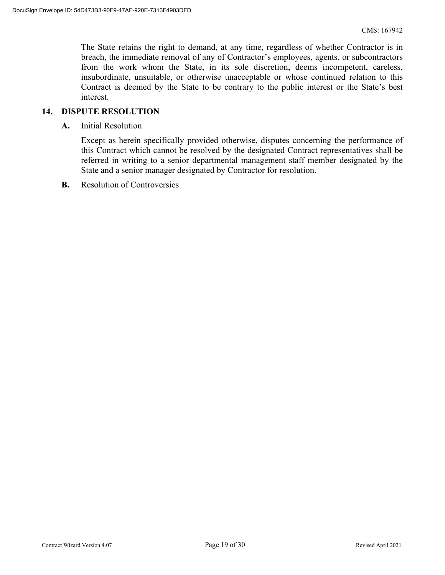The State retains the right to demand, at any time, regardless of whether Contractor is in breach, the immediate removal of any of Contractor's employees, agents, or subcontractors from the work whom the State, in its sole discretion, deems incompetent, careless, insubordinate, unsuitable, or otherwise unacceptable or whose continued relation to this Contract is deemed by the State to be contrary to the public interest or the State's best interest.

#### **14. DISPUTE RESOLUTION**

**A.** Initial Resolution

Except as herein specifically provided otherwise, disputes concerning the performance of this Contract which cannot be resolved by the designated Contract representatives shall be referred in writing to a senior departmental management staff member designated by the State and a senior manager designated by Contractor for resolution.

**B.** Resolution of Controversies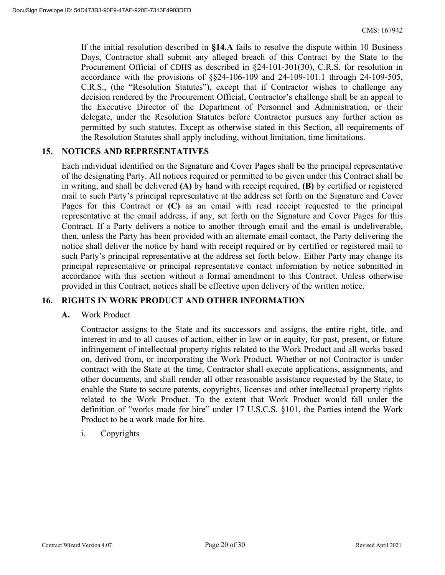If the initial resolution described in **§14.A** fails to resolve the dispute within 10 Business Days, Contractor shall submit any alleged breach of this Contract by the State to the Procurement Official of CDHS as described in §24-101-301(30), C.R.S. for resolution in accordance with the provisions of §§24-106-109 and 24-109-101.1 through 24-109-505, C.R.S., (the "Resolution Statutes"), except that if Contractor wishes to challenge any decision rendered by the Procurement Official, Contractor's challenge shall be an appeal to the Executive Director of the Department of Personnel and Administration, or their delegate, under the Resolution Statutes before Contractor pursues any further action as permitted by such statutes. Except as otherwise stated in this Section, all requirements of the Resolution Statutes shall apply including, without limitation, time limitations.

## **15. NOTICES AND REPRESENTATIVES**

Each individual identified on the Signature and Cover Pages shall be the principal representative of the designating Party. All notices required or permitted to be given under this Contract shall be in writing, and shall be delivered **(A)** by hand with receipt required, **(B)** by certified or registered mail to such Party's principal representative at the address set forth on the Signature and Cover Pages for this Contract or **(C)** as an email with read receipt requested to the principal representative at the email address, if any, set forth on the Signature and Cover Pages for this Contract. If a Party delivers a notice to another through email and the email is undeliverable, then, unless the Party has been provided with an alternate email contact, the Party delivering the notice shall deliver the notice by hand with receipt required or by certified or registered mail to such Party's principal representative at the address set forth below. Either Party may change its principal representative or principal representative contact information by notice submitted in accordance with this section without a formal amendment to this Contract. Unless otherwise provided in this Contract, notices shall be effective upon delivery of the written notice.

## **16. RIGHTS IN WORK PRODUCT AND OTHER INFORMATION**

#### **A.** Work Product

Contractor assigns to the State and its successors and assigns, the entire right, title, and interest in and to all causes of action, either in law or in equity, for past, present, or future infringement of intellectual property rights related to the Work Product and all works based on, derived from, or incorporating the Work Product. Whether or not Contractor is under contract with the State at the time, Contractor shall execute applications, assignments, and other documents, and shall render all other reasonable assistance requested by the State, to enable the State to secure patents, copyrights, licenses and other intellectual property rights related to the Work Product. To the extent that Work Product would fall under the definition of "works made for hire" under 17 U.S.C.S. §101, the Parties intend the Work Product to be a work made for hire.

#### i. Copyrights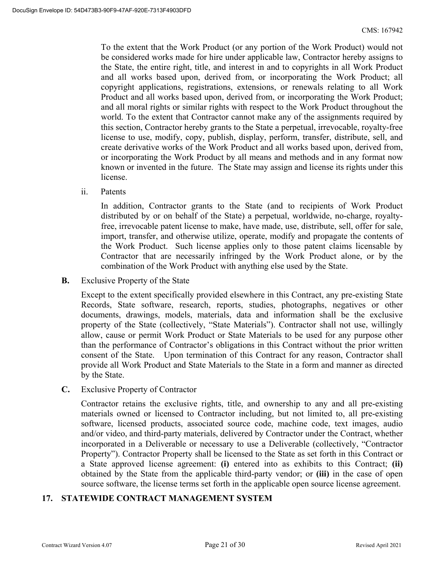To the extent that the Work Product (or any portion of the Work Product) would not be considered works made for hire under applicable law, Contractor hereby assigns to the State, the entire right, title, and interest in and to copyrights in all Work Product and all works based upon, derived from, or incorporating the Work Product; all copyright applications, registrations, extensions, or renewals relating to all Work Product and all works based upon, derived from, or incorporating the Work Product; and all moral rights or similar rights with respect to the Work Product throughout the world. To the extent that Contractor cannot make any of the assignments required by this section, Contractor hereby grants to the State a perpetual, irrevocable, royalty-free license to use, modify, copy, publish, display, perform, transfer, distribute, sell, and create derivative works of the Work Product and all works based upon, derived from, or incorporating the Work Product by all means and methods and in any format now known or invented in the future. The State may assign and license its rights under this license.

ii. Patents

In addition, Contractor grants to the State (and to recipients of Work Product distributed by or on behalf of the State) a perpetual, worldwide, no-charge, royaltyfree, irrevocable patent license to make, have made, use, distribute, sell, offer for sale, import, transfer, and otherwise utilize, operate, modify and propagate the contents of the Work Product. Such license applies only to those patent claims licensable by Contractor that are necessarily infringed by the Work Product alone, or by the combination of the Work Product with anything else used by the State.

**B.** Exclusive Property of the State

Except to the extent specifically provided elsewhere in this Contract, any pre-existing State Records, State software, research, reports, studies, photographs, negatives or other documents, drawings, models, materials, data and information shall be the exclusive property of the State (collectively, "State Materials"). Contractor shall not use, willingly allow, cause or permit Work Product or State Materials to be used for any purpose other than the performance of Contractor's obligations in this Contract without the prior written consent of the State. Upon termination of this Contract for any reason, Contractor shall provide all Work Product and State Materials to the State in a form and manner as directed by the State.

**C.** Exclusive Property of Contractor

Contractor retains the exclusive rights, title, and ownership to any and all pre-existing materials owned or licensed to Contractor including, but not limited to, all pre-existing software, licensed products, associated source code, machine code, text images, audio and/or video, and third-party materials, delivered by Contractor under the Contract, whether incorporated in a Deliverable or necessary to use a Deliverable (collectively, "Contractor Property"). Contractor Property shall be licensed to the State as set forth in this Contract or a State approved license agreement: **(i)** entered into as exhibits to this Contract; **(ii)** obtained by the State from the applicable third-party vendor; or **(iii)** in the case of open source software, the license terms set forth in the applicable open source license agreement.

#### **17. STATEWIDE CONTRACT MANAGEMENT SYSTEM**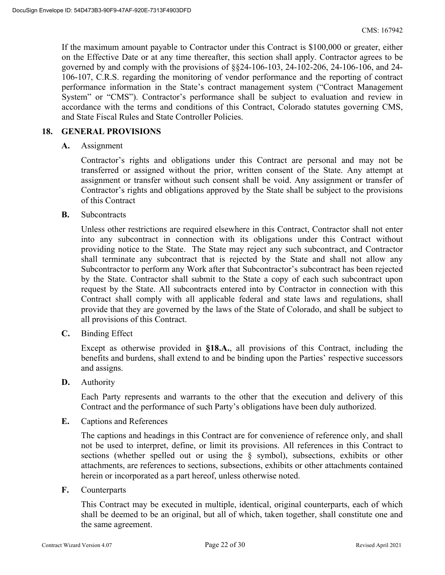If the maximum amount payable to Contractor under this Contract is \$100,000 or greater, either on the Effective Date or at any time thereafter, this section shall apply. Contractor agrees to be governed by and comply with the provisions of §§24-106-103, 24-102-206, 24-106-106, and 24- 106-107, C.R.S. regarding the monitoring of vendor performance and the reporting of contract performance information in the State's contract management system ("Contract Management System" or "CMS"). Contractor's performance shall be subject to evaluation and review in accordance with the terms and conditions of this Contract, Colorado statutes governing CMS, and State Fiscal Rules and State Controller Policies.

#### **18. GENERAL PROVISIONS**

**A.** Assignment

Contractor's rights and obligations under this Contract are personal and may not be transferred or assigned without the prior, written consent of the State. Any attempt at assignment or transfer without such consent shall be void. Any assignment or transfer of Contractor's rights and obligations approved by the State shall be subject to the provisions of this Contract

**B.** Subcontracts

Unless other restrictions are required elsewhere in this Contract, Contractor shall not enter into any subcontract in connection with its obligations under this Contract without providing notice to the State. The State may reject any such subcontract, and Contractor shall terminate any subcontract that is rejected by the State and shall not allow any Subcontractor to perform any Work after that Subcontractor's subcontract has been rejected by the State. Contractor shall submit to the State a copy of each such subcontract upon request by the State. All subcontracts entered into by Contractor in connection with this Contract shall comply with all applicable federal and state laws and regulations, shall provide that they are governed by the laws of the State of Colorado, and shall be subject to all provisions of this Contract.

**C.** Binding Effect

Except as otherwise provided in **§18.A.**, all provisions of this Contract, including the benefits and burdens, shall extend to and be binding upon the Parties' respective successors and assigns.

**D.** Authority

Each Party represents and warrants to the other that the execution and delivery of this Contract and the performance of such Party's obligations have been duly authorized.

**E.** Captions and References

The captions and headings in this Contract are for convenience of reference only, and shall not be used to interpret, define, or limit its provisions. All references in this Contract to sections (whether spelled out or using the § symbol), subsections, exhibits or other attachments, are references to sections, subsections, exhibits or other attachments contained herein or incorporated as a part hereof, unless otherwise noted.

**F.** Counterparts

This Contract may be executed in multiple, identical, original counterparts, each of which shall be deemed to be an original, but all of which, taken together, shall constitute one and the same agreement.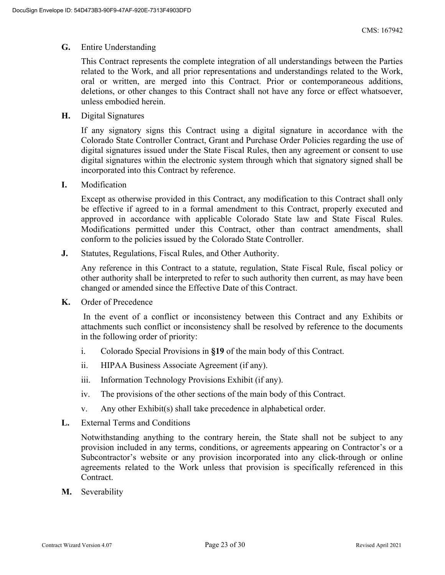#### **G.** Entire Understanding

This Contract represents the complete integration of all understandings between the Parties related to the Work, and all prior representations and understandings related to the Work, oral or written, are merged into this Contract. Prior or contemporaneous additions, deletions, or other changes to this Contract shall not have any force or effect whatsoever, unless embodied herein.

**H.** Digital Signatures

If any signatory signs this Contract using a digital signature in accordance with the Colorado State Controller Contract, Grant and Purchase Order Policies regarding the use of digital signatures issued under the State Fiscal Rules, then any agreement or consent to use digital signatures within the electronic system through which that signatory signed shall be incorporated into this Contract by reference.

**I.** Modification

Except as otherwise provided in this Contract, any modification to this Contract shall only be effective if agreed to in a formal amendment to this Contract, properly executed and approved in accordance with applicable Colorado State law and State Fiscal Rules. Modifications permitted under this Contract, other than contract amendments, shall conform to the policies issued by the Colorado State Controller.

**J.** Statutes, Regulations, Fiscal Rules, and Other Authority.

Any reference in this Contract to a statute, regulation, State Fiscal Rule, fiscal policy or other authority shall be interpreted to refer to such authority then current, as may have been changed or amended since the Effective Date of this Contract.

**K.** Order of Precedence

 In the event of a conflict or inconsistency between this Contract and any Exhibits or attachments such conflict or inconsistency shall be resolved by reference to the documents in the following order of priority:

- i. Colorado Special Provisions in **§19** of the main body of this Contract.
- ii. HIPAA Business Associate Agreement (if any).
- iii. Information Technology Provisions Exhibit (if any).
- iv. The provisions of the other sections of the main body of this Contract.
- v. Any other Exhibit(s) shall take precedence in alphabetical order.
- **L.** External Terms and Conditions

Notwithstanding anything to the contrary herein, the State shall not be subject to any provision included in any terms, conditions, or agreements appearing on Contractor's or a Subcontractor's website or any provision incorporated into any click-through or online agreements related to the Work unless that provision is specifically referenced in this Contract.

**M.** Severability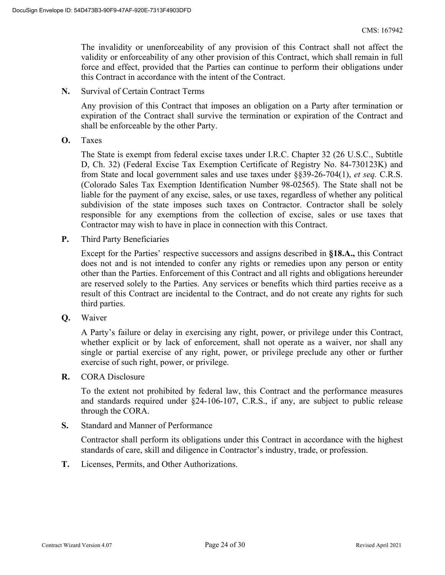The invalidity or unenforceability of any provision of this Contract shall not affect the validity or enforceability of any other provision of this Contract, which shall remain in full force and effect, provided that the Parties can continue to perform their obligations under this Contract in accordance with the intent of the Contract.

**N.** Survival of Certain Contract Terms

Any provision of this Contract that imposes an obligation on a Party after termination or expiration of the Contract shall survive the termination or expiration of the Contract and shall be enforceable by the other Party.

**O.** Taxes

The State is exempt from federal excise taxes under I.R.C. Chapter 32 (26 U.S.C., Subtitle D, Ch. 32) (Federal Excise Tax Exemption Certificate of Registry No. 84-730123K) and from State and local government sales and use taxes under §§39-26-704(1), *et seq.* C.R.S. (Colorado Sales Tax Exemption Identification Number 98-02565). The State shall not be liable for the payment of any excise, sales, or use taxes, regardless of whether any political subdivision of the state imposes such taxes on Contractor. Contractor shall be solely responsible for any exemptions from the collection of excise, sales or use taxes that Contractor may wish to have in place in connection with this Contract.

**P.** Third Party Beneficiaries

Except for the Parties' respective successors and assigns described in **§18.A.,** this Contract does not and is not intended to confer any rights or remedies upon any person or entity other than the Parties. Enforcement of this Contract and all rights and obligations hereunder are reserved solely to the Parties. Any services or benefits which third parties receive as a result of this Contract are incidental to the Contract, and do not create any rights for such third parties.

**Q.** Waiver

A Party's failure or delay in exercising any right, power, or privilege under this Contract, whether explicit or by lack of enforcement, shall not operate as a waiver, nor shall any single or partial exercise of any right, power, or privilege preclude any other or further exercise of such right, power, or privilege.

**R.** CORA Disclosure

To the extent not prohibited by federal law, this Contract and the performance measures and standards required under §24-106-107, C.R.S., if any, are subject to public release through the CORA.

**S.** Standard and Manner of Performance

Contractor shall perform its obligations under this Contract in accordance with the highest standards of care, skill and diligence in Contractor's industry, trade, or profession.

**T.** Licenses, Permits, and Other Authorizations.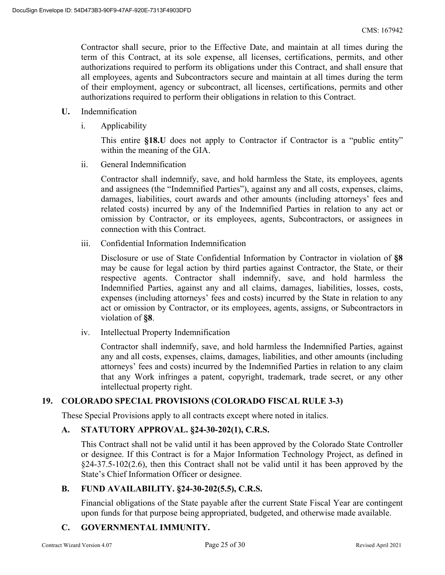Contractor shall secure, prior to the Effective Date, and maintain at all times during the term of this Contract, at its sole expense, all licenses, certifications, permits, and other authorizations required to perform its obligations under this Contract, and shall ensure that all employees, agents and Subcontractors secure and maintain at all times during the term of their employment, agency or subcontract, all licenses, certifications, permits and other authorizations required to perform their obligations in relation to this Contract.

- **U.** Indemnification
	- i. Applicability

This entire **§18.U** does not apply to Contractor if Contractor is a "public entity" within the meaning of the GIA.

ii. General Indemnification

Contractor shall indemnify, save, and hold harmless the State, its employees, agents and assignees (the "Indemnified Parties"), against any and all costs, expenses, claims, damages, liabilities, court awards and other amounts (including attorneys' fees and related costs) incurred by any of the Indemnified Parties in relation to any act or omission by Contractor, or its employees, agents, Subcontractors, or assignees in connection with this Contract.

iii. Confidential Information Indemnification

Disclosure or use of State Confidential Information by Contractor in violation of **§8** may be cause for legal action by third parties against Contractor, the State, or their respective agents. Contractor shall indemnify, save, and hold harmless the Indemnified Parties, against any and all claims, damages, liabilities, losses, costs, expenses (including attorneys' fees and costs) incurred by the State in relation to any act or omission by Contractor, or its employees, agents, assigns, or Subcontractors in violation of **§8**.

iv. Intellectual Property Indemnification

Contractor shall indemnify, save, and hold harmless the Indemnified Parties, against any and all costs, expenses, claims, damages, liabilities, and other amounts (including attorneys' fees and costs) incurred by the Indemnified Parties in relation to any claim that any Work infringes a patent, copyright, trademark, trade secret, or any other intellectual property right.

## **19. COLORADO SPECIAL PROVISIONS (COLORADO FISCAL RULE 3-3)**

These Special Provisions apply to all contracts except where noted in italics.

## **A. STATUTORY APPROVAL. §24-30-202(1), C.R.S.**

This Contract shall not be valid until it has been approved by the Colorado State Controller or designee. If this Contract is for a Major Information Technology Project, as defined in §24-37.5-102(2.6), then this Contract shall not be valid until it has been approved by the State's Chief Information Officer or designee.

#### **B. FUND AVAILABILITY. §24-30-202(5.5), C.R.S.**

Financial obligations of the State payable after the current State Fiscal Year are contingent upon funds for that purpose being appropriated, budgeted, and otherwise made available.

## **C. GOVERNMENTAL IMMUNITY.**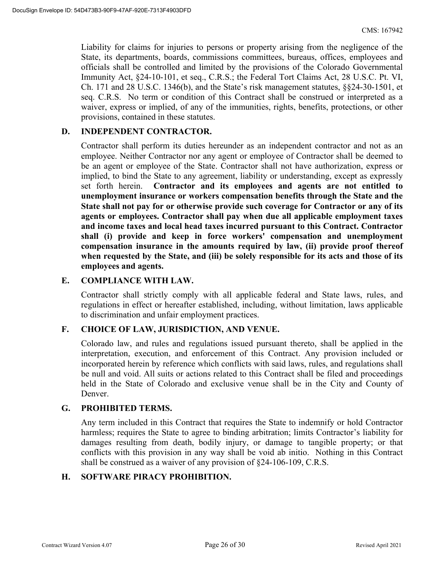Liability for claims for injuries to persons or property arising from the negligence of the State, its departments, boards, commissions committees, bureaus, offices, employees and officials shall be controlled and limited by the provisions of the Colorado Governmental Immunity Act, §24-10-101, et seq., C.R.S.; the Federal Tort Claims Act, 28 U.S.C. Pt. VI, Ch. 171 and 28 U.S.C. 1346(b), and the State's risk management statutes, §§24-30-1501, et seq. C.R.S. No term or condition of this Contract shall be construed or interpreted as a waiver, express or implied, of any of the immunities, rights, benefits, protections, or other provisions, contained in these statutes.

### **D. INDEPENDENT CONTRACTOR.**

Contractor shall perform its duties hereunder as an independent contractor and not as an employee. Neither Contractor nor any agent or employee of Contractor shall be deemed to be an agent or employee of the State. Contractor shall not have authorization, express or implied, to bind the State to any agreement, liability or understanding, except as expressly set forth herein. **Contractor and its employees and agents are not entitled to unemployment insurance or workers compensation benefits through the State and the State shall not pay for or otherwise provide such coverage for Contractor or any of its agents or employees. Contractor shall pay when due all applicable employment taxes and income taxes and local head taxes incurred pursuant to this Contract. Contractor shall (i) provide and keep in force workers' compensation and unemployment compensation insurance in the amounts required by law, (ii) provide proof thereof when requested by the State, and (iii) be solely responsible for its acts and those of its employees and agents.** 

#### **E. COMPLIANCE WITH LAW.**

Contractor shall strictly comply with all applicable federal and State laws, rules, and regulations in effect or hereafter established, including, without limitation, laws applicable to discrimination and unfair employment practices.

#### **F. CHOICE OF LAW, JURISDICTION, AND VENUE.**

Colorado law, and rules and regulations issued pursuant thereto, shall be applied in the interpretation, execution, and enforcement of this Contract. Any provision included or incorporated herein by reference which conflicts with said laws, rules, and regulations shall be null and void. All suits or actions related to this Contract shall be filed and proceedings held in the State of Colorado and exclusive venue shall be in the City and County of Denver.

#### **G. PROHIBITED TERMS.**

Any term included in this Contract that requires the State to indemnify or hold Contractor harmless; requires the State to agree to binding arbitration; limits Contractor's liability for damages resulting from death, bodily injury, or damage to tangible property; or that conflicts with this provision in any way shall be void ab initio. Nothing in this Contract shall be construed as a waiver of any provision of §24-106-109, C.R.S.

#### **H. SOFTWARE PIRACY PROHIBITION.**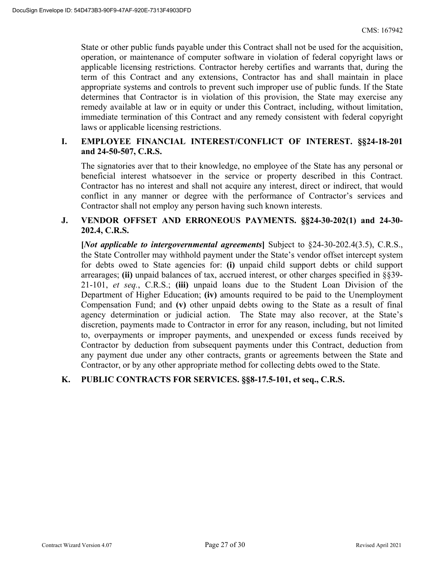State or other public funds payable under this Contract shall not be used for the acquisition, operation, or maintenance of computer software in violation of federal copyright laws or applicable licensing restrictions. Contractor hereby certifies and warrants that, during the term of this Contract and any extensions, Contractor has and shall maintain in place appropriate systems and controls to prevent such improper use of public funds. If the State determines that Contractor is in violation of this provision, the State may exercise any remedy available at law or in equity or under this Contract, including, without limitation, immediate termination of this Contract and any remedy consistent with federal copyright laws or applicable licensing restrictions.

### **I. EMPLOYEE FINANCIAL INTEREST/CONFLICT OF INTEREST. §§24-18-201 and 24-50-507, C.R.S.**

The signatories aver that to their knowledge, no employee of the State has any personal or beneficial interest whatsoever in the service or property described in this Contract. Contractor has no interest and shall not acquire any interest, direct or indirect, that would conflict in any manner or degree with the performance of Contractor's services and Contractor shall not employ any person having such known interests.

#### **J. VENDOR OFFSET AND ERRONEOUS PAYMENTS. §§24-30-202(1) and 24-30- 202.4, C.R.S.**

**[***Not applicable to intergovernmental agreements***]** Subject to §24-30-202.4(3.5), C.R.S., the State Controller may withhold payment under the State's vendor offset intercept system for debts owed to State agencies for: **(i)** unpaid child support debts or child support arrearages; **(ii)** unpaid balances of tax, accrued interest, or other charges specified in §§39- 21-101, *et seq.*, C.R.S.; **(iii)** unpaid loans due to the Student Loan Division of the Department of Higher Education; **(iv)** amounts required to be paid to the Unemployment Compensation Fund; and **(v)** other unpaid debts owing to the State as a result of final agency determination or judicial action. The State may also recover, at the State's discretion, payments made to Contractor in error for any reason, including, but not limited to, overpayments or improper payments, and unexpended or excess funds received by Contractor by deduction from subsequent payments under this Contract, deduction from any payment due under any other contracts, grants or agreements between the State and Contractor, or by any other appropriate method for collecting debts owed to the State.

## **K. PUBLIC CONTRACTS FOR SERVICES. §§8-17.5-101, et seq., C.R.S.**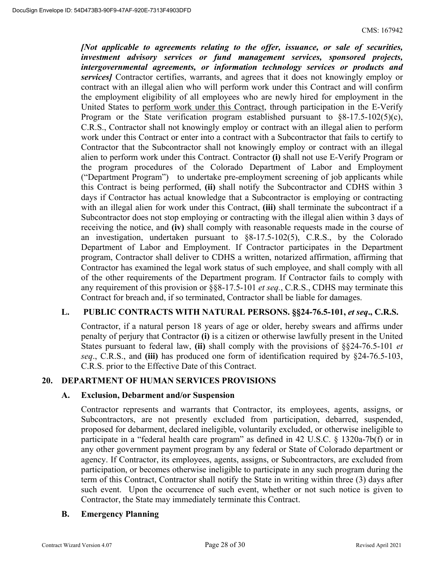*[Not applicable to agreements relating to the offer, issuance, or sale of securities, investment advisory services or fund management services, sponsored projects, intergovernmental agreements, or information technology services or products and services]* Contractor certifies, warrants, and agrees that it does not knowingly employ or contract with an illegal alien who will perform work under this Contract and will confirm the employment eligibility of all employees who are newly hired for employment in the United States to perform work under this Contract, through participation in the E-Verify Program or the State verification program established pursuant to  $\S 8-17.5-102(5)(c)$ , C.R.S., Contractor shall not knowingly employ or contract with an illegal alien to perform work under this Contract or enter into a contract with a Subcontractor that fails to certify to Contractor that the Subcontractor shall not knowingly employ or contract with an illegal alien to perform work under this Contract. Contractor **(i)** shall not use E-Verify Program or the program procedures of the Colorado Department of Labor and Employment ("Department Program") to undertake pre-employment screening of job applicants while this Contract is being performed, **(ii)** shall notify the Subcontractor and CDHS within 3 days if Contractor has actual knowledge that a Subcontractor is employing or contracting with an illegal alien for work under this Contract, **(iii)** shall terminate the subcontract if a Subcontractor does not stop employing or contracting with the illegal alien within 3 days of receiving the notice, and **(iv)** shall comply with reasonable requests made in the course of an investigation, undertaken pursuant to §8-17.5-102(5), C.R.S., by the Colorado Department of Labor and Employment. If Contractor participates in the Department program, Contractor shall deliver to CDHS a written, notarized affirmation, affirming that Contractor has examined the legal work status of such employee, and shall comply with all of the other requirements of the Department program. If Contractor fails to comply with any requirement of this provision or §§8-17.5-101 *et seq.*, C.R.S., CDHS may terminate this Contract for breach and, if so terminated, Contractor shall be liable for damages.

## L. PUBLIC CONTRACTS WITH NATURAL PERSONS. §§24-76.5-101, *et seq.*, C.R.S.

Contractor, if a natural person 18 years of age or older, hereby swears and affirms under penalty of perjury that Contractor **(i)** is a citizen or otherwise lawfully present in the United States pursuant to federal law, **(ii)** shall comply with the provisions of §§24-76.5-101 *et seq*., C.R.S., and **(iii)** has produced one form of identification required by §24-76.5-103, C.R.S. prior to the Effective Date of this Contract.

#### **20. DEPARTMENT OF HUMAN SERVICES PROVISIONS**

#### **A. Exclusion, Debarment and/or Suspension**

Contractor represents and warrants that Contractor, its employees, agents, assigns, or Subcontractors, are not presently excluded from participation, debarred, suspended, proposed for debarment, declared ineligible, voluntarily excluded, or otherwise ineligible to participate in a "federal health care program" as defined in 42 U.S.C. § 1320a-7b(f) or in any other government payment program by any federal or State of Colorado department or agency. If Contractor, its employees, agents, assigns, or Subcontractors, are excluded from participation, or becomes otherwise ineligible to participate in any such program during the term of this Contract, Contractor shall notify the State in writing within three (3) days after such event. Upon the occurrence of such event, whether or not such notice is given to Contractor, the State may immediately terminate this Contract.

#### **B. Emergency Planning**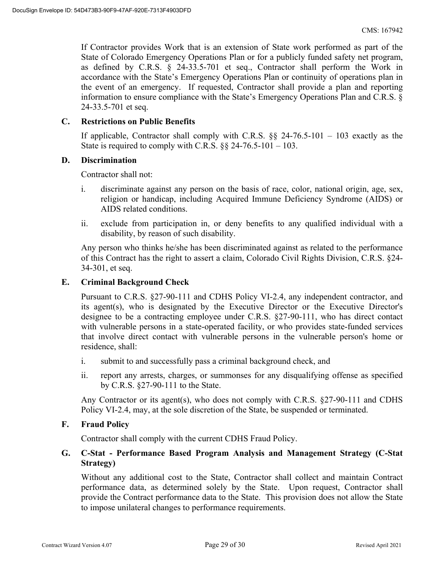If Contractor provides Work that is an extension of State work performed as part of the State of Colorado Emergency Operations Plan or for a publicly funded safety net program, as defined by C.R.S. § 24-33.5-701 et seq., Contractor shall perform the Work in accordance with the State's Emergency Operations Plan or continuity of operations plan in the event of an emergency. If requested, Contractor shall provide a plan and reporting information to ensure compliance with the State's Emergency Operations Plan and C.R.S. § 24-33.5-701 et seq.

#### **C. Restrictions on Public Benefits**

If applicable, Contractor shall comply with C.R.S.  $\S$ § 24-76.5-101 – 103 exactly as the State is required to comply with C.R.S.  $\S$ § 24-76.5-101 – 103.

#### **D. Discrimination**

Contractor shall not:

- i. discriminate against any person on the basis of race, color, national origin, age, sex, religion or handicap, including Acquired Immune Deficiency Syndrome (AIDS) or AIDS related conditions.
- ii. exclude from participation in, or deny benefits to any qualified individual with a disability, by reason of such disability.

Any person who thinks he/she has been discriminated against as related to the performance of this Contract has the right to assert a claim, Colorado Civil Rights Division, C.R.S. §24- 34-301, et seq.

#### **E. Criminal Background Check**

Pursuant to C.R.S. §27-90-111 and CDHS Policy VI-2.4, any independent contractor, and its agent(s), who is designated by the Executive Director or the Executive Director's designee to be a contracting employee under C.R.S. §27-90-111, who has direct contact with vulnerable persons in a state-operated facility, or who provides state-funded services that involve direct contact with vulnerable persons in the vulnerable person's home or residence, shall:

- i. submit to and successfully pass a criminal background check, and
- ii. report any arrests, charges, or summonses for any disqualifying offense as specified by C.R.S. §27-90-111 to the State.

Any Contractor or its agent(s), who does not comply with C.R.S. §27-90-111 and CDHS Policy VI-2.4, may, at the sole discretion of the State, be suspended or terminated.

#### **F. Fraud Policy**

Contractor shall comply with the current CDHS Fraud Policy.

## **G. C-Stat - Performance Based Program Analysis and Management Strategy (C-Stat Strategy)**

Without any additional cost to the State, Contractor shall collect and maintain Contract performance data, as determined solely by the State. Upon request, Contractor shall provide the Contract performance data to the State. This provision does not allow the State to impose unilateral changes to performance requirements.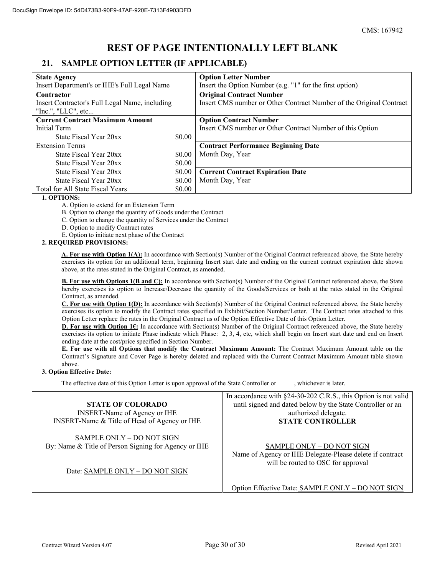## **REST OF PAGE INTENTIONALLY LEFT BLANK**

## **21. SAMPLE OPTION LETTER (IF APPLICABLE)**

| <b>State Agency</b>                            |        | <b>Option Letter Number</b>                                         |  |  |  |  |
|------------------------------------------------|--------|---------------------------------------------------------------------|--|--|--|--|
| Insert Department's or IHE's Full Legal Name   |        | Insert the Option Number (e.g. "1" for the first option)            |  |  |  |  |
| Contractor                                     |        | <b>Original Contract Number</b>                                     |  |  |  |  |
| Insert Contractor's Full Legal Name, including |        | Insert CMS number or Other Contract Number of the Original Contract |  |  |  |  |
| "Inc.", " $LLC$ ", etc                         |        |                                                                     |  |  |  |  |
| <b>Current Contract Maximum Amount</b>         |        | <b>Option Contract Number</b>                                       |  |  |  |  |
| Initial Term                                   |        | Insert CMS number or Other Contract Number of this Option           |  |  |  |  |
| State Fiscal Year 20xx                         | \$0.00 |                                                                     |  |  |  |  |
| <b>Extension Terms</b>                         |        | <b>Contract Performance Beginning Date</b>                          |  |  |  |  |
| State Fiscal Year 20xx                         | \$0.00 | Month Day, Year                                                     |  |  |  |  |
| State Fiscal Year 20xx                         | \$0.00 |                                                                     |  |  |  |  |
| State Fiscal Year 20xx                         | \$0.00 | <b>Current Contract Expiration Date</b>                             |  |  |  |  |
| State Fiscal Year 20xx                         | \$0.00 | Month Day, Year                                                     |  |  |  |  |
| Total for All State Fiscal Years               | \$0.00 |                                                                     |  |  |  |  |

#### **1. OPTIONS:**

A. Option to extend for an Extension Term

B. Option to change the quantity of Goods under the Contract

C. Option to change the quantity of Services under the Contract

D. Option to modify Contract rates

E. Option to initiate next phase of the Contract

#### **2. REQUIRED PROVISIONS:**

**A. For use with Option 1(A):** In accordance with Section(s) Number of the Original Contract referenced above, the State hereby exercises its option for an additional term, beginning Insert start date and ending on the current contract expiration date shown above, at the rates stated in the Original Contract, as amended.

**B. For use with Options 1(B and C):** In accordance with Section(s) Number of the Original Contract referenced above, the State hereby exercises its option to Increase/Decrease the quantity of the Goods/Services or both at the rates stated in the Original Contract, as amended.

**C. For use with Option 1(D):** In accordance with Section(s) Number of the Original Contract referenced above, the State hereby exercises its option to modify the Contract rates specified in Exhibit/Section Number/Letter. The Contract rates attached to this Option Letter replace the rates in the Original Contract as of the Option Effective Date of this Option Letter.

**D. For use with Option 16:** In accordance with Section(s) Number of the Original Contract referenced above, the State hereby exercises its option to initiate Phase indicate which Phase: 2, 3, 4, etc, which shall begin on Insert start date and end on Insert ending date at the cost/price specified in Section Number.

**E. For use with all Options that modify the Contract Maximum Amount:** The Contract Maximum Amount table on the Contract's Signature and Cover Page is hereby deleted and replaced with the Current Contract Maximum Amount table shown above.

#### **3. Option Effective Date:**

The effective date of this Option Letter is upon approval of the State Controller or , whichever is later.

|                                                                                   | In accordance with §24-30-202 C.R.S., this Option is not valid                                                                     |
|-----------------------------------------------------------------------------------|------------------------------------------------------------------------------------------------------------------------------------|
| <b>STATE OF COLORADO</b>                                                          | until signed and dated below by the State Controller or an                                                                         |
| <b>INSERT-Name of Agency or IHE</b>                                               | authorized delegate.                                                                                                               |
| INSERT-Name & Title of Head of Agency or IHE                                      | <b>STATE CONTROLLER</b>                                                                                                            |
| SAMPLE ONLY - DO NOT SIGN<br>By: Name & Title of Person Signing for Agency or IHE | <b>SAMPLE ONLY - DO NOT SIGN</b><br>Name of Agency or IHE Delegate-Please delete if contract<br>will be routed to OSC for approval |
| Date: SAMPLE ONLY - DO NOT SIGN                                                   |                                                                                                                                    |

Option Effective Date: SAMPLE ONLY – DO NOT SIGN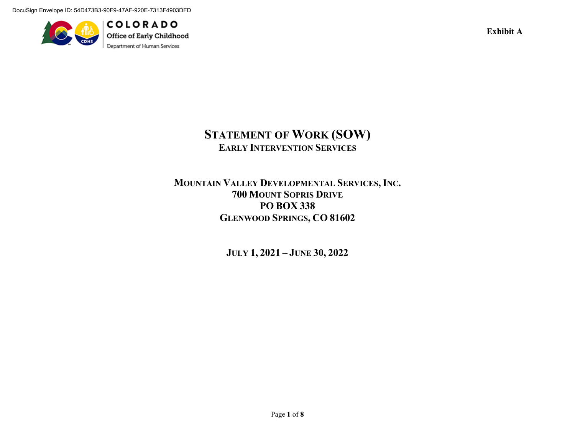DocuSign Envelope ID: 54D473B3-90F9-47AF-920E-7313F4903DFD



**COLORADO** Office of Early Childhood Department of Human Services

**Exhibit A** 

# **STATEMENT OF WORK (SOW) EARLY INTERVENTION SERVICES**

## **MOUNTAIN VALLEY DEVELOPMENTAL SERVICES, INC. 700 MOUNT SOPRIS DRIVE PO BOX 338 GLENWOOD SPRINGS, CO 81602**

**JULY 1, 2021 – JUNE 30, 2022**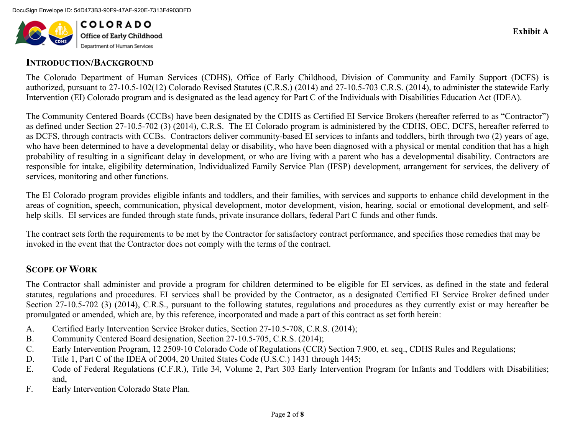

## **INTRODUCTION/BACKGROUND**

The Colorado Department of Human Services (CDHS), Office of Early Childhood, Division of Community and Family Support (DCFS) is authorized, pursuant to 27-10.5-102(12) Colorado Revised Statutes (C.R.S.) (2014) and 27-10.5-703 C.R.S. (2014), to administer the statewide Early Intervention (EI) Colorado program and is designated as the lead agency for Part C of the Individuals with Disabilities Education Act (IDEA).

The Community Centered Boards (CCBs) have been designated by the CDHS as Certified EI Service Brokers (hereafter referred to as "Contractor") as defined under Section 27-10.5-702 (3) (2014), C.R.S. The EI Colorado program is administered by the CDHS, OEC, DCFS, hereafter referred to as DCFS, through contracts with CCBs. Contractors deliver community-based EI services to infants and toddlers, birth through two (2) years of age, who have been determined to have a developmental delay or disability, who have been diagnosed with a physical or mental condition that has a high probability of resulting in a significant delay in development, or who are living with a parent who has a developmental disability. Contractors are responsible for intake, eligibility determination, Individualized Family Service Plan (IFSP) development, arrangement for services, the delivery of services, monitoring and other functions.

The EI Colorado program provides eligible infants and toddlers, and their families, with services and supports to enhance child development in the areas of cognition, speech, communication, physical development, motor development, vision, hearing, social or emotional development, and selfhelp skills. EI services are funded through state funds, private insurance dollars, federal Part C funds and other funds.

The contract sets forth the requirements to be met by the Contractor for satisfactory contract performance, and specifies those remedies that may be invoked in the event that the Contractor does not comply with the terms of the contract.

## **SCOPE OF WORK**

The Contractor shall administer and provide a program for children determined to be eligible for EI services, as defined in the state and federal statutes, regulations and procedures. EI services shall be provided by the Contractor, as a designated Certified EI Service Broker defined under Section 27-10.5-702 (3) (2014), C.R.S., pursuant to the following statutes, regulations and procedures as they currently exist or may hereafter be promulgated or amended, which are, by this reference, incorporated and made a part of this contract as set forth herein:

- A.Certified Early Intervention Service Broker duties, Section 27-10.5-708, C.R.S. (2014);
- B.Community Centered Board designation, Section 27-10.5-705, C.R.S. (2014);
- C.Early Intervention Program, 12 2509-10 Colorado Code of Regulations (CCR) Section 7.900, et. seq., CDHS Rules and Regulations;
- D.Title 1, Part C of the IDEA of 2004, 20 United States Code (U.S.C.) 1431 through 1445;
- E. Code of Federal Regulations (C.F.R.), Title 34, Volume 2, Part 303 Early Intervention Program for Infants and Toddlers with Disabilities; and,
- F.Early Intervention Colorado State Plan.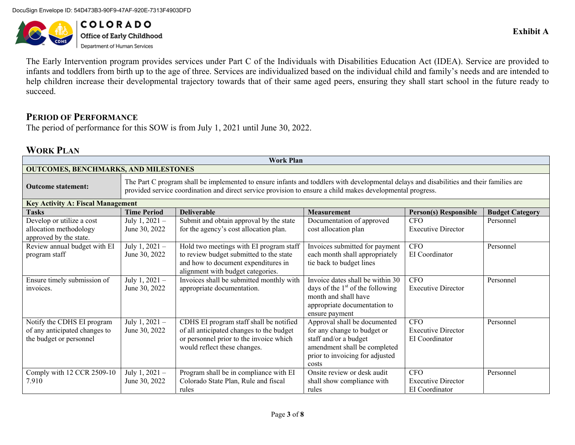DocuSign Envelope ID: 54D473B3-90F9-47AF-920E-7313F4903DFD



**COLORADO Office of Early Childhood**<br>Department of Human Services

The Early Intervention program provides services under Part C of the Individuals with Disabilities Education Act (IDEA). Service are provided to infants and toddlers from birth up to the age of three. Services are individualized based on the individual child and family's needs and are intended to help children increase their developmental trajectory towards that of their same aged peers, ensuring they shall start school in the future ready to succeed.

## **PERIOD OF PERFORMANCE**

The period of performance for this SOW is from July 1, 2021 until June 30, 2022.

## **WORK PLAN**

| <b>Work Plan</b>                            |                                                                                                                                                                                                                                                        |                                                                          |                                    |                              |                        |  |  |  |  |
|---------------------------------------------|--------------------------------------------------------------------------------------------------------------------------------------------------------------------------------------------------------------------------------------------------------|--------------------------------------------------------------------------|------------------------------------|------------------------------|------------------------|--|--|--|--|
| <b>OUTCOMES, BENCHMARKS, AND MILESTONES</b> |                                                                                                                                                                                                                                                        |                                                                          |                                    |                              |                        |  |  |  |  |
| <b>Outcome statement:</b>                   | The Part C program shall be implemented to ensure infants and toddlers with developmental delays and disabilities and their families are<br>provided service coordination and direct service provision to ensure a child makes developmental progress. |                                                                          |                                    |                              |                        |  |  |  |  |
| <b>Key Activity A: Fiscal Management</b>    |                                                                                                                                                                                                                                                        |                                                                          |                                    |                              |                        |  |  |  |  |
| <b>Tasks</b>                                | <b>Time Period</b>                                                                                                                                                                                                                                     | <b>Deliverable</b>                                                       | <b>Measurement</b>                 | <b>Person(s) Responsible</b> | <b>Budget Category</b> |  |  |  |  |
| Develop or utilize a cost                   | July 1, $2021 -$                                                                                                                                                                                                                                       | Submit and obtain approval by the state                                  | Documentation of approved          | <b>CFO</b>                   | Personnel              |  |  |  |  |
| allocation methodology                      | June 30, 2022                                                                                                                                                                                                                                          | for the agency's cost allocation plan.                                   | cost allocation plan               | <b>Executive Director</b>    |                        |  |  |  |  |
| approved by the state.                      |                                                                                                                                                                                                                                                        |                                                                          |                                    |                              |                        |  |  |  |  |
| Review annual budget with EI                | July $1, 2021 -$                                                                                                                                                                                                                                       | Hold two meetings with EI program staff                                  | Invoices submitted for payment     | <b>CFO</b>                   | Personnel              |  |  |  |  |
| program staff                               | June 30, 2022                                                                                                                                                                                                                                          | to review budget submitted to the state                                  | each month shall appropriately     | EI Coordinator               |                        |  |  |  |  |
|                                             |                                                                                                                                                                                                                                                        | and how to document expenditures in<br>alignment with budget categories. | tie back to budget lines           |                              |                        |  |  |  |  |
| Ensure timely submission of                 | July 1, 2021 -                                                                                                                                                                                                                                         | Invoices shall be submitted monthly with                                 | Invoice dates shall be within 30   | <b>CFO</b>                   | Personnel              |  |  |  |  |
| invoices.                                   | June 30, 2022                                                                                                                                                                                                                                          | appropriate documentation.                                               | days of the $1st$ of the following | <b>Executive Director</b>    |                        |  |  |  |  |
|                                             |                                                                                                                                                                                                                                                        |                                                                          | month and shall have               |                              |                        |  |  |  |  |
|                                             |                                                                                                                                                                                                                                                        |                                                                          | appropriate documentation to       |                              |                        |  |  |  |  |
|                                             |                                                                                                                                                                                                                                                        |                                                                          | ensure payment                     |                              |                        |  |  |  |  |
| Notify the CDHS EI program                  | July 1, $2021 -$                                                                                                                                                                                                                                       | CDHS EI program staff shall be notified                                  | Approval shall be documented       | <b>CFO</b>                   | Personnel              |  |  |  |  |
| of any anticipated changes to               | June 30, 2022                                                                                                                                                                                                                                          | of all anticipated changes to the budget                                 | for any change to budget or        | <b>Executive Director</b>    |                        |  |  |  |  |
| the budget or personnel                     |                                                                                                                                                                                                                                                        | or personnel prior to the invoice which                                  | staff and/or a budget              | EI Coordinator               |                        |  |  |  |  |
|                                             |                                                                                                                                                                                                                                                        | would reflect these changes.                                             | amendment shall be completed       |                              |                        |  |  |  |  |
|                                             |                                                                                                                                                                                                                                                        |                                                                          | prior to invoicing for adjusted    |                              |                        |  |  |  |  |
|                                             |                                                                                                                                                                                                                                                        |                                                                          | costs                              |                              |                        |  |  |  |  |
| Comply with 12 CCR 2509-10                  | July $1, 2021 -$                                                                                                                                                                                                                                       | Program shall be in compliance with EI                                   | Onsite review or desk audit        | <b>CFO</b>                   | Personnel              |  |  |  |  |
| 7.910                                       | June 30, 2022                                                                                                                                                                                                                                          | Colorado State Plan, Rule and fiscal                                     | shall show compliance with         | <b>Executive Director</b>    |                        |  |  |  |  |
|                                             |                                                                                                                                                                                                                                                        | rules                                                                    | rules                              | EI Coordinator               |                        |  |  |  |  |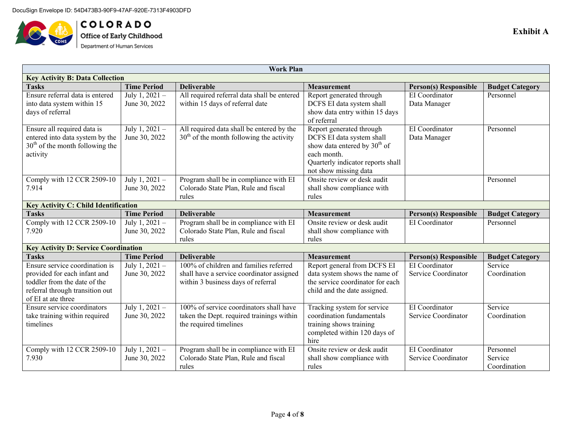

**COLORADO**<br>Office of Early Childhood<br>Department of Human Services

| Work Plan                                   |                                             |                                             |                                          |                              |                        |  |  |  |
|---------------------------------------------|---------------------------------------------|---------------------------------------------|------------------------------------------|------------------------------|------------------------|--|--|--|
| <b>Key Activity B: Data Collection</b>      |                                             |                                             |                                          |                              |                        |  |  |  |
| <b>Tasks</b>                                | <b>Time Period</b>                          | <b>Deliverable</b>                          | <b>Measurement</b>                       | <b>Person(s)</b> Responsible | <b>Budget Category</b> |  |  |  |
| Ensure referral data is entered             | July 1, 2021 -                              | All required referral data shall be entered | Report generated through                 | EI Coordinator               | Personnel              |  |  |  |
| into data system within 15                  | June 30, 2022                               | within 15 days of referral date             | DCFS EI data system shall                | Data Manager                 |                        |  |  |  |
| days of referral                            |                                             |                                             | show data entry within 15 days           |                              |                        |  |  |  |
|                                             |                                             |                                             | of referral                              |                              |                        |  |  |  |
| Ensure all required data is                 | July 1, 2021 -                              | All required data shall be entered by the   | Report generated through                 | EI Coordinator               | Personnel              |  |  |  |
| entered into data system by the             | June 30, 2022                               | $30th$ of the month following the activity  | DCFS EI data system shall                | Data Manager                 |                        |  |  |  |
| $30th$ of the month following the           |                                             |                                             | show data entered by 30 <sup>th</sup> of |                              |                        |  |  |  |
| activity                                    |                                             |                                             | each month.                              |                              |                        |  |  |  |
|                                             |                                             |                                             | Quarterly indicator reports shall        |                              |                        |  |  |  |
|                                             |                                             |                                             | not show missing data                    |                              |                        |  |  |  |
| Comply with 12 CCR 2509-10                  | July 1, 2021 -                              | Program shall be in compliance with EI      | Onsite review or desk audit              |                              | Personnel              |  |  |  |
| 7.914                                       | June 30, 2022                               | Colorado State Plan, Rule and fiscal        | shall show compliance with               |                              |                        |  |  |  |
|                                             |                                             | rules                                       | rules                                    |                              |                        |  |  |  |
|                                             | <b>Key Activity C: Child Identification</b> |                                             |                                          |                              |                        |  |  |  |
| <b>Tasks</b>                                | <b>Time Period</b>                          | <b>Deliverable</b>                          | <b>Measurement</b>                       | <b>Person(s) Responsible</b> | <b>Budget Category</b> |  |  |  |
| Comply with 12 CCR 2509-10                  | July $1, 2021 -$                            | Program shall be in compliance with EI      | Onsite review or desk audit              | EI Coordinator               | Personnel              |  |  |  |
| 7.920                                       | June 30, 2022                               | Colorado State Plan, Rule and fiscal        | shall show compliance with               |                              |                        |  |  |  |
|                                             |                                             | rules                                       | rules                                    |                              |                        |  |  |  |
| <b>Key Activity D: Service Coordination</b> |                                             |                                             |                                          |                              |                        |  |  |  |
| <b>Tasks</b>                                | <b>Time Period</b>                          | <b>Deliverable</b>                          | <b>Measurement</b>                       | <b>Person(s)</b> Responsible | <b>Budget Category</b> |  |  |  |
| Ensure service coordination is              | July 1, 2021 -                              | 100% of children and families referred      | Report general from DCFS EI              | EI Coordinator               | Service                |  |  |  |
| provided for each infant and                | June 30, 2022                               | shall have a service coordinator assigned   | data system shows the name of            | Service Coordinator          | Coordination           |  |  |  |
| toddler from the date of the                |                                             | within 3 business days of referral          | the service coordinator for each         |                              |                        |  |  |  |
| referral through transition out             |                                             |                                             | child and the date assigned.             |                              |                        |  |  |  |
| of EI at ate three                          |                                             |                                             |                                          |                              |                        |  |  |  |
| Ensure service coordinators                 | July 1, 2021 -                              | 100% of service coordinators shall have     | Tracking system for service              | EI Coordinator               | Service                |  |  |  |
| take training within required               | June 30, 2022                               | taken the Dept. required trainings within   | coordination fundamentals                | Service Coordinator          | Coordination           |  |  |  |
| timelines                                   |                                             | the required timelines                      | training shows training                  |                              |                        |  |  |  |
|                                             |                                             |                                             | completed within 120 days of             |                              |                        |  |  |  |
|                                             |                                             |                                             | hire                                     |                              |                        |  |  |  |
| Comply with 12 CCR 2509-10                  | July 1, 2021 -                              | Program shall be in compliance with EI      | Onsite review or desk audit              | EI Coordinator               | Personnel              |  |  |  |
| 7.930                                       | June 30, 2022                               | Colorado State Plan, Rule and fiscal        | shall show compliance with               | Service Coordinator          | Service                |  |  |  |
|                                             |                                             | rules                                       | rules                                    |                              | Coordination           |  |  |  |

Page **4** of **8**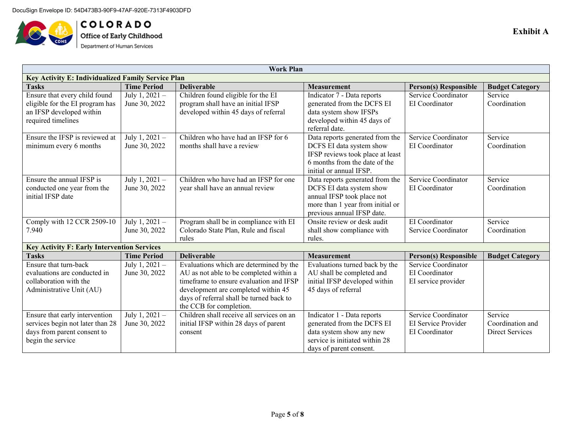

**COLORADO**<br>Office of Early Childhood<br>Department of Human Services

| <b>Work Plan</b>                                                   |                                    |                                                                                    |                                                            |                                                     |                        |  |  |
|--------------------------------------------------------------------|------------------------------------|------------------------------------------------------------------------------------|------------------------------------------------------------|-----------------------------------------------------|------------------------|--|--|
| Key Activity E: Individualized Family Service Plan                 |                                    |                                                                                    |                                                            |                                                     |                        |  |  |
| <b>Tasks</b>                                                       | <b>Time Period</b>                 | <b>Deliverable</b>                                                                 | <b>Measurement</b>                                         | <b>Person(s) Responsible</b>                        | <b>Budget Category</b> |  |  |
| Ensure that every child found                                      | July 1, 2021 -                     | Children found eligible for the EI                                                 | Indicator 7 - Data reports                                 | Service Coordinator                                 | Service                |  |  |
| eligible for the EI program has                                    | June 30, 2022                      | program shall have an initial IFSP                                                 | generated from the DCFS EI                                 | EI Coordinator                                      | Coordination           |  |  |
| an IFSP developed within                                           |                                    | developed within 45 days of referral                                               | data system show IFSPs                                     |                                                     |                        |  |  |
| required timelines                                                 |                                    |                                                                                    | developed within 45 days of                                |                                                     |                        |  |  |
|                                                                    |                                    |                                                                                    | referral date.                                             |                                                     |                        |  |  |
| Ensure the IFSP is reviewed at                                     | July 1, 2021 -                     | Children who have had an IFSP for 6                                                | Data reports generated from the                            | Service Coordinator                                 | Service                |  |  |
| minimum every 6 months                                             | June 30, 2022                      | months shall have a review                                                         | DCFS EI data system show                                   | EI Coordinator                                      | Coordination           |  |  |
|                                                                    |                                    |                                                                                    | IFSP reviews took place at least                           |                                                     |                        |  |  |
|                                                                    |                                    |                                                                                    | 6 months from the date of the                              |                                                     |                        |  |  |
|                                                                    |                                    |                                                                                    | initial or annual IFSP.                                    |                                                     |                        |  |  |
| Ensure the annual IFSP is                                          | $\overline{\text{July 1, 2021}}$ – | Children who have had an IFSP for one                                              | Data reports generated from the                            | Service Coordinator                                 | Service                |  |  |
| conducted one year from the                                        | June 30, 2022                      | year shall have an annual review                                                   | DCFS EI data system show                                   | EI Coordinator                                      | Coordination           |  |  |
| initial IFSP date                                                  |                                    |                                                                                    | annual IFSP took place not                                 |                                                     |                        |  |  |
|                                                                    |                                    |                                                                                    | more than 1 year from initial or                           |                                                     |                        |  |  |
|                                                                    |                                    |                                                                                    | previous annual IFSP date.                                 |                                                     |                        |  |  |
| Comply with 12 CCR 2509-10                                         | July 1, 2021 -                     | Program shall be in compliance with EI                                             | Onsite review or desk audit                                | EI Coordinator                                      | Service                |  |  |
| 7.940                                                              | June 30, 2022                      | Colorado State Plan, Rule and fiscal                                               | shall show compliance with                                 | Service Coordinator                                 | Coordination           |  |  |
|                                                                    |                                    | rules                                                                              | rules.                                                     |                                                     |                        |  |  |
| <b>Key Activity F: Early Intervention Services</b><br><b>Tasks</b> | <b>Time Period</b>                 | <b>Deliverable</b>                                                                 | <b>Measurement</b>                                         |                                                     |                        |  |  |
| Ensure that turn-back                                              |                                    |                                                                                    |                                                            | <b>Person(s) Responsible</b><br>Service Coordinator | <b>Budget Category</b> |  |  |
|                                                                    | July 1, 2021 -                     | Evaluations which are determined by the                                            | Evaluations turned back by the                             | EI Coordinator                                      |                        |  |  |
| evaluations are conducted in<br>collaboration with the             | June 30, 2022                      | AU as not able to be completed within a<br>timeframe to ensure evaluation and IFSP | AU shall be completed and<br>initial IFSP developed within |                                                     |                        |  |  |
| Administrative Unit (AU)                                           |                                    | development are completed within 45                                                | 45 days of referral                                        | EI service provider                                 |                        |  |  |
|                                                                    |                                    | days of referral shall be turned back to                                           |                                                            |                                                     |                        |  |  |
|                                                                    |                                    | the CCB for completion.                                                            |                                                            |                                                     |                        |  |  |
| Ensure that early intervention                                     | July 1, 2021 -                     | Children shall receive all services on an                                          | Indicator 1 - Data reports                                 | Service Coordinator                                 | Service                |  |  |
| services begin not later than 28                                   | June 30, 2022                      | initial IFSP within 28 days of parent                                              | generated from the DCFS EI                                 | EI Service Provider                                 | Coordination and       |  |  |
| days from parent consent to                                        |                                    | consent                                                                            | data system show any new                                   | EI Coordinator                                      | Direct Services        |  |  |
| begin the service                                                  |                                    |                                                                                    | service is initiated within 28                             |                                                     |                        |  |  |
|                                                                    |                                    |                                                                                    | days of parent consent.                                    |                                                     |                        |  |  |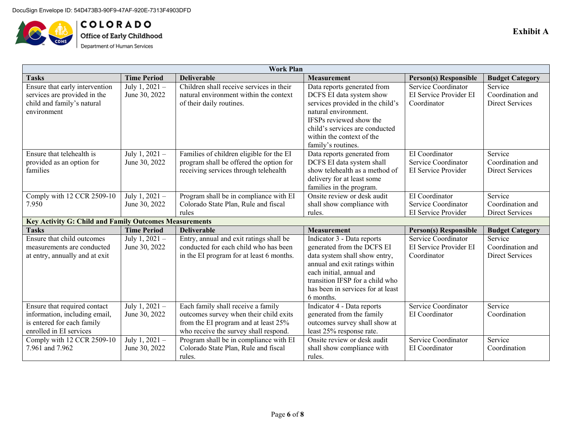

COLORADO Office of Early Childhood<br>Department of Human Services

| Work Plan                                                     |                    |                                          |                                   |                              |                        |  |  |
|---------------------------------------------------------------|--------------------|------------------------------------------|-----------------------------------|------------------------------|------------------------|--|--|
| <b>Tasks</b>                                                  | <b>Time Period</b> | <b>Deliverable</b>                       | <b>Measurement</b>                | <b>Person(s) Responsible</b> | <b>Budget Category</b> |  |  |
| Ensure that early intervention                                | July 1, 2021 -     | Children shall receive services in their | Data reports generated from       | Service Coordinator          | Service                |  |  |
| services are provided in the                                  | June 30, 2022      | natural environment within the context   | DCFS EI data system show          | EI Service Provider EI       | Coordination and       |  |  |
| child and family's natural                                    |                    | of their daily routines.                 | services provided in the child's  | Coordinator                  | <b>Direct Services</b> |  |  |
| environment                                                   |                    |                                          | natural environment.              |                              |                        |  |  |
|                                                               |                    |                                          | IFSPs reviewed show the           |                              |                        |  |  |
|                                                               |                    |                                          | child's services are conducted    |                              |                        |  |  |
|                                                               |                    |                                          | within the context of the         |                              |                        |  |  |
|                                                               |                    |                                          | family's routines.                |                              |                        |  |  |
| Ensure that telehealth is                                     | July 1, 2021 -     | Families of children eligible for the EI | Data reports generated from       | EI Coordinator               | Service                |  |  |
| provided as an option for                                     | June 30, 2022      | program shall be offered the option for  | DCFS EI data system shall         | Service Coordinator          | Coordination and       |  |  |
| families                                                      |                    | receiving services through telehealth    | show telehealth as a method of    | EI Service Provider          | <b>Direct Services</b> |  |  |
|                                                               |                    |                                          | delivery for at least some        |                              |                        |  |  |
|                                                               |                    |                                          | families in the program.          |                              |                        |  |  |
| Comply with 12 CCR 2509-10                                    | July 1, 2021 -     | Program shall be in compliance with EI   | Onsite review or desk audit       | EI Coordinator               | Service                |  |  |
| 7.950                                                         | June 30, 2022      | Colorado State Plan, Rule and fiscal     | shall show compliance with        | Service Coordinator          | Coordination and       |  |  |
|                                                               |                    | rules                                    | rules.                            | EI Service Provider          | <b>Direct Services</b> |  |  |
| <b>Key Activity G: Child and Family Outcomes Measurements</b> |                    |                                          |                                   |                              |                        |  |  |
| <b>Tasks</b>                                                  | <b>Time Period</b> | <b>Deliverable</b>                       | <b>Measurement</b>                | <b>Person(s) Responsible</b> | <b>Budget Category</b> |  |  |
| Ensure that child outcomes                                    | July 1, 2021 -     | Entry, annual and exit ratings shall be  | Indicator 3 - Data reports        | Service Coordinator          | Service                |  |  |
|                                                               |                    |                                          |                                   |                              |                        |  |  |
| measurements are conducted                                    | June 30, 2022      | conducted for each child who has been    | generated from the DCFS EI        | EI Service Provider EI       | Coordination and       |  |  |
| at entry, annually and at exit                                |                    | in the EI program for at least 6 months. | data system shall show entry,     | Coordinator                  | <b>Direct Services</b> |  |  |
|                                                               |                    |                                          | annual and exit ratings within    |                              |                        |  |  |
|                                                               |                    |                                          | each initial, annual and          |                              |                        |  |  |
|                                                               |                    |                                          | transition IFSP for a child who   |                              |                        |  |  |
|                                                               |                    |                                          | has been in services for at least |                              |                        |  |  |
|                                                               |                    |                                          | 6 months.                         |                              |                        |  |  |
| Ensure that required contact                                  | July 1, $2021 -$   | Each family shall receive a family       | Indicator 4 - Data reports        | Service Coordinator          | Service                |  |  |
| information, including email,                                 | June 30, 2022      | outcomes survey when their child exits   | generated from the family         | EI Coordinator               | Coordination           |  |  |
| is entered for each family                                    |                    | from the EI program and at least 25%     | outcomes survey shall show at     |                              |                        |  |  |
| enrolled in EI services                                       |                    | who receive the survey shall respond.    | least 25% response rate.          |                              |                        |  |  |
| Comply with 12 CCR 2509-10                                    | July 1, 2021 -     | Program shall be in compliance with EI   | Onsite review or desk audit       | Service Coordinator          | Service                |  |  |
| 7.961 and 7.962                                               | June 30, 2022      | Colorado State Plan, Rule and fiscal     | shall show compliance with        | EI Coordinator               | Coordination           |  |  |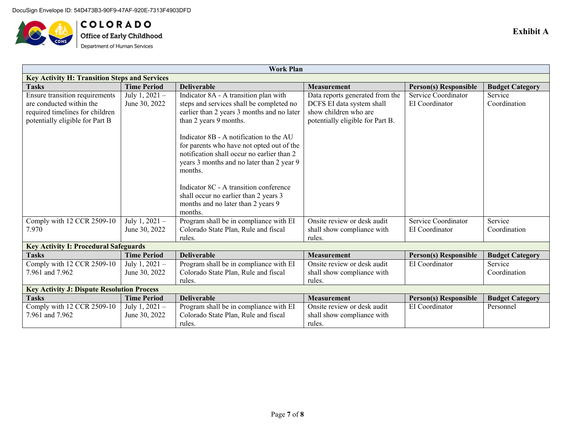

**COLORADO**<br>Office of Early Childhood<br>Department of Human Services

| <b>Work Plan</b>                                  |                                                      |                                            |                                  |                              |                        |  |  |  |
|---------------------------------------------------|------------------------------------------------------|--------------------------------------------|----------------------------------|------------------------------|------------------------|--|--|--|
|                                                   | <b>Key Activity H: Transition Steps and Services</b> |                                            |                                  |                              |                        |  |  |  |
| <b>Tasks</b>                                      | <b>Time Period</b>                                   | <b>Deliverable</b>                         | <b>Measurement</b>               | <b>Person(s) Responsible</b> | <b>Budget Category</b> |  |  |  |
| Ensure transition requirements                    | July 1, $2021 -$                                     | Indicator 8A - A transition plan with      | Data reports generated from the  | Service Coordinator          | Service                |  |  |  |
| are conducted within the                          | June 30, 2022                                        | steps and services shall be completed no   | DCFS EI data system shall        | EI Coordinator               | Coordination           |  |  |  |
| required timelines for children                   |                                                      | earlier than 2 years 3 months and no later | show children who are            |                              |                        |  |  |  |
| potentially eligible for Part B                   |                                                      | than 2 years 9 months.                     | potentially eligible for Part B. |                              |                        |  |  |  |
|                                                   |                                                      |                                            |                                  |                              |                        |  |  |  |
|                                                   |                                                      | Indicator 8B - A notification to the AU    |                                  |                              |                        |  |  |  |
|                                                   |                                                      | for parents who have not opted out of the  |                                  |                              |                        |  |  |  |
|                                                   |                                                      | notification shall occur no earlier than 2 |                                  |                              |                        |  |  |  |
|                                                   |                                                      | years 3 months and no later than 2 year 9  |                                  |                              |                        |  |  |  |
|                                                   |                                                      | months.                                    |                                  |                              |                        |  |  |  |
|                                                   |                                                      |                                            |                                  |                              |                        |  |  |  |
|                                                   |                                                      | Indicator 8C - A transition conference     |                                  |                              |                        |  |  |  |
|                                                   |                                                      | shall occur no earlier than 2 years 3      |                                  |                              |                        |  |  |  |
|                                                   |                                                      | months and no later than 2 years 9         |                                  |                              |                        |  |  |  |
|                                                   |                                                      | months.                                    |                                  |                              |                        |  |  |  |
| Comply with 12 CCR 2509-10                        | July 1, $2021 -$                                     | Program shall be in compliance with EI     | Onsite review or desk audit      | Service Coordinator          | Service                |  |  |  |
| 7.970                                             | June 30, 2022                                        | Colorado State Plan, Rule and fiscal       | shall show compliance with       | EI Coordinator               | Coordination           |  |  |  |
|                                                   |                                                      | rules.                                     | rules.                           |                              |                        |  |  |  |
| <b>Key Activity I: Procedural Safeguards</b>      |                                                      |                                            |                                  |                              |                        |  |  |  |
| <b>Tasks</b>                                      | <b>Time Period</b>                                   | <b>Deliverable</b>                         | <b>Measurement</b>               | <b>Person(s) Responsible</b> | <b>Budget Category</b> |  |  |  |
| Comply with 12 CCR 2509-10                        | July 1, $2021 -$                                     | Program shall be in compliance with EI     | Onsite review or desk audit      | EI Coordinator               | Service                |  |  |  |
| 7.961 and 7.962                                   | June 30, 2022                                        | Colorado State Plan, Rule and fiscal       | shall show compliance with       |                              | Coordination           |  |  |  |
|                                                   |                                                      | rules.                                     | rules.                           |                              |                        |  |  |  |
| <b>Key Activity J: Dispute Resolution Process</b> |                                                      |                                            |                                  |                              |                        |  |  |  |
| <b>Tasks</b>                                      | <b>Time Period</b>                                   | <b>Deliverable</b>                         | <b>Measurement</b>               | <b>Person(s) Responsible</b> | <b>Budget Category</b> |  |  |  |
| Comply with 12 CCR 2509-10                        | July $1, 2021 -$                                     | Program shall be in compliance with EI     | Onsite review or desk audit      | EI Coordinator               | Personnel              |  |  |  |
| 7.961 and 7.962                                   | June 30, 2022                                        | Colorado State Plan, Rule and fiscal       | shall show compliance with       |                              |                        |  |  |  |
|                                                   |                                                      | rules.                                     | rules.                           |                              |                        |  |  |  |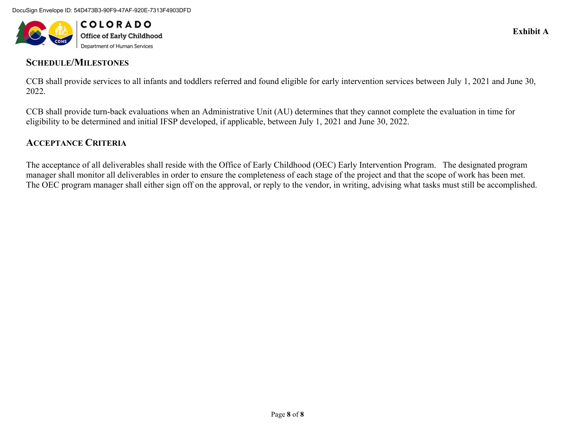

## **SCHEDULE/MILESTONES**

CCB shall provide services to all infants and toddlers referred and found eligible for early intervention services between July 1, 2021 and June 30, 2022.

CCB shall provide turn-back evaluations when an Administrative Unit (AU) determines that they cannot complete the evaluation in time for eligibility to be determined and initial IFSP developed, if applicable, between July 1, 2021 and June 30, 2022.

## **ACCEPTANCE CRITERIA**

The acceptance of all deliverables shall reside with the Office of Early Childhood (OEC) Early Intervention Program. The designated program manager shall monitor all deliverables in order to ensure the completeness of each stage of the project and that the scope of work has been met. The OEC program manager shall either sign off on the approval, or reply to the vendor, in writing, advising what tasks must still be accomplished.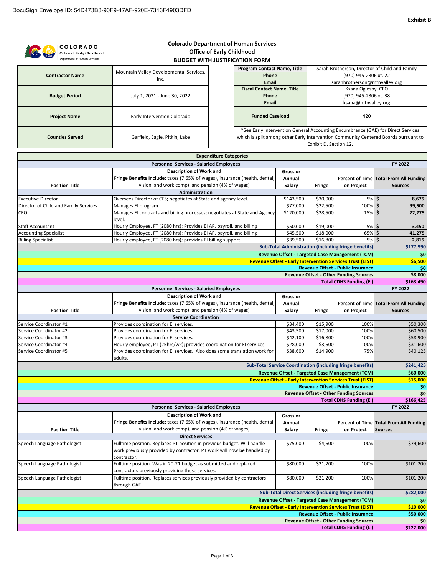|                                                                  | <b>COLORADO</b>              |                                                                                                                                  |                                  | <b>Colorado Department of Human Services</b> |           |                        |                                                                                                                     |                                                                                  |
|------------------------------------------------------------------|------------------------------|----------------------------------------------------------------------------------------------------------------------------------|----------------------------------|----------------------------------------------|-----------|------------------------|---------------------------------------------------------------------------------------------------------------------|----------------------------------------------------------------------------------|
|                                                                  | Office of Early Childhood    |                                                                                                                                  | <b>Office of Early Childhood</b> |                                              |           |                        |                                                                                                                     |                                                                                  |
|                                                                  | Department of Human Services |                                                                                                                                  |                                  | <b>BUDGET WITH JUSTIFICATION FORM</b>        |           |                        |                                                                                                                     |                                                                                  |
|                                                                  |                              |                                                                                                                                  |                                  | Program Contact Name, Title                  |           |                        |                                                                                                                     | Sarah Brotherson, Director of Child and Family                                   |
|                                                                  | <b>Contractor Name</b>       | Mountain Valley Developmental Services,                                                                                          |                                  | Phone                                        |           |                        | (970) 945-2306 xt. 22                                                                                               |                                                                                  |
|                                                                  |                              | Inc.                                                                                                                             |                                  | <b>Email</b>                                 |           |                        | sarahbrotherson@mtnvalley.org                                                                                       |                                                                                  |
|                                                                  |                              |                                                                                                                                  |                                  | <b>Fiscal Contact Name, Title</b>            |           |                        | Ksana Oglesby, CFO                                                                                                  |                                                                                  |
|                                                                  | <b>Budget Period</b>         | July 1, 2021 - June 30, 2022                                                                                                     |                                  | Phone                                        |           |                        | (970) 945-2306 xt. 38                                                                                               |                                                                                  |
|                                                                  |                              |                                                                                                                                  |                                  | Email                                        |           |                        | ksana@mtnvalley.org                                                                                                 |                                                                                  |
|                                                                  |                              |                                                                                                                                  |                                  |                                              |           |                        |                                                                                                                     |                                                                                  |
|                                                                  | <b>Project Name</b>          | Early Intervention Colorado                                                                                                      |                                  | <b>Funded Caseload</b>                       |           |                        | 420                                                                                                                 |                                                                                  |
|                                                                  |                              |                                                                                                                                  |                                  |                                              |           |                        |                                                                                                                     |                                                                                  |
|                                                                  |                              |                                                                                                                                  |                                  |                                              |           |                        |                                                                                                                     | *See Early Intervention General Accounting Encumbrance (GAE) for Direct Services |
|                                                                  | <b>Counties Served</b>       | which is split among other Early Intervention Community Centered Boards pursuant to<br>Garfield, Eagle, Pitkin, Lake             |                                  |                                              |           |                        |                                                                                                                     |                                                                                  |
|                                                                  |                              |                                                                                                                                  |                                  |                                              |           | Exhibit D, Section 12. |                                                                                                                     |                                                                                  |
|                                                                  |                              |                                                                                                                                  | <b>Expenditure Categories</b>    |                                              |           |                        |                                                                                                                     |                                                                                  |
|                                                                  |                              | <b>Personnel Services - Salaried Employees</b>                                                                                   |                                  |                                              |           |                        |                                                                                                                     | FY 2022                                                                          |
|                                                                  |                              | <b>Description of Work and</b>                                                                                                   |                                  |                                              | Gross or  |                        |                                                                                                                     |                                                                                  |
|                                                                  |                              | Fringe Benefits Include: taxes (7.65% of wages), insurance (health, dental,                                                      |                                  |                                              |           |                        |                                                                                                                     |                                                                                  |
|                                                                  |                              | vision, and work comp), and pension (4% of wages)                                                                                |                                  |                                              | Annual    |                        |                                                                                                                     | Percent of Time Total From All Funding                                           |
|                                                                  | <b>Position Title</b>        |                                                                                                                                  |                                  |                                              | Salary    | Fringe                 | on Project                                                                                                          | <b>Sources</b>                                                                   |
| <b>Executive Director</b>                                        |                              | Administration<br>Oversees Director of CFS; negotiates at State and agency level.                                                |                                  |                                              | \$143,500 | \$30,000               | 5% \$                                                                                                               | 8,675                                                                            |
| Director of Child and Family Services                            |                              |                                                                                                                                  |                                  |                                              | \$77,000  | \$22,500               | 100% \$                                                                                                             | 99,500                                                                           |
| CFO                                                              |                              | Manages El program.<br>Manages EI contracts and billing processes; negotiates at State and Agency                                |                                  |                                              | \$120,000 | \$28,500               | 15% \$                                                                                                              | 22,275                                                                           |
|                                                                  |                              | level.                                                                                                                           |                                  |                                              |           |                        |                                                                                                                     |                                                                                  |
| Staff Accountant                                                 |                              | Hourly Employee, FT (2080 hrs); Provides EI AP, payroll, and billing                                                             |                                  |                                              | \$50,000  | \$19,000               | 5% \$                                                                                                               | 3,450                                                                            |
| <b>Accounting Specialist</b>                                     |                              | Hourly Employee, FT (2080 hrs); Provides EI AP, payroll, and billing                                                             |                                  |                                              | \$45,500  | \$18,000               | 65% \$                                                                                                              | 41,275                                                                           |
| <b>Billing Specialist</b>                                        |                              | Hourly employee, FT (2080 hrs); provides EI billing support.                                                                     |                                  |                                              | \$39,500  | \$16,800               | 5%                                                                                                                  | Ś<br>2,815                                                                       |
|                                                                  |                              |                                                                                                                                  |                                  |                                              |           |                        | <b>Sub-Total Administration (including fringe benefits)</b>                                                         | \$177,990                                                                        |
|                                                                  |                              |                                                                                                                                  |                                  |                                              |           |                        |                                                                                                                     |                                                                                  |
|                                                                  |                              |                                                                                                                                  |                                  |                                              |           |                        | Revenue Offset - Targeted Case Management (TCM)<br><b>Revenue Offset - Early Intervention Services Trust (EIST)</b> | \$0                                                                              |
|                                                                  |                              |                                                                                                                                  |                                  |                                              |           |                        | <b>Revenue Offset - Public Insurance</b>                                                                            | \$6,500<br>\$0                                                                   |
|                                                                  |                              |                                                                                                                                  |                                  |                                              |           |                        | <b>Revenue Offset - Other Funding Sources</b>                                                                       | \$8,000                                                                          |
|                                                                  |                              |                                                                                                                                  |                                  |                                              |           |                        | <b>Total CDHS Funding (EI)</b>                                                                                      | \$163,490                                                                        |
|                                                                  |                              | <b>Personnel Services - Salaried Employees</b>                                                                                   |                                  |                                              |           |                        |                                                                                                                     | FY 2022                                                                          |
|                                                                  |                              |                                                                                                                                  |                                  |                                              |           |                        |                                                                                                                     |                                                                                  |
|                                                                  |                              | <b>Description of Work and</b>                                                                                                   |                                  |                                              | Gross or  |                        |                                                                                                                     |                                                                                  |
|                                                                  |                              | Fringe Benefits Include: taxes (7.65% of wages), insurance (health, dental,<br>vision, and work comp), and pension (4% of wages) |                                  |                                              | Annual    |                        |                                                                                                                     | Percent of Time Total From All Funding                                           |
|                                                                  | <b>Position Title</b>        | <b>Service Coordination</b>                                                                                                      |                                  |                                              | Salary    | Fringe                 | on Project                                                                                                          | <b>Sources</b>                                                                   |
| Service Coordinator #1                                           |                              | Provides coordination for EI services.                                                                                           |                                  |                                              | \$34,400  | \$15,900               | 100%                                                                                                                | \$50,300                                                                         |
| Service Coordinator #2                                           |                              | Provides coordination for EI services.                                                                                           |                                  |                                              | \$43,500  | \$17,000               | 100%                                                                                                                | \$60,500                                                                         |
| Service Coordinator #3                                           |                              | Provides coordination for EI services.                                                                                           |                                  |                                              | \$42,100  | \$16,800               | 100%                                                                                                                | \$58,900                                                                         |
| Service Coordinator #4                                           |                              | Hourly employee, PT (25hrs/wk); provides coordination for EI services.                                                           |                                  |                                              | \$28,000  | \$3,600                | 100%                                                                                                                | \$31,600                                                                         |
| Service Coordinator #5                                           |                              | Provides coordination for EI services. Also does some translation work for                                                       |                                  |                                              | \$38,600  | \$14,900               | 75%                                                                                                                 | \$40,125                                                                         |
|                                                                  |                              | adults.                                                                                                                          |                                  |                                              |           |                        |                                                                                                                     |                                                                                  |
|                                                                  |                              |                                                                                                                                  |                                  |                                              |           |                        | <b>Sub-Total Service Coordination (including fringe benefits)</b>                                                   | \$241,425                                                                        |
|                                                                  |                              |                                                                                                                                  |                                  |                                              |           |                        | Revenue Offset - Targeted Case Management (TCM)                                                                     | \$60,000                                                                         |
|                                                                  |                              |                                                                                                                                  |                                  |                                              |           |                        | <b>Revenue Offset - Early Intervention Services Trust (EIST)</b>                                                    | \$15,000                                                                         |
|                                                                  |                              |                                                                                                                                  |                                  |                                              |           |                        | Revenue Offset - Public Insurance                                                                                   | \$0                                                                              |
|                                                                  |                              |                                                                                                                                  |                                  |                                              |           |                        | <b>Revenue Offset - Other Funding Sources</b>                                                                       | \$0                                                                              |
|                                                                  |                              |                                                                                                                                  |                                  |                                              |           |                        | <b>Total CDHS Funding (EI)</b>                                                                                      | \$166,425                                                                        |
|                                                                  |                              | <b>Personnel Services - Salaried Employees</b>                                                                                   |                                  |                                              |           |                        |                                                                                                                     | FY 2022                                                                          |
|                                                                  |                              | <b>Description of Work and</b>                                                                                                   |                                  |                                              | Gross or  |                        |                                                                                                                     |                                                                                  |
|                                                                  |                              | Fringe Benefits Include: taxes (7.65% of wages), insurance (health, dental,                                                      |                                  |                                              | Annual    |                        |                                                                                                                     | Percent of Time Total From All Funding                                           |
|                                                                  | <b>Position Title</b>        | vision, and work comp), and pension (4% of wages)                                                                                |                                  |                                              | Salary    | Fringe                 | on Project                                                                                                          | <b>Sources</b>                                                                   |
|                                                                  |                              | <b>Direct Services</b>                                                                                                           |                                  |                                              |           |                        |                                                                                                                     |                                                                                  |
| Speech Language Pathologist                                      |                              | Fulltime position. Replaces PT position in previous budget. Will handle                                                          |                                  |                                              | \$75,000  | \$4,600                | 100%                                                                                                                | \$79,600                                                                         |
|                                                                  |                              | work previously provided by contractor. PT work will now be handled by                                                           |                                  |                                              |           |                        |                                                                                                                     |                                                                                  |
|                                                                  |                              | contractor.                                                                                                                      |                                  |                                              |           |                        |                                                                                                                     |                                                                                  |
| Speech Language Pathologist                                      |                              | Fulltime position. Was in 20-21 budget as submitted and replaced                                                                 |                                  |                                              | \$80,000  | \$21,200               | 100%                                                                                                                | \$101,200                                                                        |
|                                                                  |                              | contractors previously providing these services.                                                                                 |                                  |                                              |           |                        |                                                                                                                     |                                                                                  |
| Speech Language Pathologist                                      |                              | Fulltime position. Replaces services previously provided by contractors                                                          |                                  |                                              | \$80,000  | \$21,200               | 100%                                                                                                                | \$101,200                                                                        |
|                                                                  |                              | through GAE.                                                                                                                     |                                  |                                              |           |                        |                                                                                                                     |                                                                                  |
|                                                                  |                              |                                                                                                                                  |                                  |                                              |           |                        | <b>Sub-Total Direct Services (including fringe benefits)</b>                                                        | \$282,000                                                                        |
|                                                                  |                              |                                                                                                                                  |                                  |                                              |           |                        | Revenue Offset - Targeted Case Management (TCM)                                                                     | \$0                                                                              |
|                                                                  |                              |                                                                                                                                  |                                  |                                              |           |                        |                                                                                                                     | \$10,000                                                                         |
| <b>Revenue Offset - Early Intervention Services Trust (EIST)</b> |                              |                                                                                                                                  |                                  |                                              |           |                        |                                                                                                                     |                                                                                  |
|                                                                  |                              |                                                                                                                                  |                                  |                                              |           |                        |                                                                                                                     |                                                                                  |
|                                                                  |                              |                                                                                                                                  |                                  |                                              |           |                        | Revenue Offset - Public Insurance<br><b>Revenue Offset - Other Funding Sources</b>                                  | \$50,000<br>\$0                                                                  |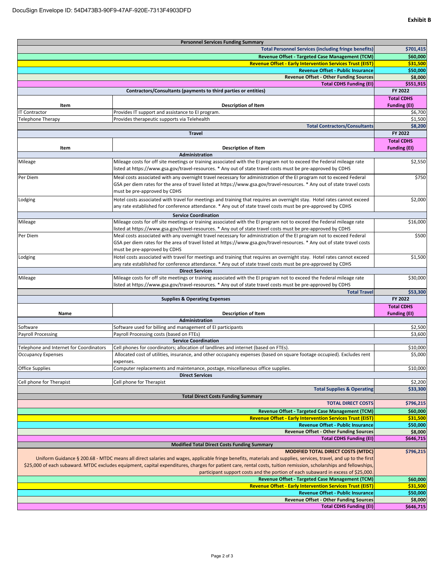| <b>Personnel Services Funding Summary</b>                                                                                                                          |                                                                                                                                                                                                                                      |                                          |  |  |  |
|--------------------------------------------------------------------------------------------------------------------------------------------------------------------|--------------------------------------------------------------------------------------------------------------------------------------------------------------------------------------------------------------------------------------|------------------------------------------|--|--|--|
|                                                                                                                                                                    | <b>Total Personnel Services (including fringe benefits)</b>                                                                                                                                                                          | \$701,415                                |  |  |  |
|                                                                                                                                                                    | Revenue Offset - Targeted Case Management (TCM)                                                                                                                                                                                      | \$60,000                                 |  |  |  |
|                                                                                                                                                                    | <b>Revenue Offset - Early Intervention Services Trust (EIST)</b>                                                                                                                                                                     |                                          |  |  |  |
| <b>Revenue Offset - Public Insurance</b>                                                                                                                           |                                                                                                                                                                                                                                      |                                          |  |  |  |
| <b>Revenue Offset - Other Funding Sources</b>                                                                                                                      |                                                                                                                                                                                                                                      |                                          |  |  |  |
| <b>Total CDHS Funding (EI)</b>                                                                                                                                     |                                                                                                                                                                                                                                      |                                          |  |  |  |
|                                                                                                                                                                    | Contractors/Consultants (payments to third parties or entities)                                                                                                                                                                      | FY 2022                                  |  |  |  |
| Item                                                                                                                                                               | <b>Description of Item</b>                                                                                                                                                                                                           | <b>Total CDHS</b><br><b>Funding (EI)</b> |  |  |  |
| <b>IT Contractor</b>                                                                                                                                               | Provides IT support and assistance to EI program.                                                                                                                                                                                    | \$6,700                                  |  |  |  |
| Telephone Therapy                                                                                                                                                  | Provides therapeutic supports via Telehealth                                                                                                                                                                                         | \$1,500                                  |  |  |  |
|                                                                                                                                                                    | <b>Total Contractors/Consultants</b>                                                                                                                                                                                                 | \$8,200                                  |  |  |  |
| <b>Travel</b>                                                                                                                                                      |                                                                                                                                                                                                                                      |                                          |  |  |  |
|                                                                                                                                                                    |                                                                                                                                                                                                                                      |                                          |  |  |  |
| Item                                                                                                                                                               | <b>Description of Item</b>                                                                                                                                                                                                           | <b>Funding (EI)</b>                      |  |  |  |
|                                                                                                                                                                    | Administration                                                                                                                                                                                                                       |                                          |  |  |  |
| Mileage                                                                                                                                                            | Mileage costs for off site meetings or training associated with the EI program not to exceed the Federal mileage rate                                                                                                                | \$2,550                                  |  |  |  |
|                                                                                                                                                                    | listed at https://www.gsa.gov/travel-resources. * Any out of state travel costs must be pre-approved by CDHS                                                                                                                         |                                          |  |  |  |
| Per Diem                                                                                                                                                           | Meal costs associated with any overnight travel necessary for administration of the EI program not to exceed Federal                                                                                                                 | \$750                                    |  |  |  |
|                                                                                                                                                                    | GSA per diem rates for the area of travel listed at https://www.gsa.gov/travel-resources. * Any out of state travel costs                                                                                                            |                                          |  |  |  |
|                                                                                                                                                                    | must be pre-approved by CDHS                                                                                                                                                                                                         |                                          |  |  |  |
| Lodging                                                                                                                                                            | Hotel costs associated with travel for meetings and training that requires an overnight stay. Hotel rates cannot exceed                                                                                                              | \$2,000                                  |  |  |  |
|                                                                                                                                                                    | any rate established for conference attendance. * Any out of state travel costs must be pre-approved by CDHS                                                                                                                         |                                          |  |  |  |
|                                                                                                                                                                    | <b>Service Coordination</b>                                                                                                                                                                                                          |                                          |  |  |  |
| Mileage                                                                                                                                                            | Mileage costs for off site meetings or training associated with the EI program not to exceed the Federal mileage rate                                                                                                                | \$16,000                                 |  |  |  |
| Per Diem                                                                                                                                                           | listed at https://www.gsa.gov/travel-resources. * Any out of state travel costs must be pre-approved by CDHS<br>Meal costs associated with any overnight travel necessary for administration of the EI program not to exceed Federal | \$500                                    |  |  |  |
|                                                                                                                                                                    | GSA per diem rates for the area of travel listed at https://www.gsa.gov/travel-resources. * Any out of state travel costs                                                                                                            |                                          |  |  |  |
|                                                                                                                                                                    | must be pre-approved by CDHS                                                                                                                                                                                                         |                                          |  |  |  |
| Lodging                                                                                                                                                            | Hotel costs associated with travel for meetings and training that requires an overnight stay. Hotel rates cannot exceed                                                                                                              | \$1,500                                  |  |  |  |
|                                                                                                                                                                    | any rate established for conference attendance. * Any out of state travel costs must be pre-approved by CDHS                                                                                                                         |                                          |  |  |  |
|                                                                                                                                                                    | <b>Direct Services</b>                                                                                                                                                                                                               |                                          |  |  |  |
| Mileage                                                                                                                                                            | Mileage costs for off site meetings or training associated with the EI program not to exceed the Federal mileage rate                                                                                                                | \$30,000                                 |  |  |  |
|                                                                                                                                                                    | listed at https://www.gsa.gov/travel-resources. * Any out of state travel costs must be pre-approved by CDHS                                                                                                                         |                                          |  |  |  |
|                                                                                                                                                                    | <b>Total Travel</b>                                                                                                                                                                                                                  | \$53,300                                 |  |  |  |
|                                                                                                                                                                    | <b>Supplies &amp; Operating Expenses</b>                                                                                                                                                                                             | FY 2022                                  |  |  |  |
| Name                                                                                                                                                               | <b>Description of Item</b>                                                                                                                                                                                                           | <b>Total CDHS</b><br><b>Funding (EI)</b> |  |  |  |
|                                                                                                                                                                    | Administration                                                                                                                                                                                                                       |                                          |  |  |  |
| Software                                                                                                                                                           | Software used for billing and management of EI participants                                                                                                                                                                          | \$2,500                                  |  |  |  |
| Payroll Processing                                                                                                                                                 | Payroll Processing costs (based on FTEs)                                                                                                                                                                                             | \$3,600                                  |  |  |  |
|                                                                                                                                                                    | <b>Service Coordination</b>                                                                                                                                                                                                          |                                          |  |  |  |
| Telephone and Internet for Coordinators                                                                                                                            | Cell phones for coordinators; allocation of landlines and internet (based on FTEs).                                                                                                                                                  | \$10,000                                 |  |  |  |
| <b>Occupancy Expenses</b>                                                                                                                                          | Allocated cost of utilities, insurance, and other occupancy expenses (based on square footage occupied). Excludes rent                                                                                                               | \$5,000                                  |  |  |  |
| Office Supplies                                                                                                                                                    | expenses.<br>Computer replacements and maintenance, postage, miscellaneous office supplies.                                                                                                                                          | \$10,000                                 |  |  |  |
|                                                                                                                                                                    | <b>Direct Services</b>                                                                                                                                                                                                               |                                          |  |  |  |
| Cell phone for Therapist                                                                                                                                           | Cell phone for Therapist                                                                                                                                                                                                             | \$2,200                                  |  |  |  |
|                                                                                                                                                                    | <b>Total Supplies &amp; Operating</b>                                                                                                                                                                                                | \$33,300                                 |  |  |  |
|                                                                                                                                                                    | <b>Total Direct Costs Funding Summary</b>                                                                                                                                                                                            |                                          |  |  |  |
|                                                                                                                                                                    | <b>TOTAL DIRECT COSTS</b>                                                                                                                                                                                                            | \$796,215                                |  |  |  |
|                                                                                                                                                                    | Revenue Offset - Targeted Case Management (TCM)                                                                                                                                                                                      | \$60,000                                 |  |  |  |
|                                                                                                                                                                    | <b>Revenue Offset - Early Intervention Services Trust (EIST)</b>                                                                                                                                                                     | \$31,500<br>\$50,000                     |  |  |  |
| <b>Revenue Offset - Public Insurance</b>                                                                                                                           |                                                                                                                                                                                                                                      |                                          |  |  |  |
| <b>Revenue Offset - Other Funding Sources</b>                                                                                                                      |                                                                                                                                                                                                                                      |                                          |  |  |  |
| <b>Total CDHS Funding (EI)</b><br><b>Modified Total Direct Costs Funding Summary</b>                                                                               |                                                                                                                                                                                                                                      |                                          |  |  |  |
| <b>MODIFIED TOTAL DIRECT COSTS (MTDC)</b>                                                                                                                          |                                                                                                                                                                                                                                      |                                          |  |  |  |
| Uniform Guidance § 200.68 - MTDC means all direct salaries and wages, applicable fringe benefits, materials and supplies, services, travel, and up to the first    |                                                                                                                                                                                                                                      |                                          |  |  |  |
| \$25,000 of each subaward. MTDC excludes equipment, capital expenditures, charges for patient care, rental costs, tuition remission, scholarships and fellowships, |                                                                                                                                                                                                                                      |                                          |  |  |  |
| participant support costs and the portion of each subaward in excess of \$25,000                                                                                   |                                                                                                                                                                                                                                      |                                          |  |  |  |
|                                                                                                                                                                    |                                                                                                                                                                                                                                      |                                          |  |  |  |
|                                                                                                                                                                    | Revenue Offset - Targeted Case Management (TCM)                                                                                                                                                                                      | \$60,000                                 |  |  |  |
|                                                                                                                                                                    | <b>Revenue Offset - Early Intervention Services Trust (EIST)</b>                                                                                                                                                                     | \$31,500                                 |  |  |  |
|                                                                                                                                                                    | Revenue Offset - Public Insurance<br><b>Revenue Offset - Other Funding Sources</b>                                                                                                                                                   | \$50,000<br>\$8,000                      |  |  |  |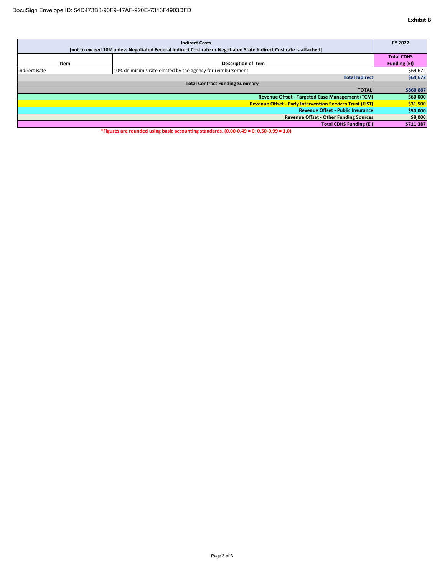| <b>Indirect Costs</b>                                                                                               |                                                             |                     |  |  |
|---------------------------------------------------------------------------------------------------------------------|-------------------------------------------------------------|---------------------|--|--|
| [not to exceed 10% unless Negotiated Federal Indirect Cost rate or Negotiated State Indirect Cost rate is attached] |                                                             |                     |  |  |
|                                                                                                                     |                                                             | <b>Total CDHS</b>   |  |  |
| Item                                                                                                                | <b>Description of Item</b>                                  | <b>Funding (EI)</b> |  |  |
| <b>Indirect Rate</b>                                                                                                | 10% de minimis rate elected by the agency for reimbursement | \$64,672            |  |  |
| <b>Total Indirect</b>                                                                                               |                                                             |                     |  |  |
| <b>Total Contract Funding Summary</b>                                                                               |                                                             |                     |  |  |
|                                                                                                                     | <b>TOTAL</b>                                                | \$860,887           |  |  |
| Revenue Offset - Targeted Case Management (TCM)                                                                     |                                                             |                     |  |  |
| <b>Revenue Offset - Early Intervention Services Trust (EIST)</b>                                                    |                                                             |                     |  |  |
| <b>Revenue Offset - Public Insurance</b>                                                                            |                                                             |                     |  |  |
| <b>Revenue Offset - Other Funding Sources</b>                                                                       |                                                             |                     |  |  |
| <b>Total CDHS Funding (EI)</b>                                                                                      |                                                             |                     |  |  |

**\*Figures are rounded using basic accounting standards. (0.00‐0.49 = 0; 0.50‐0.99 = 1.0)**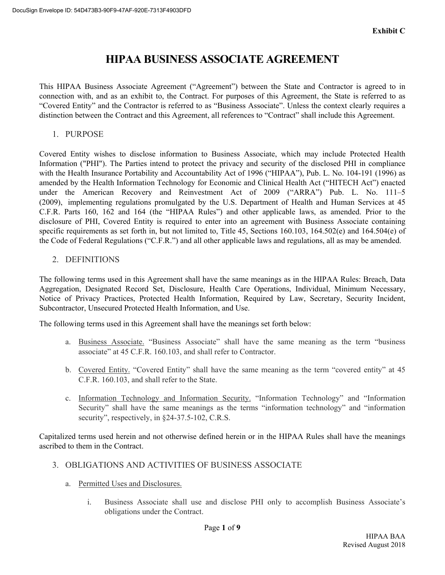# **HIPAA BUSINESS ASSOCIATE AGREEMENT**

This HIPAA Business Associate Agreement ("Agreement") between the State and Contractor is agreed to in connection with, and as an exhibit to, the Contract. For purposes of this Agreement, the State is referred to as "Covered Entity" and the Contractor is referred to as "Business Associate". Unless the context clearly requires a distinction between the Contract and this Agreement, all references to "Contract" shall include this Agreement.

1. PURPOSE

Covered Entity wishes to disclose information to Business Associate, which may include Protected Health Information ("PHI"). The Parties intend to protect the privacy and security of the disclosed PHI in compliance with the Health Insurance Portability and Accountability Act of 1996 ("HIPAA"), Pub. L. No. 104-191 (1996) as amended by the Health Information Technology for Economic and Clinical Health Act ("HITECH Act") enacted under the American Recovery and Reinvestment Act of 2009 ("ARRA") Pub. L. No. 111–5 (2009), implementing regulations promulgated by the U.S. Department of Health and Human Services at 45 C.F.R. Parts 160, 162 and 164 (the "HIPAA Rules") and other applicable laws, as amended. Prior to the disclosure of PHI, Covered Entity is required to enter into an agreement with Business Associate containing specific requirements as set forth in, but not limited to, Title 45, Sections 160.103, 164.502(e) and 164.504(e) of the Code of Federal Regulations ("C.F.R.") and all other applicable laws and regulations, all as may be amended.

2. DEFINITIONS

The following terms used in this Agreement shall have the same meanings as in the HIPAA Rules: Breach, Data Aggregation, Designated Record Set, Disclosure, Health Care Operations, Individual, Minimum Necessary, Notice of Privacy Practices, Protected Health Information, Required by Law, Secretary, Security Incident, Subcontractor, Unsecured Protected Health Information, and Use.

The following terms used in this Agreement shall have the meanings set forth below:

- a. Business Associate. "Business Associate" shall have the same meaning as the term "business associate" at 45 C.F.R. 160.103, and shall refer to Contractor.
- b. Covered Entity. "Covered Entity" shall have the same meaning as the term "covered entity" at 45 C.F.R. 160.103, and shall refer to the State.
- c. Information Technology and Information Security. "Information Technology" and "Information Security" shall have the same meanings as the terms "information technology" and "information security", respectively, in  $§24-37.5-102$ , C.R.S.

Capitalized terms used herein and not otherwise defined herein or in the HIPAA Rules shall have the meanings ascribed to them in the Contract.

- 3. OBLIGATIONS AND ACTIVITIES OF BUSINESS ASSOCIATE
	- a. Permitted Uses and Disclosures.
		- i. Business Associate shall use and disclose PHI only to accomplish Business Associate's obligations under the Contract.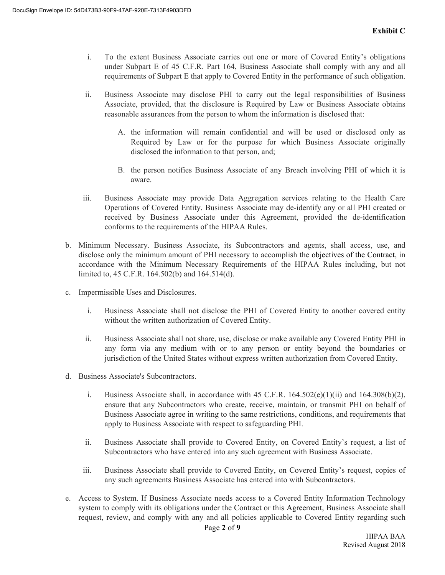- i. To the extent Business Associate carries out one or more of Covered Entity's obligations under Subpart E of 45 C.F.R. Part 164, Business Associate shall comply with any and all requirements of Subpart E that apply to Covered Entity in the performance of such obligation.
- ii. Business Associate may disclose PHI to carry out the legal responsibilities of Business Associate, provided, that the disclosure is Required by Law or Business Associate obtains reasonable assurances from the person to whom the information is disclosed that:
	- A. the information will remain confidential and will be used or disclosed only as Required by Law or for the purpose for which Business Associate originally disclosed the information to that person, and;
	- B. the person notifies Business Associate of any Breach involving PHI of which it is aware.
- iii. Business Associate may provide Data Aggregation services relating to the Health Care Operations of Covered Entity. Business Associate may de-identify any or all PHI created or received by Business Associate under this Agreement, provided the de-identification conforms to the requirements of the HIPAA Rules.
- b. Minimum Necessary. Business Associate, its Subcontractors and agents, shall access, use, and disclose only the minimum amount of PHI necessary to accomplish the objectives of the Contract, in accordance with the Minimum Necessary Requirements of the HIPAA Rules including, but not limited to, 45 C.F.R. 164.502(b) and 164.514(d).
- c. Impermissible Uses and Disclosures.
	- i. Business Associate shall not disclose the PHI of Covered Entity to another covered entity without the written authorization of Covered Entity.
	- ii. Business Associate shall not share, use, disclose or make available any Covered Entity PHI in any form via any medium with or to any person or entity beyond the boundaries or jurisdiction of the United States without express written authorization from Covered Entity.
- d. Business Associate's Subcontractors.
	- i. Business Associate shall, in accordance with 45 C.F.R.  $164.502(e)(1)(ii)$  and  $164.308(b)(2)$ , ensure that any Subcontractors who create, receive, maintain, or transmit PHI on behalf of Business Associate agree in writing to the same restrictions, conditions, and requirements that apply to Business Associate with respect to safeguarding PHI.
	- ii. Business Associate shall provide to Covered Entity, on Covered Entity's request, a list of Subcontractors who have entered into any such agreement with Business Associate.
	- iii. Business Associate shall provide to Covered Entity, on Covered Entity's request, copies of any such agreements Business Associate has entered into with Subcontractors.
- e. Access to System. If Business Associate needs access to a Covered Entity Information Technology system to comply with its obligations under the Contract or this Agreement, Business Associate shall request, review, and comply with any and all policies applicable to Covered Entity regarding such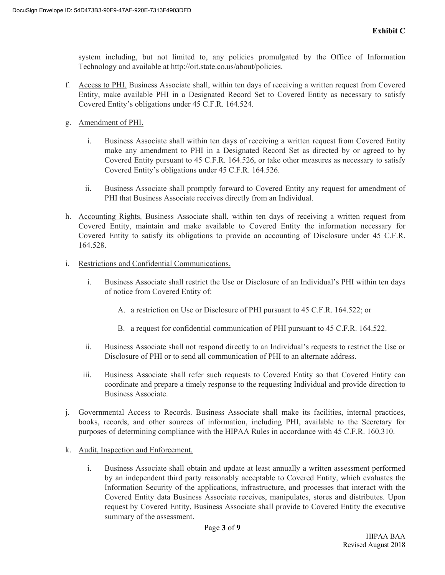system including, but not limited to, any policies promulgated by the Office of Information Technology and available at http://oit.state.co.us/about/policies.

- f. Access to PHI. Business Associate shall, within ten days of receiving a written request from Covered Entity, make available PHI in a Designated Record Set to Covered Entity as necessary to satisfy Covered Entity's obligations under 45 C.F.R. 164.524.
- g. Amendment of PHI.
	- i. Business Associate shall within ten days of receiving a written request from Covered Entity make any amendment to PHI in a Designated Record Set as directed by or agreed to by Covered Entity pursuant to 45 C.F.R. 164.526, or take other measures as necessary to satisfy Covered Entity's obligations under 45 C.F.R. 164.526.
	- ii. Business Associate shall promptly forward to Covered Entity any request for amendment of PHI that Business Associate receives directly from an Individual.
- h. Accounting Rights. Business Associate shall, within ten days of receiving a written request from Covered Entity, maintain and make available to Covered Entity the information necessary for Covered Entity to satisfy its obligations to provide an accounting of Disclosure under 45 C.F.R. 164.528.
- i. Restrictions and Confidential Communications.
	- i. Business Associate shall restrict the Use or Disclosure of an Individual's PHI within ten days of notice from Covered Entity of:
		- A. a restriction on Use or Disclosure of PHI pursuant to 45 C.F.R. 164.522; or
		- B. a request for confidential communication of PHI pursuant to 45 C.F.R. 164.522.
	- ii. Business Associate shall not respond directly to an Individual's requests to restrict the Use or Disclosure of PHI or to send all communication of PHI to an alternate address.
	- iii. Business Associate shall refer such requests to Covered Entity so that Covered Entity can coordinate and prepare a timely response to the requesting Individual and provide direction to Business Associate.
- j. Governmental Access to Records. Business Associate shall make its facilities, internal practices, books, records, and other sources of information, including PHI, available to the Secretary for purposes of determining compliance with the HIPAA Rules in accordance with 45 C.F.R. 160.310.
- k. Audit, Inspection and Enforcement.
	- i. Business Associate shall obtain and update at least annually a written assessment performed by an independent third party reasonably acceptable to Covered Entity, which evaluates the Information Security of the applications, infrastructure, and processes that interact with the Covered Entity data Business Associate receives, manipulates, stores and distributes. Upon request by Covered Entity, Business Associate shall provide to Covered Entity the executive summary of the assessment.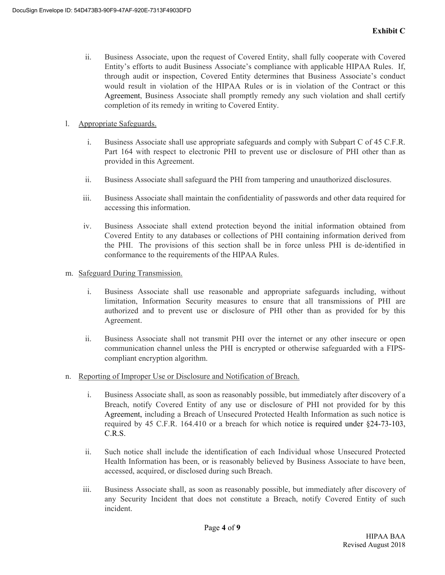- ii. Business Associate, upon the request of Covered Entity, shall fully cooperate with Covered Entity's efforts to audit Business Associate's compliance with applicable HIPAA Rules. If, through audit or inspection, Covered Entity determines that Business Associate's conduct would result in violation of the HIPAA Rules or is in violation of the Contract or this Agreement, Business Associate shall promptly remedy any such violation and shall certify completion of its remedy in writing to Covered Entity.
- l. Appropriate Safeguards.
	- i. Business Associate shall use appropriate safeguards and comply with Subpart C of 45 C.F.R. Part 164 with respect to electronic PHI to prevent use or disclosure of PHI other than as provided in this Agreement.
	- ii. Business Associate shall safeguard the PHI from tampering and unauthorized disclosures.
	- iii. Business Associate shall maintain the confidentiality of passwords and other data required for accessing this information.
	- iv. Business Associate shall extend protection beyond the initial information obtained from Covered Entity to any databases or collections of PHI containing information derived from the PHI. The provisions of this section shall be in force unless PHI is de-identified in conformance to the requirements of the HIPAA Rules.
- m. Safeguard During Transmission.
	- i. Business Associate shall use reasonable and appropriate safeguards including, without limitation, Information Security measures to ensure that all transmissions of PHI are authorized and to prevent use or disclosure of PHI other than as provided for by this Agreement.
	- ii. Business Associate shall not transmit PHI over the internet or any other insecure or open communication channel unless the PHI is encrypted or otherwise safeguarded with a FIPScompliant encryption algorithm.
- n. Reporting of Improper Use or Disclosure and Notification of Breach.
	- i. Business Associate shall, as soon as reasonably possible, but immediately after discovery of a Breach, notify Covered Entity of any use or disclosure of PHI not provided for by this Agreement, including a Breach of Unsecured Protected Health Information as such notice is required by 45 C.F.R. 164.410 or a breach for which notice is required under §24-73-103, C.R.S.
	- ii. Such notice shall include the identification of each Individual whose Unsecured Protected Health Information has been, or is reasonably believed by Business Associate to have been, accessed, acquired, or disclosed during such Breach.
	- iii. Business Associate shall, as soon as reasonably possible, but immediately after discovery of any Security Incident that does not constitute a Breach, notify Covered Entity of such incident.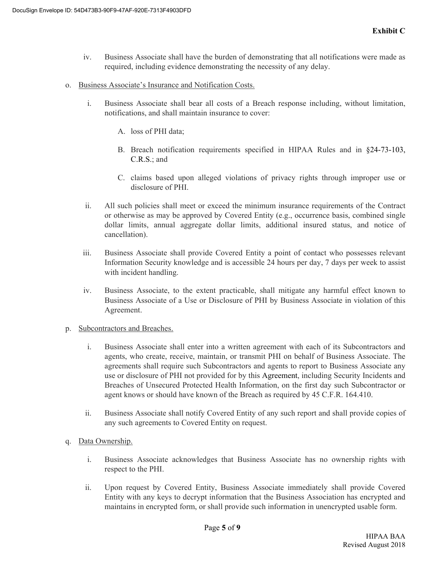- iv. Business Associate shall have the burden of demonstrating that all notifications were made as required, including evidence demonstrating the necessity of any delay.
- o. Business Associate's Insurance and Notification Costs.
	- i. Business Associate shall bear all costs of a Breach response including, without limitation, notifications, and shall maintain insurance to cover:
		- A. loss of PHI data;
		- B. Breach notification requirements specified in HIPAA Rules and in §24-73-103, C.R.S.; and
		- C. claims based upon alleged violations of privacy rights through improper use or disclosure of PHI.
	- ii. All such policies shall meet or exceed the minimum insurance requirements of the Contract or otherwise as may be approved by Covered Entity (e.g., occurrence basis, combined single dollar limits, annual aggregate dollar limits, additional insured status, and notice of cancellation).
	- iii. Business Associate shall provide Covered Entity a point of contact who possesses relevant Information Security knowledge and is accessible 24 hours per day, 7 days per week to assist with incident handling.
	- iv. Business Associate, to the extent practicable, shall mitigate any harmful effect known to Business Associate of a Use or Disclosure of PHI by Business Associate in violation of this Agreement.
- p. Subcontractors and Breaches.
	- i. Business Associate shall enter into a written agreement with each of its Subcontractors and agents, who create, receive, maintain, or transmit PHI on behalf of Business Associate. The agreements shall require such Subcontractors and agents to report to Business Associate any use or disclosure of PHI not provided for by this Agreement, including Security Incidents and Breaches of Unsecured Protected Health Information, on the first day such Subcontractor or agent knows or should have known of the Breach as required by 45 C.F.R. 164.410.
	- ii. Business Associate shall notify Covered Entity of any such report and shall provide copies of any such agreements to Covered Entity on request.
- q. Data Ownership.
	- i. Business Associate acknowledges that Business Associate has no ownership rights with respect to the PHI.
	- ii. Upon request by Covered Entity, Business Associate immediately shall provide Covered Entity with any keys to decrypt information that the Business Association has encrypted and maintains in encrypted form, or shall provide such information in unencrypted usable form.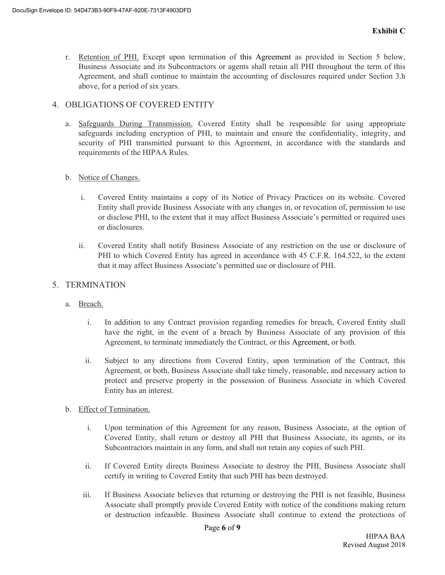r. Retention of PHI. Except upon termination of this Agreement as provided in Section 5 below, Business Associate and its Subcontractors or agents shall retain all PHI throughout the term of this Agreement, and shall continue to maintain the accounting of disclosures required under Section 3.h above, for a period of six years.

#### 4. OBLIGATIONS OF COVERED ENTITY

a. Safeguards During Transmission. Covered Entity shall be responsible for using appropriate safeguards including encryption of PHI, to maintain and ensure the confidentiality, integrity, and security of PHI transmitted pursuant to this Agreement, in accordance with the standards and requirements of the HIPAA Rules.

#### b. Notice of Changes.

- i. Covered Entity maintains a copy of its Notice of Privacy Practices on its website. Covered Entity shall provide Business Associate with any changes in, or revocation of, permission to use or disclose PHI, to the extent that it may affect Business Associate's permitted or required uses or disclosures.
- ii. Covered Entity shall notify Business Associate of any restriction on the use or disclosure of PHI to which Covered Entity has agreed in accordance with 45 C.F.R. 164.522, to the extent that it may affect Business Associate's permitted use or disclosure of PHI.

### 5. TERMINATION

- a. Breach.
	- i. In addition to any Contract provision regarding remedies for breach, Covered Entity shall have the right, in the event of a breach by Business Associate of any provision of this Agreement, to terminate immediately the Contract, or this Agreement, or both.
	- ii. Subject to any directions from Covered Entity, upon termination of the Contract, this Agreement, or both, Business Associate shall take timely, reasonable, and necessary action to protect and preserve property in the possession of Business Associate in which Covered Entity has an interest.
- b. Effect of Termination.
	- i. Upon termination of this Agreement for any reason, Business Associate, at the option of Covered Entity, shall return or destroy all PHI that Business Associate, its agents, or its Subcontractors maintain in any form, and shall not retain any copies of such PHI.
	- ii. If Covered Entity directs Business Associate to destroy the PHI, Business Associate shall certify in writing to Covered Entity that such PHI has been destroyed.
	- iii. If Business Associate believes that returning or destroying the PHI is not feasible, Business Associate shall promptly provide Covered Entity with notice of the conditions making return or destruction infeasible. Business Associate shall continue to extend the protections of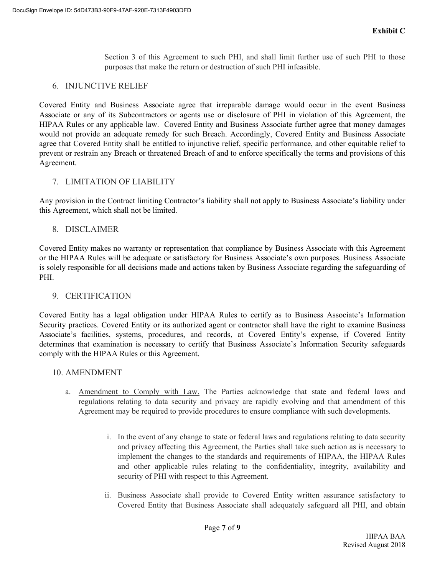Section 3 of this Agreement to such PHI, and shall limit further use of such PHI to those purposes that make the return or destruction of such PHI infeasible.

## 6. INJUNCTIVE RELIEF

Covered Entity and Business Associate agree that irreparable damage would occur in the event Business Associate or any of its Subcontractors or agents use or disclosure of PHI in violation of this Agreement, the HIPAA Rules or any applicable law. Covered Entity and Business Associate further agree that money damages would not provide an adequate remedy for such Breach. Accordingly, Covered Entity and Business Associate agree that Covered Entity shall be entitled to injunctive relief, specific performance, and other equitable relief to prevent or restrain any Breach or threatened Breach of and to enforce specifically the terms and provisions of this Agreement.

## 7. LIMITATION OF LIABILITY

Any provision in the Contract limiting Contractor's liability shall not apply to Business Associate's liability under this Agreement, which shall not be limited.

### 8. DISCLAIMER

Covered Entity makes no warranty or representation that compliance by Business Associate with this Agreement or the HIPAA Rules will be adequate or satisfactory for Business Associate's own purposes. Business Associate is solely responsible for all decisions made and actions taken by Business Associate regarding the safeguarding of PHI.

#### 9. CERTIFICATION

Covered Entity has a legal obligation under HIPAA Rules to certify as to Business Associate's Information Security practices. Covered Entity or its authorized agent or contractor shall have the right to examine Business Associate's facilities, systems, procedures, and records, at Covered Entity's expense, if Covered Entity determines that examination is necessary to certify that Business Associate's Information Security safeguards comply with the HIPAA Rules or this Agreement.

#### 10. AMENDMENT

- a. Amendment to Comply with Law. The Parties acknowledge that state and federal laws and regulations relating to data security and privacy are rapidly evolving and that amendment of this Agreement may be required to provide procedures to ensure compliance with such developments.
	- i. In the event of any change to state or federal laws and regulations relating to data security and privacy affecting this Agreement, the Parties shall take such action as is necessary to implement the changes to the standards and requirements of HIPAA, the HIPAA Rules and other applicable rules relating to the confidentiality, integrity, availability and security of PHI with respect to this Agreement.
	- ii. Business Associate shall provide to Covered Entity written assurance satisfactory to Covered Entity that Business Associate shall adequately safeguard all PHI, and obtain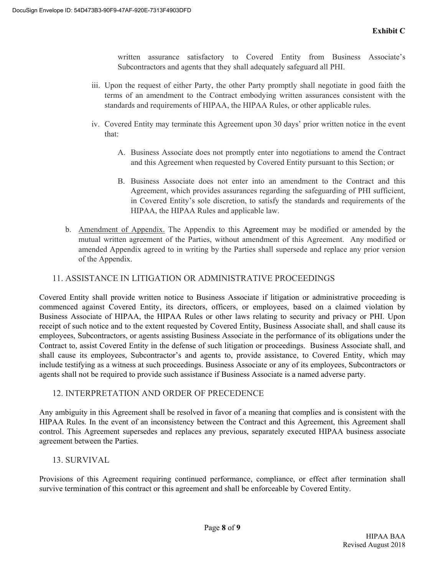written assurance satisfactory to Covered Entity from Business Associate's Subcontractors and agents that they shall adequately safeguard all PHI.

- iii. Upon the request of either Party, the other Party promptly shall negotiate in good faith the terms of an amendment to the Contract embodying written assurances consistent with the standards and requirements of HIPAA, the HIPAA Rules, or other applicable rules.
- iv. Covered Entity may terminate this Agreement upon 30 days' prior written notice in the event that:
	- A. Business Associate does not promptly enter into negotiations to amend the Contract and this Agreement when requested by Covered Entity pursuant to this Section; or
	- B. Business Associate does not enter into an amendment to the Contract and this Agreement, which provides assurances regarding the safeguarding of PHI sufficient, in Covered Entity's sole discretion, to satisfy the standards and requirements of the HIPAA, the HIPAA Rules and applicable law.
- b. Amendment of Appendix. The Appendix to this Agreement may be modified or amended by the mutual written agreement of the Parties, without amendment of this Agreement. Any modified or amended Appendix agreed to in writing by the Parties shall supersede and replace any prior version of the Appendix.

## 11. ASSISTANCE IN LITIGATION OR ADMINISTRATIVE PROCEEDINGS

Covered Entity shall provide written notice to Business Associate if litigation or administrative proceeding is commenced against Covered Entity, its directors, officers, or employees, based on a claimed violation by Business Associate of HIPAA, the HIPAA Rules or other laws relating to security and privacy or PHI. Upon receipt of such notice and to the extent requested by Covered Entity, Business Associate shall, and shall cause its employees, Subcontractors, or agents assisting Business Associate in the performance of its obligations under the Contract to, assist Covered Entity in the defense of such litigation or proceedings. Business Associate shall, and shall cause its employees, Subcontractor's and agents to, provide assistance, to Covered Entity, which may include testifying as a witness at such proceedings. Business Associate or any of its employees, Subcontractors or agents shall not be required to provide such assistance if Business Associate is a named adverse party.

#### 12. INTERPRETATION AND ORDER OF PRECEDENCE

Any ambiguity in this Agreement shall be resolved in favor of a meaning that complies and is consistent with the HIPAA Rules. In the event of an inconsistency between the Contract and this Agreement, this Agreement shall control. This Agreement supersedes and replaces any previous, separately executed HIPAA business associate agreement between the Parties.

## 13. SURVIVAL

Provisions of this Agreement requiring continued performance, compliance, or effect after termination shall survive termination of this contract or this agreement and shall be enforceable by Covered Entity.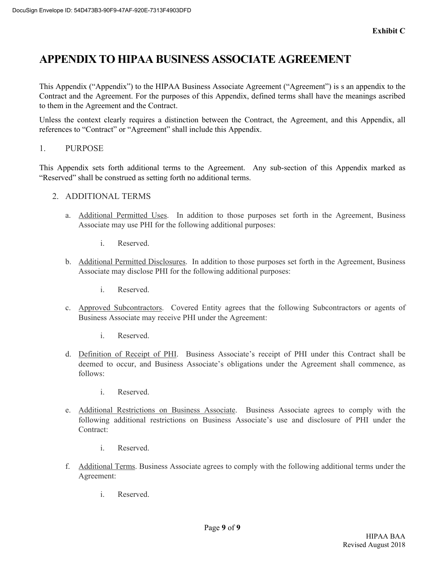# **APPENDIX TO HIPAA BUSINESS ASSOCIATE AGREEMENT**

This Appendix ("Appendix") to the HIPAA Business Associate Agreement ("Agreement") is s an appendix to the Contract and the Agreement. For the purposes of this Appendix, defined terms shall have the meanings ascribed to them in the Agreement and the Contract.

Unless the context clearly requires a distinction between the Contract, the Agreement, and this Appendix, all references to "Contract" or "Agreement" shall include this Appendix.

1. PURPOSE

This Appendix sets forth additional terms to the Agreement. Any sub-section of this Appendix marked as "Reserved" shall be construed as setting forth no additional terms.

- 2. ADDITIONAL TERMS
	- a. Additional Permitted Uses. In addition to those purposes set forth in the Agreement, Business Associate may use PHI for the following additional purposes:
		- i. Reserved.
	- b. Additional Permitted Disclosures. In addition to those purposes set forth in the Agreement, Business Associate may disclose PHI for the following additional purposes:
		- i. Reserved.
	- c. Approved Subcontractors. Covered Entity agrees that the following Subcontractors or agents of Business Associate may receive PHI under the Agreement:
		- i. Reserved.
	- d. Definition of Receipt of PHI. Business Associate's receipt of PHI under this Contract shall be deemed to occur, and Business Associate's obligations under the Agreement shall commence, as follows:
		- i. Reserved.
	- e. Additional Restrictions on Business Associate. Business Associate agrees to comply with the following additional restrictions on Business Associate's use and disclosure of PHI under the Contract:
		- i. Reserved.
	- f. Additional Terms. Business Associate agrees to comply with the following additional terms under the Agreement:
		- i. Reserved.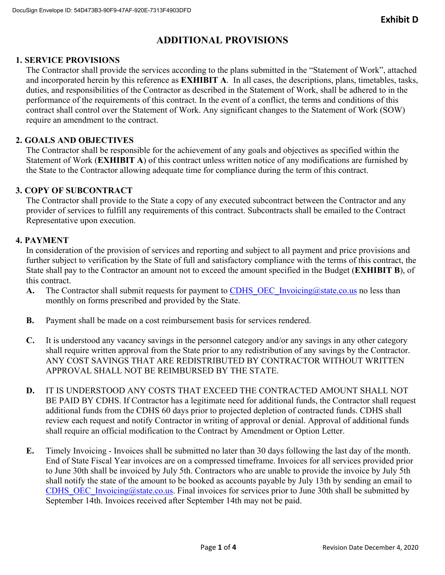## **ADDITIONAL PROVISIONS**

## **1. SERVICE PROVISIONS**

The Contractor shall provide the services according to the plans submitted in the "Statement of Work", attached and incorporated herein by this reference as **EXHIBIT A**. In all cases, the descriptions, plans, timetables, tasks, duties, and responsibilities of the Contractor as described in the Statement of Work, shall be adhered to in the performance of the requirements of this contract. In the event of a conflict, the terms and conditions of this contract shall control over the Statement of Work. Any significant changes to the Statement of Work (SOW) require an amendment to the contract.

## **2. GOALS AND OBJECTIVES**

The Contractor shall be responsible for the achievement of any goals and objectives as specified within the Statement of Work (**EXHIBIT A**) of this contract unless written notice of any modifications are furnished by the State to the Contractor allowing adequate time for compliance during the term of this contract.

## **3. COPY OF SUBCONTRACT**

The Contractor shall provide to the State a copy of any executed subcontract between the Contractor and any provider of services to fulfill any requirements of this contract. Subcontracts shall be emailed to the Contract Representative upon execution.

## **4. PAYMENT**

In consideration of the provision of services and reporting and subject to all payment and price provisions and further subject to verification by the State of full and satisfactory compliance with the terms of this contract, the State shall pay to the Contractor an amount not to exceed the amount specified in the Budget (**EXHIBIT B**), of this contract.

- **A.** The Contractor shall submit requests for payment to CDHS OEC Invoicing@state.co.us no less than monthly on forms prescribed and provided by the State.
- **B.** Payment shall be made on a cost reimbursement basis for services rendered.
- **C.** It is understood any vacancy savings in the personnel category and/or any savings in any other category shall require written approval from the State prior to any redistribution of any savings by the Contractor. ANY COST SAVINGS THAT ARE REDISTRIBUTED BY CONTRACTOR WITHOUT WRITTEN APPROVAL SHALL NOT BE REIMBURSED BY THE STATE.
- **D.** IT IS UNDERSTOOD ANY COSTS THAT EXCEED THE CONTRACTED AMOUNT SHALL NOT BE PAID BY CDHS. If Contractor has a legitimate need for additional funds, the Contractor shall request additional funds from the CDHS 60 days prior to projected depletion of contracted funds. CDHS shall review each request and notify Contractor in writing of approval or denial. Approval of additional funds shall require an official modification to the Contract by Amendment or Option Letter.
- **E.** Timely Invoicing Invoices shall be submitted no later than 30 days following the last day of the month. End of State Fiscal Year invoices are on a compressed timeframe. Invoices for all services provided prior to June 30th shall be invoiced by July 5th. Contractors who are unable to provide the invoice by July 5th shall notify the state of the amount to be booked as accounts payable by July 13th by sending an email to CDHS\_OEC\_Invoicing@state.co.us. Final invoices for services prior to June 30th shall be submitted by September 14th. Invoices received after September 14th may not be paid.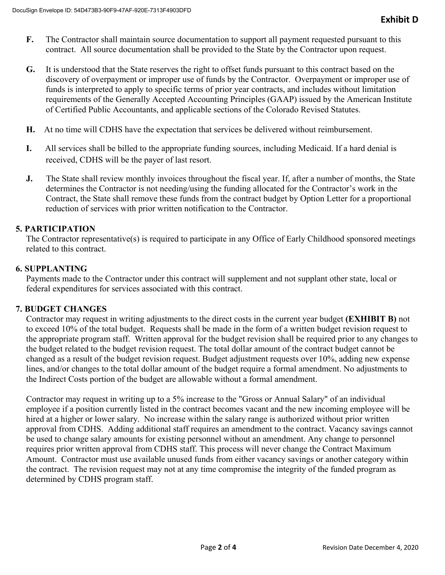- **F.** The Contractor shall maintain source documentation to support all payment requested pursuant to this contract. All source documentation shall be provided to the State by the Contractor upon request.
- **G.** It is understood that the State reserves the right to offset funds pursuant to this contract based on the discovery of overpayment or improper use of funds by the Contractor. Overpayment or improper use of funds is interpreted to apply to specific terms of prior year contracts, and includes without limitation requirements of the Generally Accepted Accounting Principles (GAAP) issued by the American Institute of Certified Public Accountants, and applicable sections of the Colorado Revised Statutes.
- **H.** At no time will CDHS have the expectation that services be delivered without reimbursement.
- **I.** All services shall be billed to the appropriate funding sources, including Medicaid. If a hard denial is received, CDHS will be the payer of last resort.
- **J.** The State shall review monthly invoices throughout the fiscal year. If, after a number of months, the State determines the Contractor is not needing/using the funding allocated for the Contractor's work in the Contract, the State shall remove these funds from the contract budget by Option Letter for a proportional reduction of services with prior written notification to the Contractor.

### **5. PARTICIPATION**

The Contractor representative(s) is required to participate in any Office of Early Childhood sponsored meetings related to this contract.

#### **6. SUPPLANTING**

Payments made to the Contractor under this contract will supplement and not supplant other state, local or federal expenditures for services associated with this contract.

#### **7. BUDGET CHANGES**

Contractor may request in writing adjustments to the direct costs in the current year budget **(EXHIBIT B)** not to exceed 10% of the total budget. Requests shall be made in the form of a written budget revision request to the appropriate program staff. Written approval for the budget revision shall be required prior to any changes to the budget related to the budget revision request. The total dollar amount of the contract budget cannot be changed as a result of the budget revision request. Budget adjustment requests over 10%, adding new expense lines, and/or changes to the total dollar amount of the budget require a formal amendment. No adjustments to the Indirect Costs portion of the budget are allowable without a formal amendment.

Contractor may request in writing up to a 5% increase to the "Gross or Annual Salary" of an individual employee if a position currently listed in the contract becomes vacant and the new incoming employee will be hired at a higher or lower salary. No increase within the salary range is authorized without prior written approval from CDHS. Adding additional staff requires an amendment to the contract. Vacancy savings cannot be used to change salary amounts for existing personnel without an amendment. Any change to personnel requires prior written approval from CDHS staff. This process will never change the Contract Maximum Amount. Contractor must use available unused funds from either vacancy savings or another category within the contract. The revision request may not at any time compromise the integrity of the funded program as determined by CDHS program staff.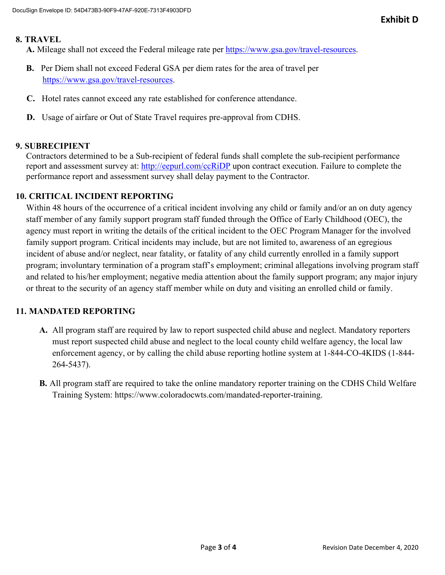#### **8. TRAVEL**

**A.** Mileage shall not exceed the Federal mileage rate per https://www.gsa.gov/travel-resources.

- **B.** Per Diem shall not exceed Federal GSA per diem rates for the area of travel per https://www.gsa.gov/travel-resources.
- **C.** Hotel rates cannot exceed any rate established for conference attendance.
- **D.** Usage of airfare or Out of State Travel requires pre-approval from CDHS.

## **9. SUBRECIPIENT**

Contractors determined to be a Sub-recipient of federal funds shall complete the sub-recipient performance report and assessment survey at: http://eepurl.com/ccRiDP upon contract execution. Failure to complete the performance report and assessment survey shall delay payment to the Contractor.

## **10. CRITICAL INCIDENT REPORTING**

Within 48 hours of the occurrence of a critical incident involving any child or family and/or an on duty agency staff member of any family support program staff funded through the Office of Early Childhood (OEC), the agency must report in writing the details of the critical incident to the OEC Program Manager for the involved family support program. Critical incidents may include, but are not limited to, awareness of an egregious incident of abuse and/or neglect, near fatality, or fatality of any child currently enrolled in a family support program; involuntary termination of a program staff's employment; criminal allegations involving program staff and related to his/her employment; negative media attention about the family support program; any major injury or threat to the security of an agency staff member while on duty and visiting an enrolled child or family.

## **11. MANDATED REPORTING**

- **A.** All program staff are required by law to report suspected child abuse and neglect. Mandatory reporters must report suspected child abuse and neglect to the local county child welfare agency, the local law enforcement agency, or by calling the child abuse reporting hotline system at 1-844-CO-4KIDS (1-844- 264-5437).
- **B.** All program staff are required to take the online mandatory reporter training on the CDHS Child Welfare Training System: https://www.coloradocwts.com/mandated-reporter-training.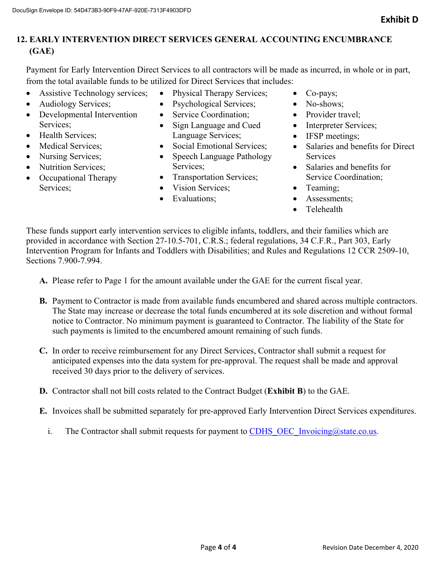## **12. EARLY INTERVENTION DIRECT SERVICES GENERAL ACCOUNTING ENCUMBRANCE (GAE)**

Payment for Early Intervention Direct Services to all contractors will be made as incurred, in whole or in part, from the total available funds to be utilized for Direct Services that includes:

- Assistive Technology services;
- Audiology Services;
- Developmental Intervention Services;
- Health Services;
- Medical Services:
- Nursing Services;
- Nutrition Services;
- Occupational Therapy Services;
- Physical Therapy Services;
- Psychological Services;
- Service Coordination:
- Sign Language and Cued Language Services;
- Social Emotional Services;
- Speech Language Pathology Services;
- Transportation Services;
- Vision Services:
- Evaluations:
- Co-pays;
- No-shows;
- Provider travel:
- Interpreter Services;
- IFSP meetings;
- Salaries and benefits for Direct **Services**
- Salaries and benefits for Service Coordination;
- Teaming:
- Assessments;
- **•** Telehealth

These funds support early intervention services to eligible infants, toddlers, and their families which are provided in accordance with Section 27-10.5-701, C.R.S.; federal regulations, 34 C.F.R., Part 303, Early Intervention Program for Infants and Toddlers with Disabilities; and Rules and Regulations 12 CCR 2509-10, Sections 7.900-7.994.

- **A.** Please refer to Page 1 for the amount available under the GAE for the current fiscal year.
- **B.** Payment to Contractor is made from available funds encumbered and shared across multiple contractors. The State may increase or decrease the total funds encumbered at its sole discretion and without formal notice to Contractor. No minimum payment is guaranteed to Contractor. The liability of the State for such payments is limited to the encumbered amount remaining of such funds.
- **C.** In order to receive reimbursement for any Direct Services, Contractor shall submit a request for anticipated expenses into the data system for pre-approval. The request shall be made and approval received 30 days prior to the delivery of services.
- **D.** Contractor shall not bill costs related to the Contract Budget (**Exhibit B**) to the GAE.
- **E.** Invoices shall be submitted separately for pre-approved Early Intervention Direct Services expenditures.
	- i. The Contractor shall submit requests for payment to CDHS OEC Invoicing@state.co.us.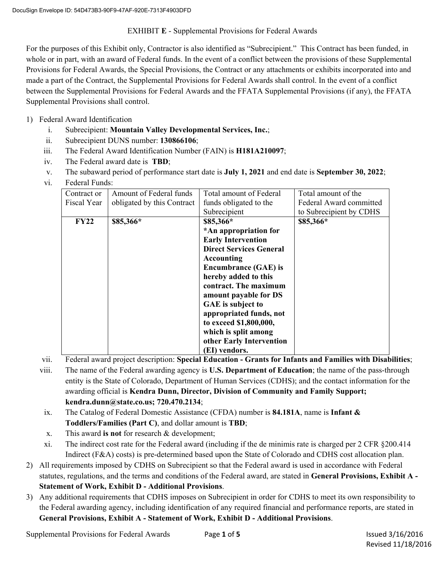#### EXHIBIT **E** - Supplemental Provisions for Federal Awards

For the purposes of this Exhibit only, Contractor is also identified as "Subrecipient." This Contract has been funded, in whole or in part, with an award of Federal funds. In the event of a conflict between the provisions of these Supplemental Provisions for Federal Awards, the Special Provisions, the Contract or any attachments or exhibits incorporated into and made a part of the Contract, the Supplemental Provisions for Federal Awards shall control. In the event of a conflict between the Supplemental Provisions for Federal Awards and the FFATA Supplemental Provisions (if any), the FFATA Supplemental Provisions shall control.

- 1) Federal Award Identification
	- i. Subrecipient: **Mountain Valley Developmental Services, Inc.**;
	- ii. Subrecipient DUNS number: **130866106**;
	- iii. The Federal Award Identification Number (FAIN) is **H181A210097**;
	- iv. The Federal award date is **TBD**;
	- v. The subaward period of performance start date is **July 1, 2021** and end date is **September 30, 2022**;
	- vi. Federal Funds:

| Contract or | Amount of Federal funds    | Total amount of Federal        | Total amount of the     |
|-------------|----------------------------|--------------------------------|-------------------------|
| Fiscal Year | obligated by this Contract | funds obligated to the         | Federal Award committed |
|             |                            | Subrecipient                   | to Subrecipient by CDHS |
| <b>FY22</b> | \$85,366*                  | \$85,366*                      | \$85,366*               |
|             |                            | *An appropriation for          |                         |
|             |                            | <b>Early Intervention</b>      |                         |
|             |                            | <b>Direct Services General</b> |                         |
|             |                            | Accounting                     |                         |
|             |                            | <b>Encumbrance (GAE) is</b>    |                         |
|             |                            | hereby added to this           |                         |
|             |                            | contract. The maximum          |                         |
|             |                            | amount payable for DS          |                         |
|             |                            | GAE is subject to              |                         |
|             |                            | appropriated funds, not        |                         |
|             |                            | to exceed \$1,800,000,         |                         |
|             |                            | which is split among           |                         |
|             |                            | other Early Intervention       |                         |
|             |                            | (EI) vendors.                  |                         |

vii. Federal award project description: **Special Education - Grants for Infants and Families with Disabilities**;

- viii. The name of the Federal awarding agency is **U.S. Department of Education**; the name of the pass-through entity is the State of Colorado, Department of Human Services (CDHS); and the contact information for the awarding official is **Kendra Dunn, Director, Division of Community and Family Support; kendra.dunn@state.co.us; 720.470.2134**;
- ix. The Catalog of Federal Domestic Assistance (CFDA) number is **84.181A**, name is **Infant & Toddlers/Families (Part C)**, and dollar amount is **TBD**;
- x. This award **is not** for research & development;
- xi. The indirect cost rate for the Federal award (including if the de minimis rate is charged per 2 CFR §200.414 Indirect (F&A) costs) is pre-determined based upon the State of Colorado and CDHS cost allocation plan.
- 2) All requirements imposed by CDHS on Subrecipient so that the Federal award is used in accordance with Federal statutes, regulations, and the terms and conditions of the Federal award, are stated in **General Provisions, Exhibit A - Statement of Work, Exhibit D - Additional Provisions**.
- 3) Any additional requirements that CDHS imposes on Subrecipient in order for CDHS to meet its own responsibility to the Federal awarding agency, including identification of any required financial and performance reports, are stated in **General Provisions, Exhibit A - Statement of Work, Exhibit D - Additional Provisions**.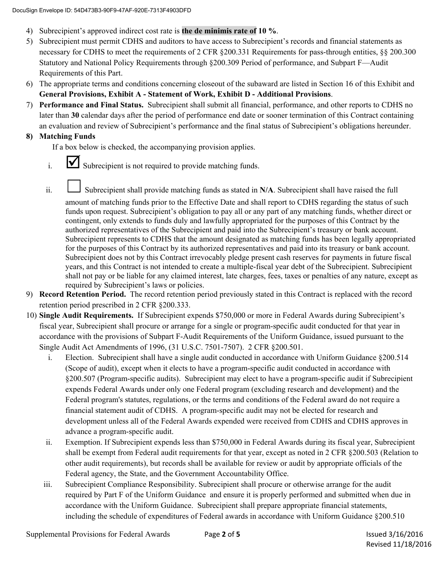- 4) Subrecipient's approved indirect cost rate is **the de minimis rate of 10 %**.
- 5) Subrecipient must permit CDHS and auditors to have access to Subrecipient's records and financial statements as necessary for CDHS to meet the requirements of 2 CFR §200.331 Requirements for pass-through entities, §§ 200.300 Statutory and National Policy Requirements through §200.309 Period of performance, and Subpart F—Audit Requirements of this Part.
- 6) The appropriate terms and conditions concerning closeout of the subaward are listed in Section 16 of this Exhibit and **General Provisions, Exhibit A - Statement of Work, Exhibit D - Additional Provisions**.
- 7) **Performance and Final Status.** Subrecipient shall submit all financial, performance, and other reports to CDHS no later than **30** calendar days after the period of performance end date or sooner termination of this Contract containing an evaluation and review of Subrecipient's performance and the final status of Subrecipient's obligations hereunder.

#### **8) Matching Funds**

If a box below is checked, the accompanying provision applies.

- $i.$   $\blacksquare$  Subrecipient is not required to provide matching funds.
- ii. Subrecipient shall provide matching funds as stated in N/A. Subrecipient shall have raised the full

amount of matching funds prior to the Effective Date and shall report to CDHS regarding the status of such funds upon request. Subrecipient's obligation to pay all or any part of any matching funds, whether direct or contingent, only extends to funds duly and lawfully appropriated for the purposes of this Contract by the authorized representatives of the Subrecipient and paid into the Subrecipient's treasury or bank account. Subrecipient represents to CDHS that the amount designated as matching funds has been legally appropriated for the purposes of this Contract by its authorized representatives and paid into its treasury or bank account. Subrecipient does not by this Contract irrevocably pledge present cash reserves for payments in future fiscal years, and this Contract is not intended to create a multiple-fiscal year debt of the Subrecipient. Subrecipient shall not pay or be liable for any claimed interest, late charges, fees, taxes or penalties of any nature, except as required by Subrecipient's laws or policies.

- 9) **Record Retention Period.** The record retention period previously stated in this Contract is replaced with the record retention period prescribed in 2 CFR §200.333.
- 10) **Single Audit Requirements.** If Subrecipient expends \$750,000 or more in Federal Awards during Subrecipient's fiscal year, Subrecipient shall procure or arrange for a single or program-specific audit conducted for that year in accordance with the provisions of Subpart F-Audit Requirements of the Uniform Guidance, issued pursuant to the Single Audit Act Amendments of 1996, (31 U.S.C. 7501-7507). 2 CFR §200.501.
	- i. Election. Subrecipient shall have a single audit conducted in accordance with Uniform Guidance §200.514 (Scope of audit), except when it elects to have a program-specific audit conducted in accordance with §200.507 (Program-specific audits). Subrecipient may elect to have a program-specific audit if Subrecipient expends Federal Awards under only one Federal program (excluding research and development) and the Federal program's statutes, regulations, or the terms and conditions of the Federal award do not require a financial statement audit of CDHS. A program-specific audit may not be elected for research and development unless all of the Federal Awards expended were received from CDHS and CDHS approves in advance a program-specific audit.
	- ii. Exemption. If Subrecipient expends less than \$750,000 in Federal Awards during its fiscal year, Subrecipient shall be exempt from Federal audit requirements for that year, except as noted in 2 CFR §200.503 (Relation to other audit requirements), but records shall be available for review or audit by appropriate officials of the Federal agency, the State, and the Government Accountability Office.
	- iii. Subrecipient Compliance Responsibility. Subrecipient shall procure or otherwise arrange for the audit required by Part F of the Uniform Guidance and ensure it is properly performed and submitted when due in accordance with the Uniform Guidance. Subrecipient shall prepare appropriate financial statements, including the schedule of expenditures of Federal awards in accordance with Uniform Guidance §200.510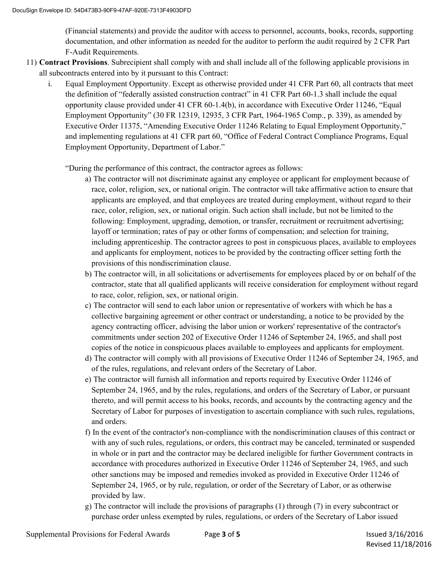(Financial statements) and provide the auditor with access to personnel, accounts, books, records, supporting documentation, and other information as needed for the auditor to perform the audit required by 2 CFR Part F-Audit Requirements.

- 11) **Contract Provisions**. Subrecipient shall comply with and shall include all of the following applicable provisions in all subcontracts entered into by it pursuant to this Contract:
	- i. Equal Employment Opportunity. Except as otherwise provided under 41 CFR Part 60, all contracts that meet the definition of "federally assisted construction contract" in 41 CFR Part 60-1.3 shall include the equal opportunity clause provided under 41 CFR 60-1.4(b), in accordance with Executive Order 11246, "Equal Employment Opportunity" (30 FR 12319, 12935, 3 CFR Part, 1964-1965 Comp., p. 339), as amended by Executive Order 11375, "Amending Executive Order 11246 Relating to Equal Employment Opportunity," and implementing regulations at 41 CFR part 60, "Office of Federal Contract Compliance Programs, Equal Employment Opportunity, Department of Labor."

"During the performance of this contract, the contractor agrees as follows:

- a) The contractor will not discriminate against any employee or applicant for employment because of race, color, religion, sex, or national origin. The contractor will take affirmative action to ensure that applicants are employed, and that employees are treated during employment, without regard to their race, color, religion, sex, or national origin. Such action shall include, but not be limited to the following: Employment, upgrading, demotion, or transfer, recruitment or recruitment advertising; layoff or termination; rates of pay or other forms of compensation; and selection for training, including apprenticeship. The contractor agrees to post in conspicuous places, available to employees and applicants for employment, notices to be provided by the contracting officer setting forth the provisions of this nondiscrimination clause.
- b) The contractor will, in all solicitations or advertisements for employees placed by or on behalf of the contractor, state that all qualified applicants will receive consideration for employment without regard to race, color, religion, sex, or national origin.
- c) The contractor will send to each labor union or representative of workers with which he has a collective bargaining agreement or other contract or understanding, a notice to be provided by the agency contracting officer, advising the labor union or workers' representative of the contractor's commitments under section 202 of Executive Order 11246 of September 24, 1965, and shall post copies of the notice in conspicuous places available to employees and applicants for employment.
- d) The contractor will comply with all provisions of Executive Order 11246 of September 24, 1965, and of the rules, regulations, and relevant orders of the Secretary of Labor.
- e) The contractor will furnish all information and reports required by Executive Order 11246 of September 24, 1965, and by the rules, regulations, and orders of the Secretary of Labor, or pursuant thereto, and will permit access to his books, records, and accounts by the contracting agency and the Secretary of Labor for purposes of investigation to ascertain compliance with such rules, regulations, and orders.
- f) In the event of the contractor's non-compliance with the nondiscrimination clauses of this contract or with any of such rules, regulations, or orders, this contract may be canceled, terminated or suspended in whole or in part and the contractor may be declared ineligible for further Government contracts in accordance with procedures authorized in Executive Order 11246 of September 24, 1965, and such other sanctions may be imposed and remedies invoked as provided in Executive Order 11246 of September 24, 1965, or by rule, regulation, or order of the Secretary of Labor, or as otherwise provided by law.
- g) The contractor will include the provisions of paragraphs (1) through (7) in every subcontract or purchase order unless exempted by rules, regulations, or orders of the Secretary of Labor issued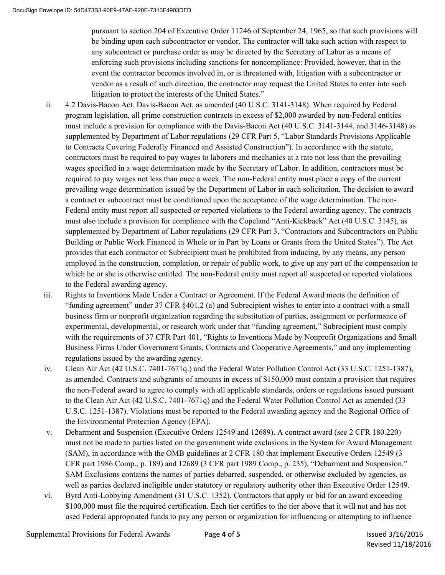pursuant to section 204 of Executive Order 11246 of September 24, 1965, so that such provisions will be binding upon each subcontractor or vendor. The contractor will take such action with respect to any subcontract or purchase order as may be directed by the Secretary of Labor as a means of enforcing such provisions including sanctions for noncompliance: Provided, however, that in the event the contractor becomes involved in, or is threatened with, litigation with a subcontractor or vendor as a result of such direction, the contractor may request the United States to enter into such litigation to protect the interests of the United States."

- ii. 4.2 Davis-Bacon Act. Davis-Bacon Act, as amended (40 U.S.C. 3141-3148). When required by Federal program legislation, all prime construction contracts in excess of \$2,000 awarded by non-Federal entities must include a provision for compliance with the Davis-Bacon Act (40 U.S.C. 3141-3144, and 3146-3148) as supplemented by Department of Labor regulations (29 CFR Part 5, "Labor Standards Provisions Applicable to Contracts Covering Federally Financed and Assisted Construction"). In accordance with the statute, contractors must be required to pay wages to laborers and mechanics at a rate not less than the prevailing wages specified in a wage determination made by the Secretary of Labor. In addition, contractors must be required to pay wages not less than once a week. The non-Federal entity must place a copy of the current prevailing wage determination issued by the Department of Labor in each solicitation. The decision to award a contract or subcontract must be conditioned upon the acceptance of the wage determination. The non-Federal entity must report all suspected or reported violations to the Federal awarding agency. The contracts must also include a provision for compliance with the Copeland "Anti-Kickback" Act (40 U.S.C. 3145), as supplemented by Department of Labor regulations (29 CFR Part 3, "Contractors and Subcontractors on Public Building or Public Work Financed in Whole or in Part by Loans or Grants from the United States"). The Act provides that each contractor or Subrecipient must be prohibited from inducing, by any means, any person employed in the construction, completion, or repair of public work, to give up any part of the compensation to which he or she is otherwise entitled. The non-Federal entity must report all suspected or reported violations to the Federal awarding agency.
- iii. Rights to Inventions Made Under a Contract or Agreement. If the Federal Award meets the definition of "funding agreement" under 37 CFR §401.2 (a) and Subrecipient wishes to enter into a contract with a small business firm or nonprofit organization regarding the substitution of parties, assignment or performance of experimental, developmental, or research work under that "funding agreement," Subrecipient must comply with the requirements of 37 CFR Part 401, "Rights to Inventions Made by Nonprofit Organizations and Small Business Firms Under Government Grants, Contracts and Cooperative Agreements," and any implementing regulations issued by the awarding agency.
- iv. Clean Air Act (42 U.S.C. 7401-7671q.) and the Federal Water Pollution Control Act (33 U.S.C. 1251-1387), as amended. Contracts and subgrants of amounts in excess of \$150,000 must contain a provision that requires the non-Federal award to agree to comply with all applicable standards, orders or regulations issued pursuant to the Clean Air Act (42 U.S.C. 7401-7671q) and the Federal Water Pollution Control Act as amended (33 U.S.C. 1251-1387). Violations must be reported to the Federal awarding agency and the Regional Office of the Environmental Protection Agency (EPA).
- v. Debarment and Suspension (Executive Orders 12549 and 12689). A contract award (see 2 CFR 180.220) must not be made to parties listed on the government wide exclusions in the System for Award Management (SAM), in accordance with the OMB guidelines at 2 CFR 180 that implement Executive Orders 12549 (3 CFR part 1986 Comp., p. 189) and 12689 (3 CFR part 1989 Comp., p. 235), "Debarment and Suspension." SAM Exclusions contains the names of parties debarred, suspended, or otherwise excluded by agencies, as well as parties declared ineligible under statutory or regulatory authority other than Executive Order 12549.
- vi. Byrd Anti-Lobbying Amendment (31 U.S.C. 1352). Contractors that apply or bid for an award exceeding \$100,000 must file the required certification. Each tier certifies to the tier above that it will not and has not used Federal appropriated funds to pay any person or organization for influencing or attempting to influence